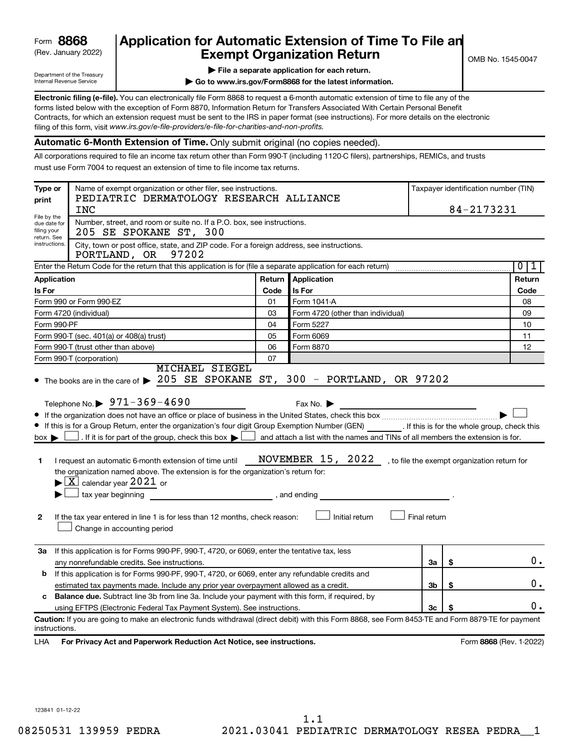# (Rev. January 2022) **Exempt Organization Return** Manuary 2022) and MS 1545-0047 **Form 8868 Application for Automatic Extension of Time To File an**<br>**Exempt Organization Return**

Department of the Treasury Internal Revenue Service

|  |  | $\blacktriangleright$ File a separate application for each return. |  |  |
|--|--|--------------------------------------------------------------------|--|--|

**| Go to www.irs.gov/Form8868 for the latest information.**

**Electronic filing (e-file).** You can electronically file Form 8868 to request a 6-month automatic extension of time to file any of the filing of this form, visit www.irs.gov/e-file-providers/e-file-for-charities-and-non-profits. forms listed below with the exception of Form 8870, Information Return for Transfers Associated With Certain Personal Benefit Contracts, for which an extension request must be sent to the IRS in paper format (see instructions). For more details on the electronic

#### **Automatic 6-Month Extension of Time.** Only submit original (no copies needed).

All corporations required to file an income tax return other than Form 990-T (including 1120-C filers), partnerships, REMICs, and trusts must use Form 7004 to request an extension of time to file income tax returns.

| Type or<br>print                                          | Name of exempt organization or other filer, see instructions.<br>PEDIATRIC DERMATOLOGY RESEARCH ALLIANCE<br><b>INC</b>                                                                                                                                                                                                                                                                                                                                                                                                                                                                                                                                                                                                                                                                                              |        |                                                                                                                                                                                                                     |              | Taxpayer identification number (TIN)<br>84-2173231 |
|-----------------------------------------------------------|---------------------------------------------------------------------------------------------------------------------------------------------------------------------------------------------------------------------------------------------------------------------------------------------------------------------------------------------------------------------------------------------------------------------------------------------------------------------------------------------------------------------------------------------------------------------------------------------------------------------------------------------------------------------------------------------------------------------------------------------------------------------------------------------------------------------|--------|---------------------------------------------------------------------------------------------------------------------------------------------------------------------------------------------------------------------|--------------|----------------------------------------------------|
| File by the<br>due date for<br>filing your<br>return. See | Number, street, and room or suite no. If a P.O. box, see instructions.<br>205 SE SPOKANE ST, 300                                                                                                                                                                                                                                                                                                                                                                                                                                                                                                                                                                                                                                                                                                                    |        |                                                                                                                                                                                                                     |              |                                                    |
| instructions.                                             | City, town or post office, state, and ZIP code. For a foreign address, see instructions.<br>97202<br>PORTLAND, OR                                                                                                                                                                                                                                                                                                                                                                                                                                                                                                                                                                                                                                                                                                   |        |                                                                                                                                                                                                                     |              |                                                    |
|                                                           | Enter the Return Code for the return that this application is for (file a separate application for each return)                                                                                                                                                                                                                                                                                                                                                                                                                                                                                                                                                                                                                                                                                                     |        |                                                                                                                                                                                                                     |              | $\overline{0}$<br>1                                |
| <b>Application</b>                                        |                                                                                                                                                                                                                                                                                                                                                                                                                                                                                                                                                                                                                                                                                                                                                                                                                     | Return | Application                                                                                                                                                                                                         |              | Return                                             |
| Is For                                                    |                                                                                                                                                                                                                                                                                                                                                                                                                                                                                                                                                                                                                                                                                                                                                                                                                     | Code   | Is For                                                                                                                                                                                                              |              | Code                                               |
|                                                           | Form 990 or Form 990-EZ                                                                                                                                                                                                                                                                                                                                                                                                                                                                                                                                                                                                                                                                                                                                                                                             | 01     | Form 1041-A                                                                                                                                                                                                         |              | 08                                                 |
|                                                           | Form 4720 (individual)                                                                                                                                                                                                                                                                                                                                                                                                                                                                                                                                                                                                                                                                                                                                                                                              | 03     | Form 4720 (other than individual)                                                                                                                                                                                   |              | 09                                                 |
| Form 990-PF                                               |                                                                                                                                                                                                                                                                                                                                                                                                                                                                                                                                                                                                                                                                                                                                                                                                                     | 04     | Form 5227                                                                                                                                                                                                           |              | 10                                                 |
|                                                           | Form 990-T (sec. 401(a) or 408(a) trust)                                                                                                                                                                                                                                                                                                                                                                                                                                                                                                                                                                                                                                                                                                                                                                            | 05     | Form 6069                                                                                                                                                                                                           |              | 11                                                 |
|                                                           | Form 990-T (trust other than above)                                                                                                                                                                                                                                                                                                                                                                                                                                                                                                                                                                                                                                                                                                                                                                                 | 06     | Form 8870                                                                                                                                                                                                           |              | 12                                                 |
|                                                           | Form 990-T (corporation)<br><b>MICHAEL SIEGEL</b>                                                                                                                                                                                                                                                                                                                                                                                                                                                                                                                                                                                                                                                                                                                                                                   | 07     |                                                                                                                                                                                                                     |              |                                                    |
| $box \blacktriangleright$ l<br>1<br>$\mathbf{2}$<br>За    | • The books are in the care of > 205 SE SPOKANE ST, 300 - PORTLAND, OR 97202<br>Telephone No. 971-369-4690<br>If this is for a Group Return, enter the organization's four digit Group Exemption Number (GEN) [If this is for the whole group, check this<br>$\rfloor$ . If it is for part of the group, check this box $\blacktriangleright\lfloor$<br>I request an automatic 6-month extension of time until<br>the organization named above. The extension is for the organization's return for:<br>$\blacktriangleright$ $\lfloor$ X $\rfloor$ calendar year 2021 or<br>$\Box$ tax year beginning<br>If the tax year entered in line 1 is for less than 12 months, check reason:<br>Change in accounting period<br>If this application is for Forms 990-PF, 990-T, 4720, or 6069, enter the tentative tax, less |        | Fax No. $\blacktriangleright$<br>and attach a list with the names and TINs of all members the extension is for.<br>NOVEMBER 15, 2022 , to file the exempt organization return for<br>, and ending<br>Initial return | Final return |                                                    |
|                                                           | any nonrefundable credits. See instructions.                                                                                                                                                                                                                                                                                                                                                                                                                                                                                                                                                                                                                                                                                                                                                                        |        |                                                                                                                                                                                                                     | За           | \$<br>0.                                           |
| b                                                         | If this application is for Forms 990-PF, 990-T, 4720, or 6069, enter any refundable credits and<br>estimated tax payments made. Include any prior year overpayment allowed as a credit.                                                                                                                                                                                                                                                                                                                                                                                                                                                                                                                                                                                                                             |        |                                                                                                                                                                                                                     | 3b           | \$<br>0.                                           |
| c                                                         | <b>Balance due.</b> Subtract line 3b from line 3a. Include your payment with this form, if required, by                                                                                                                                                                                                                                                                                                                                                                                                                                                                                                                                                                                                                                                                                                             |        |                                                                                                                                                                                                                     |              |                                                    |
|                                                           | using EFTPS (Electronic Federal Tax Payment System). See instructions.                                                                                                                                                                                                                                                                                                                                                                                                                                                                                                                                                                                                                                                                                                                                              |        |                                                                                                                                                                                                                     | 3c           | \$<br>0.                                           |
| instructions.                                             | Caution: If you are going to make an electronic funds withdrawal (direct debit) with this Form 8868, see Form 8453-TE and Form 8879-TE for payment                                                                                                                                                                                                                                                                                                                                                                                                                                                                                                                                                                                                                                                                  |        |                                                                                                                                                                                                                     |              |                                                    |
| LHA                                                       | For Privacy Act and Paperwork Reduction Act Notice, see instructions.                                                                                                                                                                                                                                                                                                                                                                                                                                                                                                                                                                                                                                                                                                                                               |        |                                                                                                                                                                                                                     |              | Form 8868 (Rev. 1-2022)                            |

123841 01-12-22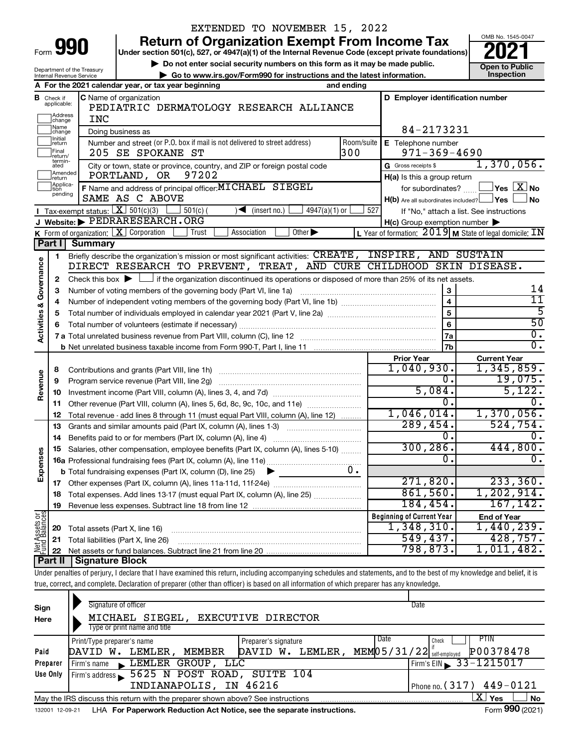| Form | ïΩ |  |
|------|----|--|
|      |    |  |

Department of the Treasury

# EXTENDED TO NOVEMBER 15, 2022

**990 Return of Organization Exempt From Income Tax Punce 1845-004 2021** 

**▶ Do not enter social security numbers on this form as it may be made public. Open to Public**<br> **▶ Go to www.irs.gov/Form990 for instructions and the latest information.** Inspection **| Go to www.irs.gov/Form990 for instructions and the latest information. Inspection**



|                                |                                                    | ► Go to www.irs.gov/Form990 for instructions and the latest information.<br>Internal Revenue Service                                        |                                                                              | Inspection                                      |
|--------------------------------|----------------------------------------------------|---------------------------------------------------------------------------------------------------------------------------------------------|------------------------------------------------------------------------------|-------------------------------------------------|
|                                |                                                    | A For the 2021 calendar year, or tax year beginning<br>and ending                                                                           |                                                                              |                                                 |
|                                | <b>B</b> Check if applicable:<br>Address<br>change | <b>C</b> Name of organization<br>PEDIATRIC DERMATOLOGY RESEARCH ALLIANCE<br><b>INC</b>                                                      | D Employer identification number                                             |                                                 |
|                                | Name<br>change                                     | Doing business as                                                                                                                           | 84-2173231                                                                   |                                                 |
|                                | Initial<br>return<br>Final<br>return/              | Number and street (or P.O. box if mail is not delivered to street address)<br>Room/suite<br>300<br>205 SE SPOKANE ST                        | E Telephone number<br>$971 - 369 - 4690$                                     |                                                 |
|                                | termin-<br>ated                                    | City or town, state or province, country, and ZIP or foreign postal code                                                                    | G Gross receipts \$                                                          | 1,370,056.                                      |
|                                | Amended<br>return                                  | 97202<br>PORTLAND, OR                                                                                                                       | H(a) Is this a group return                                                  |                                                 |
|                                | Applica-<br>tion<br>pending                        | F Name and address of principal officer: MICHAEL SIEGEL<br>SAME AS C ABOVE                                                                  | for subordinates?<br>$H(b)$ Are all subordinates included? $\Box$ Yes $\Box$ | $\,$ Yes $\,$ $\overline{\rm X}$ No $\,$<br>⊿No |
|                                |                                                    | <b>I</b> Tax-exempt status: $X \over 301(c)(3)$<br>$\sqrt{\bullet}$ (insert no.)<br>$4947(a)(1)$ or<br>$\Box$ 501(c) (                      | 527<br>If "No," attach a list. See instructions                              |                                                 |
|                                |                                                    | J Website: PEDRARESEARCH.ORG                                                                                                                | $H(c)$ Group exemption number $\blacktriangleright$                          |                                                 |
|                                |                                                    | Other $\blacktriangleright$<br>K Form of organization: $X$ Corporation<br>Association<br>Trust                                              | L Year of formation: $2019$ M State of legal domicile: IN                    |                                                 |
|                                | Part I                                             | <b>Summary</b>                                                                                                                              |                                                                              |                                                 |
|                                | 1                                                  | Briefly describe the organization's mission or most significant activities: CREATE, INSPIRE, AND SUSTAIN                                    |                                                                              |                                                 |
| Activities & Governance        |                                                    | DIRECT RESEARCH TO PREVENT, TREAT, AND CURE CHILDHOOD SKIN DISEASE.                                                                         |                                                                              |                                                 |
|                                | 2                                                  | Check this box $\blacktriangleright$ $\Box$ if the organization discontinued its operations or disposed of more than 25% of its net assets. |                                                                              |                                                 |
|                                | з                                                  | Number of voting members of the governing body (Part VI, line 1a)                                                                           | $\mathbf{3}$                                                                 | 14                                              |
|                                | 4                                                  |                                                                                                                                             | $\overline{4}$                                                               | 11                                              |
|                                | 5                                                  |                                                                                                                                             |                                                                              | $\overline{5}$                                  |
|                                | 6                                                  |                                                                                                                                             | 6                                                                            | $\overline{50}$                                 |
|                                |                                                    |                                                                                                                                             | 7a                                                                           | $\overline{0}$ .                                |
|                                |                                                    |                                                                                                                                             | $\overline{7b}$                                                              | $\overline{0}$ .                                |
|                                |                                                    |                                                                                                                                             | <b>Prior Year</b>                                                            | <b>Current Year</b>                             |
|                                | 8                                                  |                                                                                                                                             | 1,040,930.                                                                   | 1,345,859.                                      |
|                                | 9                                                  | Program service revenue (Part VIII, line 2g)                                                                                                | $\mathbf{0}$ .                                                               | 19,075.                                         |
| Revenue                        | 10                                                 |                                                                                                                                             | 5,084.                                                                       | 5,122.                                          |
|                                | 11                                                 | Other revenue (Part VIII, column (A), lines 5, 6d, 8c, 9c, 10c, and 11e)                                                                    | $0$ .                                                                        | $\overline{0}$ .                                |
|                                | 12                                                 | Total revenue - add lines 8 through 11 (must equal Part VIII, column (A), line 12)                                                          | 1,046,014.                                                                   | 1,370,056.                                      |
|                                | 13                                                 | Grants and similar amounts paid (Part IX, column (A), lines 1-3)                                                                            | 289,454.                                                                     | 524,754.                                        |
|                                | 14                                                 |                                                                                                                                             | 0.                                                                           | 0.                                              |
|                                | 15                                                 | Salaries, other compensation, employee benefits (Part IX, column (A), lines 5-10)                                                           | 300, 286.                                                                    | 444,800.                                        |
| Expenses                       |                                                    |                                                                                                                                             | 0.                                                                           | Ο.                                              |
|                                |                                                    | 0.<br><b>b</b> Total fundraising expenses (Part IX, column (D), line 25)<br>►                                                               |                                                                              |                                                 |
|                                |                                                    |                                                                                                                                             | 271,820.                                                                     | 233,360.                                        |
|                                |                                                    | 18 Total expenses. Add lines 13-17 (must equal Part IX, column (A), line 25)                                                                | 861,560.                                                                     | 1, 202, 914.                                    |
|                                | 19                                                 |                                                                                                                                             | 184, 454.                                                                    | 167, 142.                                       |
|                                |                                                    |                                                                                                                                             | <b>Beginning of Current Year</b>                                             | <b>End of Year</b>                              |
| Net Assets or<br>Fund Balances | 20                                                 | Total assets (Part X, line 16)                                                                                                              | 1,348,310.                                                                   | 1,440,239.                                      |
|                                | 21                                                 | Total liabilities (Part X, line 26)                                                                                                         | 549,437.                                                                     | 428,757.                                        |
|                                | 22                                                 |                                                                                                                                             | 798,873.                                                                     | 1,011,482.                                      |
|                                | Part II                                            | <b>Signature Block</b>                                                                                                                      |                                                                              |                                                 |
|                                |                                                    |                                                                                                                                             |                                                                              |                                                 |

Under penalties of perjury, I declare that I have examined this return, including accompanying schedules and statements, and to the best of my knowledge and belief, it is true, correct, and complete. Declaration of preparer (other than officer) is based on all information of which preparer has any knowledge.

| Sign<br>Here    | Signature of officer<br>MICHAEL SIEGEL, EXECUTIVE DIRECTOR<br>Type or print name and title |                      | Date                                     |           |
|-----------------|--------------------------------------------------------------------------------------------|----------------------|------------------------------------------|-----------|
|                 | Print/Type preparer's name                                                                 | Preparer's signature | Date<br><b>PTIN</b><br>Check             |           |
| Paid            | MEMBER<br>LEMLER.<br>DAVID W.                                                              | LEMLER,<br>DAVID W.  | P00378478<br>$MEM05/31/22$ self-employed |           |
| Preparer        | Firm's name LEMLER GROUP, LLC                                                              |                      | Firm's EIN $\geq 33 - 1215017$           |           |
| Use Only        | Firm's address 5625 N POST ROAD, SUITE 104                                                 |                      |                                          |           |
|                 | INDIANAPOLIS, IN 46216                                                                     |                      | Phone no. $(317)$ 449-0121               |           |
|                 | May the IRS discuss this return with the preparer shown above? See instructions            |                      | x<br>Yes                                 | <b>No</b> |
| 132001 12-09-21 | LHA For Paperwork Reduction Act Notice, see the separate instructions.                     |                      | Form 990 (2021)                          |           |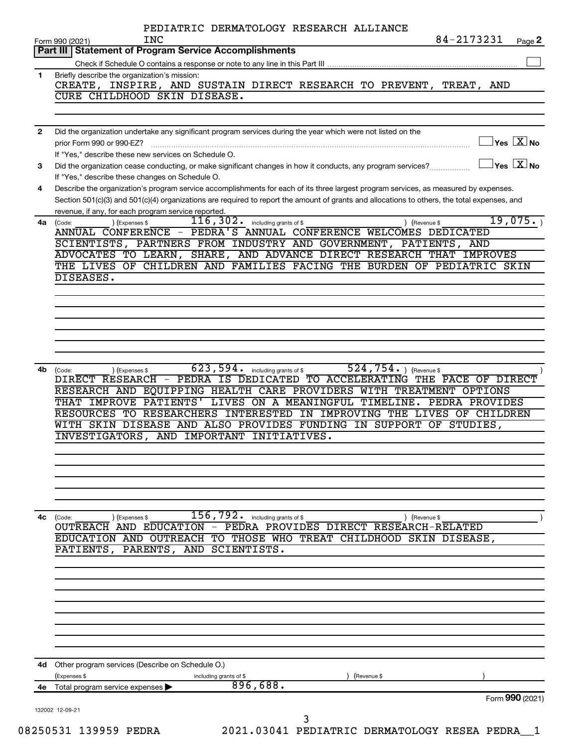|                | PEDIATRIC DERMATOLOGY RESEARCH ALLIANCE                                                                                                                                                 |                                     |
|----------------|-----------------------------------------------------------------------------------------------------------------------------------------------------------------------------------------|-------------------------------------|
|                | 84-2173231<br><b>INC</b><br>Form 990 (2021)<br>Part III   Statement of Program Service Accomplishments                                                                                  | Page 2                              |
|                |                                                                                                                                                                                         |                                     |
| 1.             | Briefly describe the organization's mission:                                                                                                                                            |                                     |
|                | CREATE, INSPIRE, AND SUSTAIN DIRECT RESEARCH TO PREVENT, TREAT, AND                                                                                                                     |                                     |
|                | CURE CHILDHOOD SKIN DISEASE.                                                                                                                                                            |                                     |
|                |                                                                                                                                                                                         |                                     |
|                |                                                                                                                                                                                         |                                     |
| $\overline{2}$ | Did the organization undertake any significant program services during the year which were not listed on the                                                                            |                                     |
|                | prior Form 990 or 990-EZ?                                                                                                                                                               | $\exists$ Yes $\boxed{\text{X}}$ No |
|                | If "Yes," describe these new services on Schedule O.                                                                                                                                    |                                     |
| 3              | Did the organization cease conducting, or make significant changes in how it conducts, any program services?                                                                            | $\Box$ Yes $[\,\mathbf{X}\,]$ No    |
| 4              | If "Yes," describe these changes on Schedule O.<br>Describe the organization's program service accomplishments for each of its three largest program services, as measured by expenses. |                                     |
|                | Section 501(c)(3) and 501(c)(4) organizations are required to report the amount of grants and allocations to others, the total expenses, and                                            |                                     |
|                | revenue, if any, for each program service reported.                                                                                                                                     |                                     |
|                | 116, 302. including grants of \$<br>4a (Code:<br>) (Expenses \$<br>) (Revenue \$                                                                                                        | 19,075.                             |
|                | ANNUAL CONFERENCE - PEDRA'S ANNUAL CONFERENCE WELCOMES DEDICATED                                                                                                                        |                                     |
|                | SCIENTISTS, PARTNERS FROM INDUSTRY AND GOVERNMENT, PATIENTS, AND                                                                                                                        |                                     |
|                | ADVOCATES TO LEARN, SHARE, AND ADVANCE DIRECT RESEARCH THAT IMPROVES                                                                                                                    |                                     |
|                | THE LIVES OF CHILDREN AND FAMILIES FACING THE BURDEN OF PEDIATRIC SKIN                                                                                                                  |                                     |
|                | DISEASES.                                                                                                                                                                               |                                     |
|                |                                                                                                                                                                                         |                                     |
|                |                                                                                                                                                                                         |                                     |
|                |                                                                                                                                                                                         |                                     |
|                |                                                                                                                                                                                         |                                     |
|                |                                                                                                                                                                                         |                                     |
|                |                                                                                                                                                                                         |                                     |
|                |                                                                                                                                                                                         |                                     |
|                | $\overline{623}$ , 594. including grants of \$<br>524,754. $ $ (Revenue \$<br>4b (Code:<br>) (Expenses \$                                                                               |                                     |
|                | DIRECT RESEARCH - PEDRA IS DEDICATED TO ACCELERATING THE PACE OF DIRECT<br>RESEARCH AND EQUIPPING HEALTH CARE PROVIDERS WITH TREATMENT OPTIONS                                          |                                     |
|                | THAT IMPROVE PATIENTS' LIVES ON A MEANINGFUL TIMELINE. PEDRA PROVIDES                                                                                                                   |                                     |
|                | RESOURCES TO RESEARCHERS INTERESTED IN IMPROVING THE LIVES OF CHILDREN                                                                                                                  |                                     |
|                | WITH SKIN DISEASE AND ALSO PROVIDES FUNDING IN SUPPORT OF STUDIES,                                                                                                                      |                                     |
|                | INVESTIGATORS, AND IMPORTANT INITIATIVES.                                                                                                                                               |                                     |
|                |                                                                                                                                                                                         |                                     |
|                |                                                                                                                                                                                         |                                     |
|                |                                                                                                                                                                                         |                                     |
|                |                                                                                                                                                                                         |                                     |
|                |                                                                                                                                                                                         |                                     |
|                |                                                                                                                                                                                         |                                     |
| 4c             | $156, 79\overline{2}$ .<br>including grants of \$<br>(Expenses \$<br>(Revenue \$<br>(Code:                                                                                              |                                     |
|                | OUTREACH AND EDUCATION - PEDRA PROVIDES DIRECT RESEARCH-RELATED                                                                                                                         |                                     |
|                | EDUCATION AND OUTREACH TO THOSE WHO TREAT CHILDHOOD<br>SKIN<br>DISEASE,                                                                                                                 |                                     |
|                | PATIENTS, PARENTS, AND SCIENTISTS.                                                                                                                                                      |                                     |
|                |                                                                                                                                                                                         |                                     |
|                |                                                                                                                                                                                         |                                     |
|                |                                                                                                                                                                                         |                                     |
|                |                                                                                                                                                                                         |                                     |
|                |                                                                                                                                                                                         |                                     |
|                |                                                                                                                                                                                         |                                     |
|                |                                                                                                                                                                                         |                                     |
|                |                                                                                                                                                                                         |                                     |
|                |                                                                                                                                                                                         |                                     |
| 4d -           | Other program services (Describe on Schedule O.)                                                                                                                                        |                                     |
|                | (Expenses \$<br>(Revenue \$<br>including grants of \$<br>896,688.<br>Total program service expenses                                                                                     |                                     |
| 4е             |                                                                                                                                                                                         | Form 990 (2021)                     |
|                | 132002 12-09-21                                                                                                                                                                         |                                     |
|                | 3                                                                                                                                                                                       |                                     |
|                | גסחקם 20041 ו?גותי<br>ACCEPTE AND TO DENTATION OF THE THAT ON THE CONTROL OF THE STATE OF THE STATE OF THE STATE OF THE STATE OF TH                                                     |                                     |

08250531 139959 PEDRA 2021.03041 PEDIATRIC DERMATOLOGY RESEA PEDRA\_\_1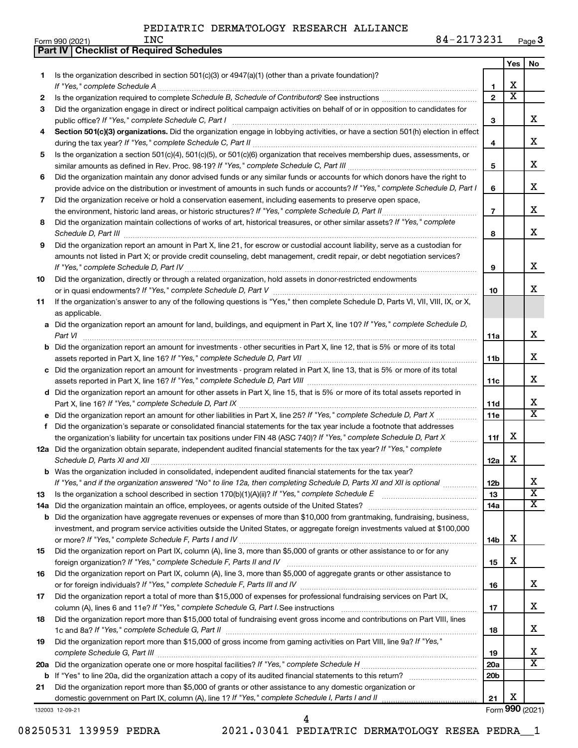**Part IV Checklist of Required Schedules**

Form 990 (2021) Page **3** INC 84-2173231

|     |                                                                                                                                                                                                                                     |                 | Yes                     | No                      |
|-----|-------------------------------------------------------------------------------------------------------------------------------------------------------------------------------------------------------------------------------------|-----------------|-------------------------|-------------------------|
| 1   | Is the organization described in section $501(c)(3)$ or $4947(a)(1)$ (other than a private foundation)?                                                                                                                             |                 |                         |                         |
|     |                                                                                                                                                                                                                                     | 1               | X                       |                         |
| 2   |                                                                                                                                                                                                                                     | $\mathfrak{p}$  | $\overline{\textbf{x}}$ |                         |
| 3   | Did the organization engage in direct or indirect political campaign activities on behalf of or in opposition to candidates for                                                                                                     |                 |                         |                         |
|     |                                                                                                                                                                                                                                     | 3               |                         | x                       |
| 4   | Section 501(c)(3) organizations. Did the organization engage in lobbying activities, or have a section 501(h) election in effect                                                                                                    |                 |                         |                         |
|     |                                                                                                                                                                                                                                     | 4               |                         | х                       |
| 5   | Is the organization a section 501(c)(4), 501(c)(5), or 501(c)(6) organization that receives membership dues, assessments, or                                                                                                        |                 |                         |                         |
|     |                                                                                                                                                                                                                                     | 5               |                         | х                       |
| 6   | Did the organization maintain any donor advised funds or any similar funds or accounts for which donors have the right to                                                                                                           |                 |                         |                         |
|     | provide advice on the distribution or investment of amounts in such funds or accounts? If "Yes," complete Schedule D, Part I                                                                                                        | 6               |                         | x                       |
| 7   | Did the organization receive or hold a conservation easement, including easements to preserve open space,                                                                                                                           |                 |                         | х                       |
|     |                                                                                                                                                                                                                                     | $\overline{7}$  |                         |                         |
| 8   | Did the organization maintain collections of works of art, historical treasures, or other similar assets? If "Yes," complete                                                                                                        |                 |                         | x                       |
|     | Schedule D, Part III <b>Marting Communities</b> and the contract of the contract of the contract of the contract of the contract of the contract of the contract of the contract of the contract of the contract of the contract of | 8               |                         |                         |
| 9   | Did the organization report an amount in Part X, line 21, for escrow or custodial account liability, serve as a custodian for                                                                                                       |                 |                         |                         |
|     | amounts not listed in Part X; or provide credit counseling, debt management, credit repair, or debt negotiation services?                                                                                                           | 9               |                         | х                       |
| 10  | Did the organization, directly or through a related organization, hold assets in donor-restricted endowments                                                                                                                        |                 |                         |                         |
|     |                                                                                                                                                                                                                                     | 10              |                         | x                       |
| 11  | If the organization's answer to any of the following questions is "Yes," then complete Schedule D, Parts VI, VII, VIII, IX, or X,                                                                                                   |                 |                         |                         |
|     | as applicable.                                                                                                                                                                                                                      |                 |                         |                         |
|     | a Did the organization report an amount for land, buildings, and equipment in Part X, line 10? If "Yes," complete Schedule D,                                                                                                       |                 |                         |                         |
|     | Part VI                                                                                                                                                                                                                             | 11a             |                         | x                       |
|     | <b>b</b> Did the organization report an amount for investments - other securities in Part X, line 12, that is 5% or more of its total                                                                                               |                 |                         |                         |
|     |                                                                                                                                                                                                                                     | 11b             |                         | x                       |
|     | c Did the organization report an amount for investments - program related in Part X, line 13, that is 5% or more of its total                                                                                                       |                 |                         |                         |
|     |                                                                                                                                                                                                                                     | 11c             |                         | х                       |
|     | d Did the organization report an amount for other assets in Part X, line 15, that is 5% or more of its total assets reported in                                                                                                     |                 |                         |                         |
|     |                                                                                                                                                                                                                                     | 11d             |                         | x                       |
|     |                                                                                                                                                                                                                                     | 11e             |                         | X                       |
| f.  | Did the organization's separate or consolidated financial statements for the tax year include a footnote that addresses                                                                                                             |                 |                         |                         |
|     | the organization's liability for uncertain tax positions under FIN 48 (ASC 740)? If "Yes," complete Schedule D, Part X                                                                                                              | 11f             | х                       |                         |
|     | 12a Did the organization obtain separate, independent audited financial statements for the tax year? If "Yes," complete                                                                                                             |                 |                         |                         |
|     | Schedule D, Parts XI and XII                                                                                                                                                                                                        | 12a             | х                       |                         |
|     | <b>b</b> Was the organization included in consolidated, independent audited financial statements for the tax year?                                                                                                                  |                 |                         |                         |
|     | If "Yes," and if the organization answered "No" to line 12a, then completing Schedule D, Parts XI and XII is optional                                                                                                               | 12b             |                         | х                       |
| 13  |                                                                                                                                                                                                                                     | 13              |                         | $\overline{\textbf{x}}$ |
| 14a |                                                                                                                                                                                                                                     | 14a             |                         | x                       |
| b   | Did the organization have aggregate revenues or expenses of more than \$10,000 from grantmaking, fundraising, business,                                                                                                             |                 |                         |                         |
|     | investment, and program service activities outside the United States, or aggregate foreign investments valued at \$100,000                                                                                                          |                 |                         |                         |
|     |                                                                                                                                                                                                                                     | 14b             | х                       |                         |
| 15  | Did the organization report on Part IX, column (A), line 3, more than \$5,000 of grants or other assistance to or for any                                                                                                           |                 | х                       |                         |
|     |                                                                                                                                                                                                                                     | 15              |                         |                         |
| 16  | Did the organization report on Part IX, column (A), line 3, more than \$5,000 of aggregate grants or other assistance to                                                                                                            |                 |                         | х                       |
|     |                                                                                                                                                                                                                                     | 16              |                         |                         |
| 17  | Did the organization report a total of more than \$15,000 of expenses for professional fundraising services on Part IX,                                                                                                             | 17              |                         | х                       |
| 18  | Did the organization report more than \$15,000 total of fundraising event gross income and contributions on Part VIII, lines                                                                                                        |                 |                         |                         |
|     |                                                                                                                                                                                                                                     | 18              |                         | x                       |
| 19  | Did the organization report more than \$15,000 of gross income from gaming activities on Part VIII, line 9a? If "Yes,"                                                                                                              |                 |                         |                         |
|     |                                                                                                                                                                                                                                     | 19              |                         | х                       |
| 20a |                                                                                                                                                                                                                                     | 20a             |                         | x                       |
| b   |                                                                                                                                                                                                                                     | 20 <sub>b</sub> |                         |                         |
| 21  | Did the organization report more than \$5,000 of grants or other assistance to any domestic organization or                                                                                                                         |                 |                         |                         |
|     |                                                                                                                                                                                                                                     | 21              | х                       |                         |
|     | 132003 12-09-21                                                                                                                                                                                                                     |                 |                         | Form 990 (2021)         |

<sup>08250531 139959</sup> PEDRA 2021.03041 PEDIATRIC DERMATOLOGY RESEA PEDRA\_\_1 4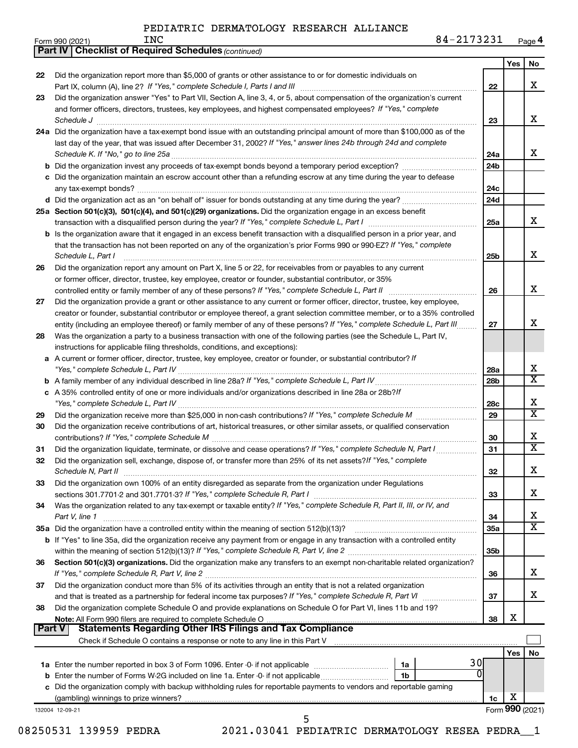| Form 990 (2021) |  | INC | <u>ר כר כדור ה</u><br>84<br>⊥ ت ∠ ت<br>$4 + 1$ | Page 4 |
|-----------------|--|-----|------------------------------------------------|--------|
|-----------------|--|-----|------------------------------------------------|--------|

| Yes<br>No<br>Did the organization report more than \$5,000 of grants or other assistance to or for domestic individuals on<br>22<br>X<br>22<br>Did the organization answer "Yes" to Part VII, Section A, line 3, 4, or 5, about compensation of the organization's current<br>23<br>and former officers, directors, trustees, key employees, and highest compensated employees? If "Yes," complete<br>х<br>23<br>24a Did the organization have a tax-exempt bond issue with an outstanding principal amount of more than \$100,000 as of the<br>last day of the year, that was issued after December 31, 2002? If "Yes," answer lines 24b through 24d and complete<br>x<br>24a<br>24b<br>c Did the organization maintain an escrow account other than a refunding escrow at any time during the year to defease<br>24c<br>d Did the organization act as an "on behalf of" issuer for bonds outstanding at any time during the year?<br>24d<br>25a Section 501(c)(3), 501(c)(4), and 501(c)(29) organizations. Did the organization engage in an excess benefit<br>x<br>25a<br>b Is the organization aware that it engaged in an excess benefit transaction with a disqualified person in a prior year, and<br>that the transaction has not been reported on any of the organization's prior Forms 990 or 990-EZ? If "Yes," complete<br>х<br>Schedule L, Part I<br>25 <sub>b</sub><br>Did the organization report any amount on Part X, line 5 or 22, for receivables from or payables to any current<br>26<br>or former officer, director, trustee, key employee, creator or founder, substantial contributor, or 35%<br>X<br>controlled entity or family member of any of these persons? If "Yes," complete Schedule L, Part II<br>26<br>Did the organization provide a grant or other assistance to any current or former officer, director, trustee, key employee,<br>27<br>creator or founder, substantial contributor or employee thereof, a grant selection committee member, or to a 35% controlled<br>x<br>entity (including an employee thereof) or family member of any of these persons? If "Yes," complete Schedule L, Part III<br>27<br>Was the organization a party to a business transaction with one of the following parties (see the Schedule L, Part IV,<br>28<br>instructions for applicable filing thresholds, conditions, and exceptions):<br>a A current or former officer, director, trustee, key employee, creator or founder, or substantial contributor? If<br>x<br>28a<br>$\overline{\texttt{x}}$<br>28b<br>c A 35% controlled entity of one or more individuals and/or organizations described in line 28a or 28b?!f<br>х<br>28c<br>$\overline{\text{X}}$<br>29<br>29<br>Did the organization receive contributions of art, historical treasures, or other similar assets, or qualified conservation<br>30<br>х<br>30<br>X<br>Did the organization liquidate, terminate, or dissolve and cease operations? If "Yes," complete Schedule N, Part I<br>31<br>31<br>Did the organization sell, exchange, dispose of, or transfer more than 25% of its net assets? If "Yes," complete<br>32<br>Χ<br>Schedule N, Part II<br>32<br>Did the organization own 100% of an entity disregarded as separate from the organization under Regulations<br>33<br>x<br>33<br>Was the organization related to any tax-exempt or taxable entity? If "Yes," complete Schedule R, Part II, III, or IV, and<br>34<br>х<br>Part V, line 1<br>34<br>X<br>35a Did the organization have a controlled entity within the meaning of section 512(b)(13)?<br>35a<br>b If "Yes" to line 35a, did the organization receive any payment from or engage in any transaction with a controlled entity<br>35 <sub>b</sub><br>Section 501(c)(3) organizations. Did the organization make any transfers to an exempt non-charitable related organization?<br>36<br>x<br>36<br>Did the organization conduct more than 5% of its activities through an entity that is not a related organization<br>37<br>x<br>37<br>Did the organization complete Schedule O and provide explanations on Schedule O for Part VI, lines 11b and 19?<br>38<br>х<br>38<br><b>Statements Regarding Other IRS Filings and Tax Compliance</b><br><b>Part V</b><br>Check if Schedule O contains a response or note to any line in this Part V [11] [12] Check if Schedule O contains a response or note to any line in this Part V<br>Yes<br>No<br>30<br>1b<br>c Did the organization comply with backup withholding rules for reportable payments to vendors and reportable gaming<br>х<br>1c<br>132004 12-09-21<br>5<br>גסחסם 20060 המחדר<br>ACCEPTE AND TO DENTATION OF THE CASH OF LANGE | <b>Part IV   Checklist of Required Schedules (continued)</b> |  |  |
|------------------------------------------------------------------------------------------------------------------------------------------------------------------------------------------------------------------------------------------------------------------------------------------------------------------------------------------------------------------------------------------------------------------------------------------------------------------------------------------------------------------------------------------------------------------------------------------------------------------------------------------------------------------------------------------------------------------------------------------------------------------------------------------------------------------------------------------------------------------------------------------------------------------------------------------------------------------------------------------------------------------------------------------------------------------------------------------------------------------------------------------------------------------------------------------------------------------------------------------------------------------------------------------------------------------------------------------------------------------------------------------------------------------------------------------------------------------------------------------------------------------------------------------------------------------------------------------------------------------------------------------------------------------------------------------------------------------------------------------------------------------------------------------------------------------------------------------------------------------------------------------------------------------------------------------------------------------------------------------------------------------------------------------------------------------------------------------------------------------------------------------------------------------------------------------------------------------------------------------------------------------------------------------------------------------------------------------------------------------------------------------------------------------------------------------------------------------------------------------------------------------------------------------------------------------------------------------------------------------------------------------------------------------------------------------------------------------------------------------------------------------------------------------------------------------------------------------------------------------------------------------------------------------------------------------------------------------------------------------------------------------------------------------------------------------------------------------------------------------------------------------------------------------------------------------------------------------------------------------------------------------------------------------------------------------------------------------------------------------------------------------------------------------------------------------------------------------------------------------------------------------------------------------------------------------------------------------------------------------------------------------------------------------------------------------------------------------------------------------------------------------------------------------------------------------------------------------------------------------------------------------------------------------------------------------------------------------------------------------------------------------------------------------------------------------------------------------------------------------------------------------------------------------------------------------------------------------------------------------------------------------------------------------------------------------------------------------------------------------------------------------------------------------------------------------------------------------------------------------------------------------------------------------------------------------------------------------------------------------------------------------------------------|--------------------------------------------------------------|--|--|
|                                                                                                                                                                                                                                                                                                                                                                                                                                                                                                                                                                                                                                                                                                                                                                                                                                                                                                                                                                                                                                                                                                                                                                                                                                                                                                                                                                                                                                                                                                                                                                                                                                                                                                                                                                                                                                                                                                                                                                                                                                                                                                                                                                                                                                                                                                                                                                                                                                                                                                                                                                                                                                                                                                                                                                                                                                                                                                                                                                                                                                                                                                                                                                                                                                                                                                                                                                                                                                                                                                                                                                                                                                                                                                                                                                                                                                                                                                                                                                                                                                                                                                                                                                                                                                                                                                                                                                                                                                                                                                                                                                                                                                                            |                                                              |  |  |
|                                                                                                                                                                                                                                                                                                                                                                                                                                                                                                                                                                                                                                                                                                                                                                                                                                                                                                                                                                                                                                                                                                                                                                                                                                                                                                                                                                                                                                                                                                                                                                                                                                                                                                                                                                                                                                                                                                                                                                                                                                                                                                                                                                                                                                                                                                                                                                                                                                                                                                                                                                                                                                                                                                                                                                                                                                                                                                                                                                                                                                                                                                                                                                                                                                                                                                                                                                                                                                                                                                                                                                                                                                                                                                                                                                                                                                                                                                                                                                                                                                                                                                                                                                                                                                                                                                                                                                                                                                                                                                                                                                                                                                                            |                                                              |  |  |
|                                                                                                                                                                                                                                                                                                                                                                                                                                                                                                                                                                                                                                                                                                                                                                                                                                                                                                                                                                                                                                                                                                                                                                                                                                                                                                                                                                                                                                                                                                                                                                                                                                                                                                                                                                                                                                                                                                                                                                                                                                                                                                                                                                                                                                                                                                                                                                                                                                                                                                                                                                                                                                                                                                                                                                                                                                                                                                                                                                                                                                                                                                                                                                                                                                                                                                                                                                                                                                                                                                                                                                                                                                                                                                                                                                                                                                                                                                                                                                                                                                                                                                                                                                                                                                                                                                                                                                                                                                                                                                                                                                                                                                                            |                                                              |  |  |
|                                                                                                                                                                                                                                                                                                                                                                                                                                                                                                                                                                                                                                                                                                                                                                                                                                                                                                                                                                                                                                                                                                                                                                                                                                                                                                                                                                                                                                                                                                                                                                                                                                                                                                                                                                                                                                                                                                                                                                                                                                                                                                                                                                                                                                                                                                                                                                                                                                                                                                                                                                                                                                                                                                                                                                                                                                                                                                                                                                                                                                                                                                                                                                                                                                                                                                                                                                                                                                                                                                                                                                                                                                                                                                                                                                                                                                                                                                                                                                                                                                                                                                                                                                                                                                                                                                                                                                                                                                                                                                                                                                                                                                                            |                                                              |  |  |
|                                                                                                                                                                                                                                                                                                                                                                                                                                                                                                                                                                                                                                                                                                                                                                                                                                                                                                                                                                                                                                                                                                                                                                                                                                                                                                                                                                                                                                                                                                                                                                                                                                                                                                                                                                                                                                                                                                                                                                                                                                                                                                                                                                                                                                                                                                                                                                                                                                                                                                                                                                                                                                                                                                                                                                                                                                                                                                                                                                                                                                                                                                                                                                                                                                                                                                                                                                                                                                                                                                                                                                                                                                                                                                                                                                                                                                                                                                                                                                                                                                                                                                                                                                                                                                                                                                                                                                                                                                                                                                                                                                                                                                                            |                                                              |  |  |
|                                                                                                                                                                                                                                                                                                                                                                                                                                                                                                                                                                                                                                                                                                                                                                                                                                                                                                                                                                                                                                                                                                                                                                                                                                                                                                                                                                                                                                                                                                                                                                                                                                                                                                                                                                                                                                                                                                                                                                                                                                                                                                                                                                                                                                                                                                                                                                                                                                                                                                                                                                                                                                                                                                                                                                                                                                                                                                                                                                                                                                                                                                                                                                                                                                                                                                                                                                                                                                                                                                                                                                                                                                                                                                                                                                                                                                                                                                                                                                                                                                                                                                                                                                                                                                                                                                                                                                                                                                                                                                                                                                                                                                                            |                                                              |  |  |
| Form 990 (2021)                                                                                                                                                                                                                                                                                                                                                                                                                                                                                                                                                                                                                                                                                                                                                                                                                                                                                                                                                                                                                                                                                                                                                                                                                                                                                                                                                                                                                                                                                                                                                                                                                                                                                                                                                                                                                                                                                                                                                                                                                                                                                                                                                                                                                                                                                                                                                                                                                                                                                                                                                                                                                                                                                                                                                                                                                                                                                                                                                                                                                                                                                                                                                                                                                                                                                                                                                                                                                                                                                                                                                                                                                                                                                                                                                                                                                                                                                                                                                                                                                                                                                                                                                                                                                                                                                                                                                                                                                                                                                                                                                                                                                                            |                                                              |  |  |
|                                                                                                                                                                                                                                                                                                                                                                                                                                                                                                                                                                                                                                                                                                                                                                                                                                                                                                                                                                                                                                                                                                                                                                                                                                                                                                                                                                                                                                                                                                                                                                                                                                                                                                                                                                                                                                                                                                                                                                                                                                                                                                                                                                                                                                                                                                                                                                                                                                                                                                                                                                                                                                                                                                                                                                                                                                                                                                                                                                                                                                                                                                                                                                                                                                                                                                                                                                                                                                                                                                                                                                                                                                                                                                                                                                                                                                                                                                                                                                                                                                                                                                                                                                                                                                                                                                                                                                                                                                                                                                                                                                                                                                                            |                                                              |  |  |
|                                                                                                                                                                                                                                                                                                                                                                                                                                                                                                                                                                                                                                                                                                                                                                                                                                                                                                                                                                                                                                                                                                                                                                                                                                                                                                                                                                                                                                                                                                                                                                                                                                                                                                                                                                                                                                                                                                                                                                                                                                                                                                                                                                                                                                                                                                                                                                                                                                                                                                                                                                                                                                                                                                                                                                                                                                                                                                                                                                                                                                                                                                                                                                                                                                                                                                                                                                                                                                                                                                                                                                                                                                                                                                                                                                                                                                                                                                                                                                                                                                                                                                                                                                                                                                                                                                                                                                                                                                                                                                                                                                                                                                                            |                                                              |  |  |
|                                                                                                                                                                                                                                                                                                                                                                                                                                                                                                                                                                                                                                                                                                                                                                                                                                                                                                                                                                                                                                                                                                                                                                                                                                                                                                                                                                                                                                                                                                                                                                                                                                                                                                                                                                                                                                                                                                                                                                                                                                                                                                                                                                                                                                                                                                                                                                                                                                                                                                                                                                                                                                                                                                                                                                                                                                                                                                                                                                                                                                                                                                                                                                                                                                                                                                                                                                                                                                                                                                                                                                                                                                                                                                                                                                                                                                                                                                                                                                                                                                                                                                                                                                                                                                                                                                                                                                                                                                                                                                                                                                                                                                                            |                                                              |  |  |
|                                                                                                                                                                                                                                                                                                                                                                                                                                                                                                                                                                                                                                                                                                                                                                                                                                                                                                                                                                                                                                                                                                                                                                                                                                                                                                                                                                                                                                                                                                                                                                                                                                                                                                                                                                                                                                                                                                                                                                                                                                                                                                                                                                                                                                                                                                                                                                                                                                                                                                                                                                                                                                                                                                                                                                                                                                                                                                                                                                                                                                                                                                                                                                                                                                                                                                                                                                                                                                                                                                                                                                                                                                                                                                                                                                                                                                                                                                                                                                                                                                                                                                                                                                                                                                                                                                                                                                                                                                                                                                                                                                                                                                                            |                                                              |  |  |
|                                                                                                                                                                                                                                                                                                                                                                                                                                                                                                                                                                                                                                                                                                                                                                                                                                                                                                                                                                                                                                                                                                                                                                                                                                                                                                                                                                                                                                                                                                                                                                                                                                                                                                                                                                                                                                                                                                                                                                                                                                                                                                                                                                                                                                                                                                                                                                                                                                                                                                                                                                                                                                                                                                                                                                                                                                                                                                                                                                                                                                                                                                                                                                                                                                                                                                                                                                                                                                                                                                                                                                                                                                                                                                                                                                                                                                                                                                                                                                                                                                                                                                                                                                                                                                                                                                                                                                                                                                                                                                                                                                                                                                                            |                                                              |  |  |
|                                                                                                                                                                                                                                                                                                                                                                                                                                                                                                                                                                                                                                                                                                                                                                                                                                                                                                                                                                                                                                                                                                                                                                                                                                                                                                                                                                                                                                                                                                                                                                                                                                                                                                                                                                                                                                                                                                                                                                                                                                                                                                                                                                                                                                                                                                                                                                                                                                                                                                                                                                                                                                                                                                                                                                                                                                                                                                                                                                                                                                                                                                                                                                                                                                                                                                                                                                                                                                                                                                                                                                                                                                                                                                                                                                                                                                                                                                                                                                                                                                                                                                                                                                                                                                                                                                                                                                                                                                                                                                                                                                                                                                                            |                                                              |  |  |
|                                                                                                                                                                                                                                                                                                                                                                                                                                                                                                                                                                                                                                                                                                                                                                                                                                                                                                                                                                                                                                                                                                                                                                                                                                                                                                                                                                                                                                                                                                                                                                                                                                                                                                                                                                                                                                                                                                                                                                                                                                                                                                                                                                                                                                                                                                                                                                                                                                                                                                                                                                                                                                                                                                                                                                                                                                                                                                                                                                                                                                                                                                                                                                                                                                                                                                                                                                                                                                                                                                                                                                                                                                                                                                                                                                                                                                                                                                                                                                                                                                                                                                                                                                                                                                                                                                                                                                                                                                                                                                                                                                                                                                                            |                                                              |  |  |
|                                                                                                                                                                                                                                                                                                                                                                                                                                                                                                                                                                                                                                                                                                                                                                                                                                                                                                                                                                                                                                                                                                                                                                                                                                                                                                                                                                                                                                                                                                                                                                                                                                                                                                                                                                                                                                                                                                                                                                                                                                                                                                                                                                                                                                                                                                                                                                                                                                                                                                                                                                                                                                                                                                                                                                                                                                                                                                                                                                                                                                                                                                                                                                                                                                                                                                                                                                                                                                                                                                                                                                                                                                                                                                                                                                                                                                                                                                                                                                                                                                                                                                                                                                                                                                                                                                                                                                                                                                                                                                                                                                                                                                                            |                                                              |  |  |
|                                                                                                                                                                                                                                                                                                                                                                                                                                                                                                                                                                                                                                                                                                                                                                                                                                                                                                                                                                                                                                                                                                                                                                                                                                                                                                                                                                                                                                                                                                                                                                                                                                                                                                                                                                                                                                                                                                                                                                                                                                                                                                                                                                                                                                                                                                                                                                                                                                                                                                                                                                                                                                                                                                                                                                                                                                                                                                                                                                                                                                                                                                                                                                                                                                                                                                                                                                                                                                                                                                                                                                                                                                                                                                                                                                                                                                                                                                                                                                                                                                                                                                                                                                                                                                                                                                                                                                                                                                                                                                                                                                                                                                                            |                                                              |  |  |
|                                                                                                                                                                                                                                                                                                                                                                                                                                                                                                                                                                                                                                                                                                                                                                                                                                                                                                                                                                                                                                                                                                                                                                                                                                                                                                                                                                                                                                                                                                                                                                                                                                                                                                                                                                                                                                                                                                                                                                                                                                                                                                                                                                                                                                                                                                                                                                                                                                                                                                                                                                                                                                                                                                                                                                                                                                                                                                                                                                                                                                                                                                                                                                                                                                                                                                                                                                                                                                                                                                                                                                                                                                                                                                                                                                                                                                                                                                                                                                                                                                                                                                                                                                                                                                                                                                                                                                                                                                                                                                                                                                                                                                                            |                                                              |  |  |
|                                                                                                                                                                                                                                                                                                                                                                                                                                                                                                                                                                                                                                                                                                                                                                                                                                                                                                                                                                                                                                                                                                                                                                                                                                                                                                                                                                                                                                                                                                                                                                                                                                                                                                                                                                                                                                                                                                                                                                                                                                                                                                                                                                                                                                                                                                                                                                                                                                                                                                                                                                                                                                                                                                                                                                                                                                                                                                                                                                                                                                                                                                                                                                                                                                                                                                                                                                                                                                                                                                                                                                                                                                                                                                                                                                                                                                                                                                                                                                                                                                                                                                                                                                                                                                                                                                                                                                                                                                                                                                                                                                                                                                                            |                                                              |  |  |
|                                                                                                                                                                                                                                                                                                                                                                                                                                                                                                                                                                                                                                                                                                                                                                                                                                                                                                                                                                                                                                                                                                                                                                                                                                                                                                                                                                                                                                                                                                                                                                                                                                                                                                                                                                                                                                                                                                                                                                                                                                                                                                                                                                                                                                                                                                                                                                                                                                                                                                                                                                                                                                                                                                                                                                                                                                                                                                                                                                                                                                                                                                                                                                                                                                                                                                                                                                                                                                                                                                                                                                                                                                                                                                                                                                                                                                                                                                                                                                                                                                                                                                                                                                                                                                                                                                                                                                                                                                                                                                                                                                                                                                                            |                                                              |  |  |
|                                                                                                                                                                                                                                                                                                                                                                                                                                                                                                                                                                                                                                                                                                                                                                                                                                                                                                                                                                                                                                                                                                                                                                                                                                                                                                                                                                                                                                                                                                                                                                                                                                                                                                                                                                                                                                                                                                                                                                                                                                                                                                                                                                                                                                                                                                                                                                                                                                                                                                                                                                                                                                                                                                                                                                                                                                                                                                                                                                                                                                                                                                                                                                                                                                                                                                                                                                                                                                                                                                                                                                                                                                                                                                                                                                                                                                                                                                                                                                                                                                                                                                                                                                                                                                                                                                                                                                                                                                                                                                                                                                                                                                                            |                                                              |  |  |
|                                                                                                                                                                                                                                                                                                                                                                                                                                                                                                                                                                                                                                                                                                                                                                                                                                                                                                                                                                                                                                                                                                                                                                                                                                                                                                                                                                                                                                                                                                                                                                                                                                                                                                                                                                                                                                                                                                                                                                                                                                                                                                                                                                                                                                                                                                                                                                                                                                                                                                                                                                                                                                                                                                                                                                                                                                                                                                                                                                                                                                                                                                                                                                                                                                                                                                                                                                                                                                                                                                                                                                                                                                                                                                                                                                                                                                                                                                                                                                                                                                                                                                                                                                                                                                                                                                                                                                                                                                                                                                                                                                                                                                                            |                                                              |  |  |
|                                                                                                                                                                                                                                                                                                                                                                                                                                                                                                                                                                                                                                                                                                                                                                                                                                                                                                                                                                                                                                                                                                                                                                                                                                                                                                                                                                                                                                                                                                                                                                                                                                                                                                                                                                                                                                                                                                                                                                                                                                                                                                                                                                                                                                                                                                                                                                                                                                                                                                                                                                                                                                                                                                                                                                                                                                                                                                                                                                                                                                                                                                                                                                                                                                                                                                                                                                                                                                                                                                                                                                                                                                                                                                                                                                                                                                                                                                                                                                                                                                                                                                                                                                                                                                                                                                                                                                                                                                                                                                                                                                                                                                                            |                                                              |  |  |
|                                                                                                                                                                                                                                                                                                                                                                                                                                                                                                                                                                                                                                                                                                                                                                                                                                                                                                                                                                                                                                                                                                                                                                                                                                                                                                                                                                                                                                                                                                                                                                                                                                                                                                                                                                                                                                                                                                                                                                                                                                                                                                                                                                                                                                                                                                                                                                                                                                                                                                                                                                                                                                                                                                                                                                                                                                                                                                                                                                                                                                                                                                                                                                                                                                                                                                                                                                                                                                                                                                                                                                                                                                                                                                                                                                                                                                                                                                                                                                                                                                                                                                                                                                                                                                                                                                                                                                                                                                                                                                                                                                                                                                                            |                                                              |  |  |
|                                                                                                                                                                                                                                                                                                                                                                                                                                                                                                                                                                                                                                                                                                                                                                                                                                                                                                                                                                                                                                                                                                                                                                                                                                                                                                                                                                                                                                                                                                                                                                                                                                                                                                                                                                                                                                                                                                                                                                                                                                                                                                                                                                                                                                                                                                                                                                                                                                                                                                                                                                                                                                                                                                                                                                                                                                                                                                                                                                                                                                                                                                                                                                                                                                                                                                                                                                                                                                                                                                                                                                                                                                                                                                                                                                                                                                                                                                                                                                                                                                                                                                                                                                                                                                                                                                                                                                                                                                                                                                                                                                                                                                                            |                                                              |  |  |
|                                                                                                                                                                                                                                                                                                                                                                                                                                                                                                                                                                                                                                                                                                                                                                                                                                                                                                                                                                                                                                                                                                                                                                                                                                                                                                                                                                                                                                                                                                                                                                                                                                                                                                                                                                                                                                                                                                                                                                                                                                                                                                                                                                                                                                                                                                                                                                                                                                                                                                                                                                                                                                                                                                                                                                                                                                                                                                                                                                                                                                                                                                                                                                                                                                                                                                                                                                                                                                                                                                                                                                                                                                                                                                                                                                                                                                                                                                                                                                                                                                                                                                                                                                                                                                                                                                                                                                                                                                                                                                                                                                                                                                                            |                                                              |  |  |
|                                                                                                                                                                                                                                                                                                                                                                                                                                                                                                                                                                                                                                                                                                                                                                                                                                                                                                                                                                                                                                                                                                                                                                                                                                                                                                                                                                                                                                                                                                                                                                                                                                                                                                                                                                                                                                                                                                                                                                                                                                                                                                                                                                                                                                                                                                                                                                                                                                                                                                                                                                                                                                                                                                                                                                                                                                                                                                                                                                                                                                                                                                                                                                                                                                                                                                                                                                                                                                                                                                                                                                                                                                                                                                                                                                                                                                                                                                                                                                                                                                                                                                                                                                                                                                                                                                                                                                                                                                                                                                                                                                                                                                                            |                                                              |  |  |
|                                                                                                                                                                                                                                                                                                                                                                                                                                                                                                                                                                                                                                                                                                                                                                                                                                                                                                                                                                                                                                                                                                                                                                                                                                                                                                                                                                                                                                                                                                                                                                                                                                                                                                                                                                                                                                                                                                                                                                                                                                                                                                                                                                                                                                                                                                                                                                                                                                                                                                                                                                                                                                                                                                                                                                                                                                                                                                                                                                                                                                                                                                                                                                                                                                                                                                                                                                                                                                                                                                                                                                                                                                                                                                                                                                                                                                                                                                                                                                                                                                                                                                                                                                                                                                                                                                                                                                                                                                                                                                                                                                                                                                                            |                                                              |  |  |
|                                                                                                                                                                                                                                                                                                                                                                                                                                                                                                                                                                                                                                                                                                                                                                                                                                                                                                                                                                                                                                                                                                                                                                                                                                                                                                                                                                                                                                                                                                                                                                                                                                                                                                                                                                                                                                                                                                                                                                                                                                                                                                                                                                                                                                                                                                                                                                                                                                                                                                                                                                                                                                                                                                                                                                                                                                                                                                                                                                                                                                                                                                                                                                                                                                                                                                                                                                                                                                                                                                                                                                                                                                                                                                                                                                                                                                                                                                                                                                                                                                                                                                                                                                                                                                                                                                                                                                                                                                                                                                                                                                                                                                                            |                                                              |  |  |
|                                                                                                                                                                                                                                                                                                                                                                                                                                                                                                                                                                                                                                                                                                                                                                                                                                                                                                                                                                                                                                                                                                                                                                                                                                                                                                                                                                                                                                                                                                                                                                                                                                                                                                                                                                                                                                                                                                                                                                                                                                                                                                                                                                                                                                                                                                                                                                                                                                                                                                                                                                                                                                                                                                                                                                                                                                                                                                                                                                                                                                                                                                                                                                                                                                                                                                                                                                                                                                                                                                                                                                                                                                                                                                                                                                                                                                                                                                                                                                                                                                                                                                                                                                                                                                                                                                                                                                                                                                                                                                                                                                                                                                                            |                                                              |  |  |
|                                                                                                                                                                                                                                                                                                                                                                                                                                                                                                                                                                                                                                                                                                                                                                                                                                                                                                                                                                                                                                                                                                                                                                                                                                                                                                                                                                                                                                                                                                                                                                                                                                                                                                                                                                                                                                                                                                                                                                                                                                                                                                                                                                                                                                                                                                                                                                                                                                                                                                                                                                                                                                                                                                                                                                                                                                                                                                                                                                                                                                                                                                                                                                                                                                                                                                                                                                                                                                                                                                                                                                                                                                                                                                                                                                                                                                                                                                                                                                                                                                                                                                                                                                                                                                                                                                                                                                                                                                                                                                                                                                                                                                                            |                                                              |  |  |
|                                                                                                                                                                                                                                                                                                                                                                                                                                                                                                                                                                                                                                                                                                                                                                                                                                                                                                                                                                                                                                                                                                                                                                                                                                                                                                                                                                                                                                                                                                                                                                                                                                                                                                                                                                                                                                                                                                                                                                                                                                                                                                                                                                                                                                                                                                                                                                                                                                                                                                                                                                                                                                                                                                                                                                                                                                                                                                                                                                                                                                                                                                                                                                                                                                                                                                                                                                                                                                                                                                                                                                                                                                                                                                                                                                                                                                                                                                                                                                                                                                                                                                                                                                                                                                                                                                                                                                                                                                                                                                                                                                                                                                                            |                                                              |  |  |
|                                                                                                                                                                                                                                                                                                                                                                                                                                                                                                                                                                                                                                                                                                                                                                                                                                                                                                                                                                                                                                                                                                                                                                                                                                                                                                                                                                                                                                                                                                                                                                                                                                                                                                                                                                                                                                                                                                                                                                                                                                                                                                                                                                                                                                                                                                                                                                                                                                                                                                                                                                                                                                                                                                                                                                                                                                                                                                                                                                                                                                                                                                                                                                                                                                                                                                                                                                                                                                                                                                                                                                                                                                                                                                                                                                                                                                                                                                                                                                                                                                                                                                                                                                                                                                                                                                                                                                                                                                                                                                                                                                                                                                                            |                                                              |  |  |
|                                                                                                                                                                                                                                                                                                                                                                                                                                                                                                                                                                                                                                                                                                                                                                                                                                                                                                                                                                                                                                                                                                                                                                                                                                                                                                                                                                                                                                                                                                                                                                                                                                                                                                                                                                                                                                                                                                                                                                                                                                                                                                                                                                                                                                                                                                                                                                                                                                                                                                                                                                                                                                                                                                                                                                                                                                                                                                                                                                                                                                                                                                                                                                                                                                                                                                                                                                                                                                                                                                                                                                                                                                                                                                                                                                                                                                                                                                                                                                                                                                                                                                                                                                                                                                                                                                                                                                                                                                                                                                                                                                                                                                                            |                                                              |  |  |
|                                                                                                                                                                                                                                                                                                                                                                                                                                                                                                                                                                                                                                                                                                                                                                                                                                                                                                                                                                                                                                                                                                                                                                                                                                                                                                                                                                                                                                                                                                                                                                                                                                                                                                                                                                                                                                                                                                                                                                                                                                                                                                                                                                                                                                                                                                                                                                                                                                                                                                                                                                                                                                                                                                                                                                                                                                                                                                                                                                                                                                                                                                                                                                                                                                                                                                                                                                                                                                                                                                                                                                                                                                                                                                                                                                                                                                                                                                                                                                                                                                                                                                                                                                                                                                                                                                                                                                                                                                                                                                                                                                                                                                                            |                                                              |  |  |
|                                                                                                                                                                                                                                                                                                                                                                                                                                                                                                                                                                                                                                                                                                                                                                                                                                                                                                                                                                                                                                                                                                                                                                                                                                                                                                                                                                                                                                                                                                                                                                                                                                                                                                                                                                                                                                                                                                                                                                                                                                                                                                                                                                                                                                                                                                                                                                                                                                                                                                                                                                                                                                                                                                                                                                                                                                                                                                                                                                                                                                                                                                                                                                                                                                                                                                                                                                                                                                                                                                                                                                                                                                                                                                                                                                                                                                                                                                                                                                                                                                                                                                                                                                                                                                                                                                                                                                                                                                                                                                                                                                                                                                                            |                                                              |  |  |
|                                                                                                                                                                                                                                                                                                                                                                                                                                                                                                                                                                                                                                                                                                                                                                                                                                                                                                                                                                                                                                                                                                                                                                                                                                                                                                                                                                                                                                                                                                                                                                                                                                                                                                                                                                                                                                                                                                                                                                                                                                                                                                                                                                                                                                                                                                                                                                                                                                                                                                                                                                                                                                                                                                                                                                                                                                                                                                                                                                                                                                                                                                                                                                                                                                                                                                                                                                                                                                                                                                                                                                                                                                                                                                                                                                                                                                                                                                                                                                                                                                                                                                                                                                                                                                                                                                                                                                                                                                                                                                                                                                                                                                                            |                                                              |  |  |
|                                                                                                                                                                                                                                                                                                                                                                                                                                                                                                                                                                                                                                                                                                                                                                                                                                                                                                                                                                                                                                                                                                                                                                                                                                                                                                                                                                                                                                                                                                                                                                                                                                                                                                                                                                                                                                                                                                                                                                                                                                                                                                                                                                                                                                                                                                                                                                                                                                                                                                                                                                                                                                                                                                                                                                                                                                                                                                                                                                                                                                                                                                                                                                                                                                                                                                                                                                                                                                                                                                                                                                                                                                                                                                                                                                                                                                                                                                                                                                                                                                                                                                                                                                                                                                                                                                                                                                                                                                                                                                                                                                                                                                                            |                                                              |  |  |
|                                                                                                                                                                                                                                                                                                                                                                                                                                                                                                                                                                                                                                                                                                                                                                                                                                                                                                                                                                                                                                                                                                                                                                                                                                                                                                                                                                                                                                                                                                                                                                                                                                                                                                                                                                                                                                                                                                                                                                                                                                                                                                                                                                                                                                                                                                                                                                                                                                                                                                                                                                                                                                                                                                                                                                                                                                                                                                                                                                                                                                                                                                                                                                                                                                                                                                                                                                                                                                                                                                                                                                                                                                                                                                                                                                                                                                                                                                                                                                                                                                                                                                                                                                                                                                                                                                                                                                                                                                                                                                                                                                                                                                                            |                                                              |  |  |
|                                                                                                                                                                                                                                                                                                                                                                                                                                                                                                                                                                                                                                                                                                                                                                                                                                                                                                                                                                                                                                                                                                                                                                                                                                                                                                                                                                                                                                                                                                                                                                                                                                                                                                                                                                                                                                                                                                                                                                                                                                                                                                                                                                                                                                                                                                                                                                                                                                                                                                                                                                                                                                                                                                                                                                                                                                                                                                                                                                                                                                                                                                                                                                                                                                                                                                                                                                                                                                                                                                                                                                                                                                                                                                                                                                                                                                                                                                                                                                                                                                                                                                                                                                                                                                                                                                                                                                                                                                                                                                                                                                                                                                                            |                                                              |  |  |
|                                                                                                                                                                                                                                                                                                                                                                                                                                                                                                                                                                                                                                                                                                                                                                                                                                                                                                                                                                                                                                                                                                                                                                                                                                                                                                                                                                                                                                                                                                                                                                                                                                                                                                                                                                                                                                                                                                                                                                                                                                                                                                                                                                                                                                                                                                                                                                                                                                                                                                                                                                                                                                                                                                                                                                                                                                                                                                                                                                                                                                                                                                                                                                                                                                                                                                                                                                                                                                                                                                                                                                                                                                                                                                                                                                                                                                                                                                                                                                                                                                                                                                                                                                                                                                                                                                                                                                                                                                                                                                                                                                                                                                                            |                                                              |  |  |
|                                                                                                                                                                                                                                                                                                                                                                                                                                                                                                                                                                                                                                                                                                                                                                                                                                                                                                                                                                                                                                                                                                                                                                                                                                                                                                                                                                                                                                                                                                                                                                                                                                                                                                                                                                                                                                                                                                                                                                                                                                                                                                                                                                                                                                                                                                                                                                                                                                                                                                                                                                                                                                                                                                                                                                                                                                                                                                                                                                                                                                                                                                                                                                                                                                                                                                                                                                                                                                                                                                                                                                                                                                                                                                                                                                                                                                                                                                                                                                                                                                                                                                                                                                                                                                                                                                                                                                                                                                                                                                                                                                                                                                                            |                                                              |  |  |
|                                                                                                                                                                                                                                                                                                                                                                                                                                                                                                                                                                                                                                                                                                                                                                                                                                                                                                                                                                                                                                                                                                                                                                                                                                                                                                                                                                                                                                                                                                                                                                                                                                                                                                                                                                                                                                                                                                                                                                                                                                                                                                                                                                                                                                                                                                                                                                                                                                                                                                                                                                                                                                                                                                                                                                                                                                                                                                                                                                                                                                                                                                                                                                                                                                                                                                                                                                                                                                                                                                                                                                                                                                                                                                                                                                                                                                                                                                                                                                                                                                                                                                                                                                                                                                                                                                                                                                                                                                                                                                                                                                                                                                                            |                                                              |  |  |
|                                                                                                                                                                                                                                                                                                                                                                                                                                                                                                                                                                                                                                                                                                                                                                                                                                                                                                                                                                                                                                                                                                                                                                                                                                                                                                                                                                                                                                                                                                                                                                                                                                                                                                                                                                                                                                                                                                                                                                                                                                                                                                                                                                                                                                                                                                                                                                                                                                                                                                                                                                                                                                                                                                                                                                                                                                                                                                                                                                                                                                                                                                                                                                                                                                                                                                                                                                                                                                                                                                                                                                                                                                                                                                                                                                                                                                                                                                                                                                                                                                                                                                                                                                                                                                                                                                                                                                                                                                                                                                                                                                                                                                                            |                                                              |  |  |
|                                                                                                                                                                                                                                                                                                                                                                                                                                                                                                                                                                                                                                                                                                                                                                                                                                                                                                                                                                                                                                                                                                                                                                                                                                                                                                                                                                                                                                                                                                                                                                                                                                                                                                                                                                                                                                                                                                                                                                                                                                                                                                                                                                                                                                                                                                                                                                                                                                                                                                                                                                                                                                                                                                                                                                                                                                                                                                                                                                                                                                                                                                                                                                                                                                                                                                                                                                                                                                                                                                                                                                                                                                                                                                                                                                                                                                                                                                                                                                                                                                                                                                                                                                                                                                                                                                                                                                                                                                                                                                                                                                                                                                                            |                                                              |  |  |
|                                                                                                                                                                                                                                                                                                                                                                                                                                                                                                                                                                                                                                                                                                                                                                                                                                                                                                                                                                                                                                                                                                                                                                                                                                                                                                                                                                                                                                                                                                                                                                                                                                                                                                                                                                                                                                                                                                                                                                                                                                                                                                                                                                                                                                                                                                                                                                                                                                                                                                                                                                                                                                                                                                                                                                                                                                                                                                                                                                                                                                                                                                                                                                                                                                                                                                                                                                                                                                                                                                                                                                                                                                                                                                                                                                                                                                                                                                                                                                                                                                                                                                                                                                                                                                                                                                                                                                                                                                                                                                                                                                                                                                                            |                                                              |  |  |
|                                                                                                                                                                                                                                                                                                                                                                                                                                                                                                                                                                                                                                                                                                                                                                                                                                                                                                                                                                                                                                                                                                                                                                                                                                                                                                                                                                                                                                                                                                                                                                                                                                                                                                                                                                                                                                                                                                                                                                                                                                                                                                                                                                                                                                                                                                                                                                                                                                                                                                                                                                                                                                                                                                                                                                                                                                                                                                                                                                                                                                                                                                                                                                                                                                                                                                                                                                                                                                                                                                                                                                                                                                                                                                                                                                                                                                                                                                                                                                                                                                                                                                                                                                                                                                                                                                                                                                                                                                                                                                                                                                                                                                                            |                                                              |  |  |
|                                                                                                                                                                                                                                                                                                                                                                                                                                                                                                                                                                                                                                                                                                                                                                                                                                                                                                                                                                                                                                                                                                                                                                                                                                                                                                                                                                                                                                                                                                                                                                                                                                                                                                                                                                                                                                                                                                                                                                                                                                                                                                                                                                                                                                                                                                                                                                                                                                                                                                                                                                                                                                                                                                                                                                                                                                                                                                                                                                                                                                                                                                                                                                                                                                                                                                                                                                                                                                                                                                                                                                                                                                                                                                                                                                                                                                                                                                                                                                                                                                                                                                                                                                                                                                                                                                                                                                                                                                                                                                                                                                                                                                                            |                                                              |  |  |
|                                                                                                                                                                                                                                                                                                                                                                                                                                                                                                                                                                                                                                                                                                                                                                                                                                                                                                                                                                                                                                                                                                                                                                                                                                                                                                                                                                                                                                                                                                                                                                                                                                                                                                                                                                                                                                                                                                                                                                                                                                                                                                                                                                                                                                                                                                                                                                                                                                                                                                                                                                                                                                                                                                                                                                                                                                                                                                                                                                                                                                                                                                                                                                                                                                                                                                                                                                                                                                                                                                                                                                                                                                                                                                                                                                                                                                                                                                                                                                                                                                                                                                                                                                                                                                                                                                                                                                                                                                                                                                                                                                                                                                                            |                                                              |  |  |
|                                                                                                                                                                                                                                                                                                                                                                                                                                                                                                                                                                                                                                                                                                                                                                                                                                                                                                                                                                                                                                                                                                                                                                                                                                                                                                                                                                                                                                                                                                                                                                                                                                                                                                                                                                                                                                                                                                                                                                                                                                                                                                                                                                                                                                                                                                                                                                                                                                                                                                                                                                                                                                                                                                                                                                                                                                                                                                                                                                                                                                                                                                                                                                                                                                                                                                                                                                                                                                                                                                                                                                                                                                                                                                                                                                                                                                                                                                                                                                                                                                                                                                                                                                                                                                                                                                                                                                                                                                                                                                                                                                                                                                                            |                                                              |  |  |
|                                                                                                                                                                                                                                                                                                                                                                                                                                                                                                                                                                                                                                                                                                                                                                                                                                                                                                                                                                                                                                                                                                                                                                                                                                                                                                                                                                                                                                                                                                                                                                                                                                                                                                                                                                                                                                                                                                                                                                                                                                                                                                                                                                                                                                                                                                                                                                                                                                                                                                                                                                                                                                                                                                                                                                                                                                                                                                                                                                                                                                                                                                                                                                                                                                                                                                                                                                                                                                                                                                                                                                                                                                                                                                                                                                                                                                                                                                                                                                                                                                                                                                                                                                                                                                                                                                                                                                                                                                                                                                                                                                                                                                                            |                                                              |  |  |
|                                                                                                                                                                                                                                                                                                                                                                                                                                                                                                                                                                                                                                                                                                                                                                                                                                                                                                                                                                                                                                                                                                                                                                                                                                                                                                                                                                                                                                                                                                                                                                                                                                                                                                                                                                                                                                                                                                                                                                                                                                                                                                                                                                                                                                                                                                                                                                                                                                                                                                                                                                                                                                                                                                                                                                                                                                                                                                                                                                                                                                                                                                                                                                                                                                                                                                                                                                                                                                                                                                                                                                                                                                                                                                                                                                                                                                                                                                                                                                                                                                                                                                                                                                                                                                                                                                                                                                                                                                                                                                                                                                                                                                                            |                                                              |  |  |
|                                                                                                                                                                                                                                                                                                                                                                                                                                                                                                                                                                                                                                                                                                                                                                                                                                                                                                                                                                                                                                                                                                                                                                                                                                                                                                                                                                                                                                                                                                                                                                                                                                                                                                                                                                                                                                                                                                                                                                                                                                                                                                                                                                                                                                                                                                                                                                                                                                                                                                                                                                                                                                                                                                                                                                                                                                                                                                                                                                                                                                                                                                                                                                                                                                                                                                                                                                                                                                                                                                                                                                                                                                                                                                                                                                                                                                                                                                                                                                                                                                                                                                                                                                                                                                                                                                                                                                                                                                                                                                                                                                                                                                                            |                                                              |  |  |
|                                                                                                                                                                                                                                                                                                                                                                                                                                                                                                                                                                                                                                                                                                                                                                                                                                                                                                                                                                                                                                                                                                                                                                                                                                                                                                                                                                                                                                                                                                                                                                                                                                                                                                                                                                                                                                                                                                                                                                                                                                                                                                                                                                                                                                                                                                                                                                                                                                                                                                                                                                                                                                                                                                                                                                                                                                                                                                                                                                                                                                                                                                                                                                                                                                                                                                                                                                                                                                                                                                                                                                                                                                                                                                                                                                                                                                                                                                                                                                                                                                                                                                                                                                                                                                                                                                                                                                                                                                                                                                                                                                                                                                                            |                                                              |  |  |
|                                                                                                                                                                                                                                                                                                                                                                                                                                                                                                                                                                                                                                                                                                                                                                                                                                                                                                                                                                                                                                                                                                                                                                                                                                                                                                                                                                                                                                                                                                                                                                                                                                                                                                                                                                                                                                                                                                                                                                                                                                                                                                                                                                                                                                                                                                                                                                                                                                                                                                                                                                                                                                                                                                                                                                                                                                                                                                                                                                                                                                                                                                                                                                                                                                                                                                                                                                                                                                                                                                                                                                                                                                                                                                                                                                                                                                                                                                                                                                                                                                                                                                                                                                                                                                                                                                                                                                                                                                                                                                                                                                                                                                                            |                                                              |  |  |
|                                                                                                                                                                                                                                                                                                                                                                                                                                                                                                                                                                                                                                                                                                                                                                                                                                                                                                                                                                                                                                                                                                                                                                                                                                                                                                                                                                                                                                                                                                                                                                                                                                                                                                                                                                                                                                                                                                                                                                                                                                                                                                                                                                                                                                                                                                                                                                                                                                                                                                                                                                                                                                                                                                                                                                                                                                                                                                                                                                                                                                                                                                                                                                                                                                                                                                                                                                                                                                                                                                                                                                                                                                                                                                                                                                                                                                                                                                                                                                                                                                                                                                                                                                                                                                                                                                                                                                                                                                                                                                                                                                                                                                                            |                                                              |  |  |
|                                                                                                                                                                                                                                                                                                                                                                                                                                                                                                                                                                                                                                                                                                                                                                                                                                                                                                                                                                                                                                                                                                                                                                                                                                                                                                                                                                                                                                                                                                                                                                                                                                                                                                                                                                                                                                                                                                                                                                                                                                                                                                                                                                                                                                                                                                                                                                                                                                                                                                                                                                                                                                                                                                                                                                                                                                                                                                                                                                                                                                                                                                                                                                                                                                                                                                                                                                                                                                                                                                                                                                                                                                                                                                                                                                                                                                                                                                                                                                                                                                                                                                                                                                                                                                                                                                                                                                                                                                                                                                                                                                                                                                                            |                                                              |  |  |
|                                                                                                                                                                                                                                                                                                                                                                                                                                                                                                                                                                                                                                                                                                                                                                                                                                                                                                                                                                                                                                                                                                                                                                                                                                                                                                                                                                                                                                                                                                                                                                                                                                                                                                                                                                                                                                                                                                                                                                                                                                                                                                                                                                                                                                                                                                                                                                                                                                                                                                                                                                                                                                                                                                                                                                                                                                                                                                                                                                                                                                                                                                                                                                                                                                                                                                                                                                                                                                                                                                                                                                                                                                                                                                                                                                                                                                                                                                                                                                                                                                                                                                                                                                                                                                                                                                                                                                                                                                                                                                                                                                                                                                                            |                                                              |  |  |
|                                                                                                                                                                                                                                                                                                                                                                                                                                                                                                                                                                                                                                                                                                                                                                                                                                                                                                                                                                                                                                                                                                                                                                                                                                                                                                                                                                                                                                                                                                                                                                                                                                                                                                                                                                                                                                                                                                                                                                                                                                                                                                                                                                                                                                                                                                                                                                                                                                                                                                                                                                                                                                                                                                                                                                                                                                                                                                                                                                                                                                                                                                                                                                                                                                                                                                                                                                                                                                                                                                                                                                                                                                                                                                                                                                                                                                                                                                                                                                                                                                                                                                                                                                                                                                                                                                                                                                                                                                                                                                                                                                                                                                                            |                                                              |  |  |
|                                                                                                                                                                                                                                                                                                                                                                                                                                                                                                                                                                                                                                                                                                                                                                                                                                                                                                                                                                                                                                                                                                                                                                                                                                                                                                                                                                                                                                                                                                                                                                                                                                                                                                                                                                                                                                                                                                                                                                                                                                                                                                                                                                                                                                                                                                                                                                                                                                                                                                                                                                                                                                                                                                                                                                                                                                                                                                                                                                                                                                                                                                                                                                                                                                                                                                                                                                                                                                                                                                                                                                                                                                                                                                                                                                                                                                                                                                                                                                                                                                                                                                                                                                                                                                                                                                                                                                                                                                                                                                                                                                                                                                                            |                                                              |  |  |
|                                                                                                                                                                                                                                                                                                                                                                                                                                                                                                                                                                                                                                                                                                                                                                                                                                                                                                                                                                                                                                                                                                                                                                                                                                                                                                                                                                                                                                                                                                                                                                                                                                                                                                                                                                                                                                                                                                                                                                                                                                                                                                                                                                                                                                                                                                                                                                                                                                                                                                                                                                                                                                                                                                                                                                                                                                                                                                                                                                                                                                                                                                                                                                                                                                                                                                                                                                                                                                                                                                                                                                                                                                                                                                                                                                                                                                                                                                                                                                                                                                                                                                                                                                                                                                                                                                                                                                                                                                                                                                                                                                                                                                                            |                                                              |  |  |
|                                                                                                                                                                                                                                                                                                                                                                                                                                                                                                                                                                                                                                                                                                                                                                                                                                                                                                                                                                                                                                                                                                                                                                                                                                                                                                                                                                                                                                                                                                                                                                                                                                                                                                                                                                                                                                                                                                                                                                                                                                                                                                                                                                                                                                                                                                                                                                                                                                                                                                                                                                                                                                                                                                                                                                                                                                                                                                                                                                                                                                                                                                                                                                                                                                                                                                                                                                                                                                                                                                                                                                                                                                                                                                                                                                                                                                                                                                                                                                                                                                                                                                                                                                                                                                                                                                                                                                                                                                                                                                                                                                                                                                                            |                                                              |  |  |

08250531 139959 PEDRA 2021.03041 PEDIATRIC DERMATOLOGY RESEA PEDRA\_\_1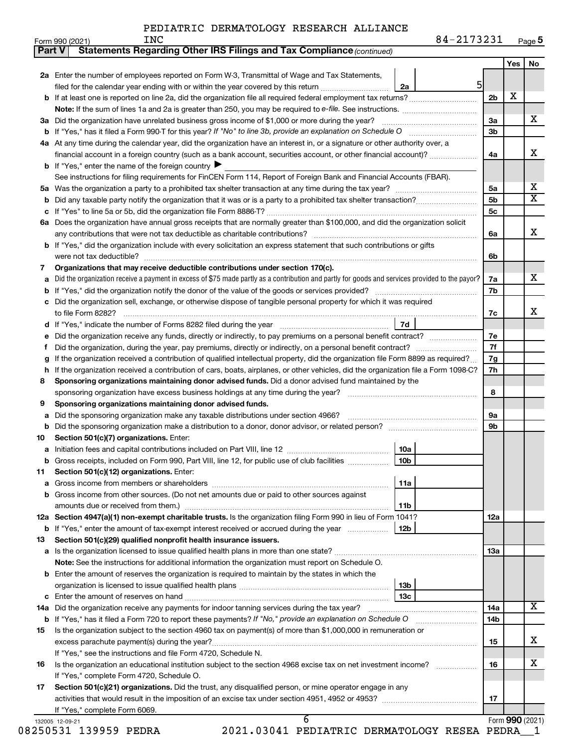$Form 990 (2021)$   $ING$ 

| Page <b>5</b> |
|---------------|
|               |

|                                                                                                                                                                                                                                                                                                                                                                                                                                                                                                                                                                                                                                                                                                                                                                                                                                                                                                                                                                                                                                                                                                                                                                                                                                                                                                                                                                                                                                                                                                                                                                                                                                                                                                                                                                                                                                                                                                                                                                                                                                                                                                                                                                                                                                                                                                                                                                                                                                                                                                                                                                                                                                                                                                                                                                                                                                                                                                                                                                                                                                                                                                                                                                                                                                                                                                                                                                                                                                                                                                                                                                                                                                                                                                                                                                                                                                                                                                                                                                                                                             |          |                |    |                | Yes             | No |
|-----------------------------------------------------------------------------------------------------------------------------------------------------------------------------------------------------------------------------------------------------------------------------------------------------------------------------------------------------------------------------------------------------------------------------------------------------------------------------------------------------------------------------------------------------------------------------------------------------------------------------------------------------------------------------------------------------------------------------------------------------------------------------------------------------------------------------------------------------------------------------------------------------------------------------------------------------------------------------------------------------------------------------------------------------------------------------------------------------------------------------------------------------------------------------------------------------------------------------------------------------------------------------------------------------------------------------------------------------------------------------------------------------------------------------------------------------------------------------------------------------------------------------------------------------------------------------------------------------------------------------------------------------------------------------------------------------------------------------------------------------------------------------------------------------------------------------------------------------------------------------------------------------------------------------------------------------------------------------------------------------------------------------------------------------------------------------------------------------------------------------------------------------------------------------------------------------------------------------------------------------------------------------------------------------------------------------------------------------------------------------------------------------------------------------------------------------------------------------------------------------------------------------------------------------------------------------------------------------------------------------------------------------------------------------------------------------------------------------------------------------------------------------------------------------------------------------------------------------------------------------------------------------------------------------------------------------------------------------------------------------------------------------------------------------------------------------------------------------------------------------------------------------------------------------------------------------------------------------------------------------------------------------------------------------------------------------------------------------------------------------------------------------------------------------------------------------------------------------------------------------------------------------------------------------------------------------------------------------------------------------------------------------------------------------------------------------------------------------------------------------------------------------------------------------------------------------------------------------------------------------------------------------------------------------------------------------------------------------------------------------------------------------|----------|----------------|----|----------------|-----------------|----|
|                                                                                                                                                                                                                                                                                                                                                                                                                                                                                                                                                                                                                                                                                                                                                                                                                                                                                                                                                                                                                                                                                                                                                                                                                                                                                                                                                                                                                                                                                                                                                                                                                                                                                                                                                                                                                                                                                                                                                                                                                                                                                                                                                                                                                                                                                                                                                                                                                                                                                                                                                                                                                                                                                                                                                                                                                                                                                                                                                                                                                                                                                                                                                                                                                                                                                                                                                                                                                                                                                                                                                                                                                                                                                                                                                                                                                                                                                                                                                                                                                             |          |                |    |                |                 |    |
|                                                                                                                                                                                                                                                                                                                                                                                                                                                                                                                                                                                                                                                                                                                                                                                                                                                                                                                                                                                                                                                                                                                                                                                                                                                                                                                                                                                                                                                                                                                                                                                                                                                                                                                                                                                                                                                                                                                                                                                                                                                                                                                                                                                                                                                                                                                                                                                                                                                                                                                                                                                                                                                                                                                                                                                                                                                                                                                                                                                                                                                                                                                                                                                                                                                                                                                                                                                                                                                                                                                                                                                                                                                                                                                                                                                                                                                                                                                                                                                                                             |          | 2a             |    |                |                 |    |
|                                                                                                                                                                                                                                                                                                                                                                                                                                                                                                                                                                                                                                                                                                                                                                                                                                                                                                                                                                                                                                                                                                                                                                                                                                                                                                                                                                                                                                                                                                                                                                                                                                                                                                                                                                                                                                                                                                                                                                                                                                                                                                                                                                                                                                                                                                                                                                                                                                                                                                                                                                                                                                                                                                                                                                                                                                                                                                                                                                                                                                                                                                                                                                                                                                                                                                                                                                                                                                                                                                                                                                                                                                                                                                                                                                                                                                                                                                                                                                                                                             |          |                |    | 2 <sub>b</sub> | X               |    |
|                                                                                                                                                                                                                                                                                                                                                                                                                                                                                                                                                                                                                                                                                                                                                                                                                                                                                                                                                                                                                                                                                                                                                                                                                                                                                                                                                                                                                                                                                                                                                                                                                                                                                                                                                                                                                                                                                                                                                                                                                                                                                                                                                                                                                                                                                                                                                                                                                                                                                                                                                                                                                                                                                                                                                                                                                                                                                                                                                                                                                                                                                                                                                                                                                                                                                                                                                                                                                                                                                                                                                                                                                                                                                                                                                                                                                                                                                                                                                                                                                             |          |                |    |                |                 |    |
|                                                                                                                                                                                                                                                                                                                                                                                                                                                                                                                                                                                                                                                                                                                                                                                                                                                                                                                                                                                                                                                                                                                                                                                                                                                                                                                                                                                                                                                                                                                                                                                                                                                                                                                                                                                                                                                                                                                                                                                                                                                                                                                                                                                                                                                                                                                                                                                                                                                                                                                                                                                                                                                                                                                                                                                                                                                                                                                                                                                                                                                                                                                                                                                                                                                                                                                                                                                                                                                                                                                                                                                                                                                                                                                                                                                                                                                                                                                                                                                                                             |          |                |    | За             |                 |    |
|                                                                                                                                                                                                                                                                                                                                                                                                                                                                                                                                                                                                                                                                                                                                                                                                                                                                                                                                                                                                                                                                                                                                                                                                                                                                                                                                                                                                                                                                                                                                                                                                                                                                                                                                                                                                                                                                                                                                                                                                                                                                                                                                                                                                                                                                                                                                                                                                                                                                                                                                                                                                                                                                                                                                                                                                                                                                                                                                                                                                                                                                                                                                                                                                                                                                                                                                                                                                                                                                                                                                                                                                                                                                                                                                                                                                                                                                                                                                                                                                                             |          |                |    | 3b             |                 |    |
|                                                                                                                                                                                                                                                                                                                                                                                                                                                                                                                                                                                                                                                                                                                                                                                                                                                                                                                                                                                                                                                                                                                                                                                                                                                                                                                                                                                                                                                                                                                                                                                                                                                                                                                                                                                                                                                                                                                                                                                                                                                                                                                                                                                                                                                                                                                                                                                                                                                                                                                                                                                                                                                                                                                                                                                                                                                                                                                                                                                                                                                                                                                                                                                                                                                                                                                                                                                                                                                                                                                                                                                                                                                                                                                                                                                                                                                                                                                                                                                                                             |          |                |    |                |                 |    |
|                                                                                                                                                                                                                                                                                                                                                                                                                                                                                                                                                                                                                                                                                                                                                                                                                                                                                                                                                                                                                                                                                                                                                                                                                                                                                                                                                                                                                                                                                                                                                                                                                                                                                                                                                                                                                                                                                                                                                                                                                                                                                                                                                                                                                                                                                                                                                                                                                                                                                                                                                                                                                                                                                                                                                                                                                                                                                                                                                                                                                                                                                                                                                                                                                                                                                                                                                                                                                                                                                                                                                                                                                                                                                                                                                                                                                                                                                                                                                                                                                             |          |                |    | 4a             |                 |    |
|                                                                                                                                                                                                                                                                                                                                                                                                                                                                                                                                                                                                                                                                                                                                                                                                                                                                                                                                                                                                                                                                                                                                                                                                                                                                                                                                                                                                                                                                                                                                                                                                                                                                                                                                                                                                                                                                                                                                                                                                                                                                                                                                                                                                                                                                                                                                                                                                                                                                                                                                                                                                                                                                                                                                                                                                                                                                                                                                                                                                                                                                                                                                                                                                                                                                                                                                                                                                                                                                                                                                                                                                                                                                                                                                                                                                                                                                                                                                                                                                                             |          |                |    |                |                 |    |
|                                                                                                                                                                                                                                                                                                                                                                                                                                                                                                                                                                                                                                                                                                                                                                                                                                                                                                                                                                                                                                                                                                                                                                                                                                                                                                                                                                                                                                                                                                                                                                                                                                                                                                                                                                                                                                                                                                                                                                                                                                                                                                                                                                                                                                                                                                                                                                                                                                                                                                                                                                                                                                                                                                                                                                                                                                                                                                                                                                                                                                                                                                                                                                                                                                                                                                                                                                                                                                                                                                                                                                                                                                                                                                                                                                                                                                                                                                                                                                                                                             |          |                |    |                |                 |    |
|                                                                                                                                                                                                                                                                                                                                                                                                                                                                                                                                                                                                                                                                                                                                                                                                                                                                                                                                                                                                                                                                                                                                                                                                                                                                                                                                                                                                                                                                                                                                                                                                                                                                                                                                                                                                                                                                                                                                                                                                                                                                                                                                                                                                                                                                                                                                                                                                                                                                                                                                                                                                                                                                                                                                                                                                                                                                                                                                                                                                                                                                                                                                                                                                                                                                                                                                                                                                                                                                                                                                                                                                                                                                                                                                                                                                                                                                                                                                                                                                                             |          |                |    | 5a             |                 |    |
| Statements Regarding Other IRS Filings and Tax Compliance (continued)<br>Part V<br>2a Enter the number of employees reported on Form W-3, Transmittal of Wage and Tax Statements,<br>filed for the calendar year ending with or within the year covered by this return<br>b If at least one is reported on line 2a, did the organization file all required federal employment tax returns?<br>4a At any time during the calendar year, did the organization have an interest in, or a signature or other authority over, a<br>financial account in a foreign country (such as a bank account, securities account, or other financial account)?<br><b>b</b> If "Yes," enter the name of the foreign country $\blacktriangleright$<br>See instructions for filing requirements for FinCEN Form 114, Report of Foreign Bank and Financial Accounts (FBAR).<br>5a<br>6a Does the organization have annual gross receipts that are normally greater than \$100,000, and did the organization solicit<br><b>b</b> If "Yes," did the organization include with every solicitation an express statement that such contributions or gifts<br>Organizations that may receive deductible contributions under section 170(c).<br>7<br>Did the organization receive a payment in excess of \$75 made partly as a contribution and partly for goods and services provided to the payor?<br>c Did the organization sell, exchange, or otherwise dispose of tangible personal property for which it was required<br>7d<br>f.<br>If the organization received a contribution of qualified intellectual property, did the organization file Form 8899 as required?<br>h If the organization received a contribution of cars, boats, airplanes, or other vehicles, did the organization file a Form 1098-C?<br>Sponsoring organizations maintaining donor advised funds. Did a donor advised fund maintained by the<br>8<br>Sponsoring organizations maintaining donor advised funds.<br>9<br>Did the sponsoring organization make any taxable distributions under section 4966?<br>а<br>Did the sponsoring organization make a distribution to a donor, donor advisor, or related person?<br>Section 501(c)(7) organizations. Enter:<br>10<br>10a<br>10 <sub>b</sub><br>b Gross receipts, included on Form 990, Part VIII, line 12, for public use of club facilities<br>Section 501(c)(12) organizations. Enter:<br>11<br>11a<br>а<br>b Gross income from other sources. (Do not net amounts due or paid to other sources against<br>amounts due or received from them.)<br>11 <sub>b</sub><br>12a Section 4947(a)(1) non-exempt charitable trusts. Is the organization filing Form 990 in lieu of Form 1041?<br><b>b</b> If "Yes," enter the amount of tax-exempt interest received or accrued during the year<br>12b<br>Section 501(c)(29) qualified nonprofit health insurance issuers.<br>13<br>a Is the organization licensed to issue qualified health plans in more than one state?<br>Note: See the instructions for additional information the organization must report on Schedule O.<br><b>b</b> Enter the amount of reserves the organization is required to maintain by the states in which the<br>13b<br>13с<br>14a Did the organization receive any payments for indoor tanning services during the tax year?<br><b>b</b> If "Yes," has it filed a Form 720 to report these payments? If "No," provide an explanation on Schedule O<br>Is the organization subject to the section 4960 tax on payment(s) of more than \$1,000,000 in remuneration or<br>15<br>excess parachute payment(s) during the year?<br>If "Yes," see the instructions and file Form 4720, Schedule N.<br>Is the organization an educational institution subject to the section 4968 excise tax on net investment income?<br>16<br>If "Yes," complete Form 4720, Schedule O.<br>Section 501(c)(21) organizations. Did the trust, any disqualified person, or mine operator engage in any<br>17<br>If "Yes," complete Form 6069.<br>6<br>132005 12-09-21 |          | 5 <sub>b</sub> |    |                |                 |    |
|                                                                                                                                                                                                                                                                                                                                                                                                                                                                                                                                                                                                                                                                                                                                                                                                                                                                                                                                                                                                                                                                                                                                                                                                                                                                                                                                                                                                                                                                                                                                                                                                                                                                                                                                                                                                                                                                                                                                                                                                                                                                                                                                                                                                                                                                                                                                                                                                                                                                                                                                                                                                                                                                                                                                                                                                                                                                                                                                                                                                                                                                                                                                                                                                                                                                                                                                                                                                                                                                                                                                                                                                                                                                                                                                                                                                                                                                                                                                                                                                                             | $5 \mid$ |                | 5c |                |                 |    |
|                                                                                                                                                                                                                                                                                                                                                                                                                                                                                                                                                                                                                                                                                                                                                                                                                                                                                                                                                                                                                                                                                                                                                                                                                                                                                                                                                                                                                                                                                                                                                                                                                                                                                                                                                                                                                                                                                                                                                                                                                                                                                                                                                                                                                                                                                                                                                                                                                                                                                                                                                                                                                                                                                                                                                                                                                                                                                                                                                                                                                                                                                                                                                                                                                                                                                                                                                                                                                                                                                                                                                                                                                                                                                                                                                                                                                                                                                                                                                                                                                             |          |                |    |                |                 |    |
|                                                                                                                                                                                                                                                                                                                                                                                                                                                                                                                                                                                                                                                                                                                                                                                                                                                                                                                                                                                                                                                                                                                                                                                                                                                                                                                                                                                                                                                                                                                                                                                                                                                                                                                                                                                                                                                                                                                                                                                                                                                                                                                                                                                                                                                                                                                                                                                                                                                                                                                                                                                                                                                                                                                                                                                                                                                                                                                                                                                                                                                                                                                                                                                                                                                                                                                                                                                                                                                                                                                                                                                                                                                                                                                                                                                                                                                                                                                                                                                                                             |          |                |    | 6a             |                 |    |
|                                                                                                                                                                                                                                                                                                                                                                                                                                                                                                                                                                                                                                                                                                                                                                                                                                                                                                                                                                                                                                                                                                                                                                                                                                                                                                                                                                                                                                                                                                                                                                                                                                                                                                                                                                                                                                                                                                                                                                                                                                                                                                                                                                                                                                                                                                                                                                                                                                                                                                                                                                                                                                                                                                                                                                                                                                                                                                                                                                                                                                                                                                                                                                                                                                                                                                                                                                                                                                                                                                                                                                                                                                                                                                                                                                                                                                                                                                                                                                                                                             |          |                |    |                |                 |    |
|                                                                                                                                                                                                                                                                                                                                                                                                                                                                                                                                                                                                                                                                                                                                                                                                                                                                                                                                                                                                                                                                                                                                                                                                                                                                                                                                                                                                                                                                                                                                                                                                                                                                                                                                                                                                                                                                                                                                                                                                                                                                                                                                                                                                                                                                                                                                                                                                                                                                                                                                                                                                                                                                                                                                                                                                                                                                                                                                                                                                                                                                                                                                                                                                                                                                                                                                                                                                                                                                                                                                                                                                                                                                                                                                                                                                                                                                                                                                                                                                                             |          |                |    | 6b             |                 |    |
|                                                                                                                                                                                                                                                                                                                                                                                                                                                                                                                                                                                                                                                                                                                                                                                                                                                                                                                                                                                                                                                                                                                                                                                                                                                                                                                                                                                                                                                                                                                                                                                                                                                                                                                                                                                                                                                                                                                                                                                                                                                                                                                                                                                                                                                                                                                                                                                                                                                                                                                                                                                                                                                                                                                                                                                                                                                                                                                                                                                                                                                                                                                                                                                                                                                                                                                                                                                                                                                                                                                                                                                                                                                                                                                                                                                                                                                                                                                                                                                                                             |          |                |    |                |                 |    |
|                                                                                                                                                                                                                                                                                                                                                                                                                                                                                                                                                                                                                                                                                                                                                                                                                                                                                                                                                                                                                                                                                                                                                                                                                                                                                                                                                                                                                                                                                                                                                                                                                                                                                                                                                                                                                                                                                                                                                                                                                                                                                                                                                                                                                                                                                                                                                                                                                                                                                                                                                                                                                                                                                                                                                                                                                                                                                                                                                                                                                                                                                                                                                                                                                                                                                                                                                                                                                                                                                                                                                                                                                                                                                                                                                                                                                                                                                                                                                                                                                             |          |                |    | 7a             |                 |    |
|                                                                                                                                                                                                                                                                                                                                                                                                                                                                                                                                                                                                                                                                                                                                                                                                                                                                                                                                                                                                                                                                                                                                                                                                                                                                                                                                                                                                                                                                                                                                                                                                                                                                                                                                                                                                                                                                                                                                                                                                                                                                                                                                                                                                                                                                                                                                                                                                                                                                                                                                                                                                                                                                                                                                                                                                                                                                                                                                                                                                                                                                                                                                                                                                                                                                                                                                                                                                                                                                                                                                                                                                                                                                                                                                                                                                                                                                                                                                                                                                                             |          |                |    | 7b             |                 |    |
|                                                                                                                                                                                                                                                                                                                                                                                                                                                                                                                                                                                                                                                                                                                                                                                                                                                                                                                                                                                                                                                                                                                                                                                                                                                                                                                                                                                                                                                                                                                                                                                                                                                                                                                                                                                                                                                                                                                                                                                                                                                                                                                                                                                                                                                                                                                                                                                                                                                                                                                                                                                                                                                                                                                                                                                                                                                                                                                                                                                                                                                                                                                                                                                                                                                                                                                                                                                                                                                                                                                                                                                                                                                                                                                                                                                                                                                                                                                                                                                                                             |          |                |    |                |                 |    |
|                                                                                                                                                                                                                                                                                                                                                                                                                                                                                                                                                                                                                                                                                                                                                                                                                                                                                                                                                                                                                                                                                                                                                                                                                                                                                                                                                                                                                                                                                                                                                                                                                                                                                                                                                                                                                                                                                                                                                                                                                                                                                                                                                                                                                                                                                                                                                                                                                                                                                                                                                                                                                                                                                                                                                                                                                                                                                                                                                                                                                                                                                                                                                                                                                                                                                                                                                                                                                                                                                                                                                                                                                                                                                                                                                                                                                                                                                                                                                                                                                             |          |                |    | 7c             |                 |    |
|                                                                                                                                                                                                                                                                                                                                                                                                                                                                                                                                                                                                                                                                                                                                                                                                                                                                                                                                                                                                                                                                                                                                                                                                                                                                                                                                                                                                                                                                                                                                                                                                                                                                                                                                                                                                                                                                                                                                                                                                                                                                                                                                                                                                                                                                                                                                                                                                                                                                                                                                                                                                                                                                                                                                                                                                                                                                                                                                                                                                                                                                                                                                                                                                                                                                                                                                                                                                                                                                                                                                                                                                                                                                                                                                                                                                                                                                                                                                                                                                                             |          |                |    |                |                 |    |
|                                                                                                                                                                                                                                                                                                                                                                                                                                                                                                                                                                                                                                                                                                                                                                                                                                                                                                                                                                                                                                                                                                                                                                                                                                                                                                                                                                                                                                                                                                                                                                                                                                                                                                                                                                                                                                                                                                                                                                                                                                                                                                                                                                                                                                                                                                                                                                                                                                                                                                                                                                                                                                                                                                                                                                                                                                                                                                                                                                                                                                                                                                                                                                                                                                                                                                                                                                                                                                                                                                                                                                                                                                                                                                                                                                                                                                                                                                                                                                                                                             |          |                |    | 7е             |                 |    |
|                                                                                                                                                                                                                                                                                                                                                                                                                                                                                                                                                                                                                                                                                                                                                                                                                                                                                                                                                                                                                                                                                                                                                                                                                                                                                                                                                                                                                                                                                                                                                                                                                                                                                                                                                                                                                                                                                                                                                                                                                                                                                                                                                                                                                                                                                                                                                                                                                                                                                                                                                                                                                                                                                                                                                                                                                                                                                                                                                                                                                                                                                                                                                                                                                                                                                                                                                                                                                                                                                                                                                                                                                                                                                                                                                                                                                                                                                                                                                                                                                             |          |                |    | 7f             |                 |    |
|                                                                                                                                                                                                                                                                                                                                                                                                                                                                                                                                                                                                                                                                                                                                                                                                                                                                                                                                                                                                                                                                                                                                                                                                                                                                                                                                                                                                                                                                                                                                                                                                                                                                                                                                                                                                                                                                                                                                                                                                                                                                                                                                                                                                                                                                                                                                                                                                                                                                                                                                                                                                                                                                                                                                                                                                                                                                                                                                                                                                                                                                                                                                                                                                                                                                                                                                                                                                                                                                                                                                                                                                                                                                                                                                                                                                                                                                                                                                                                                                                             |          |                |    | 7g             |                 |    |
|                                                                                                                                                                                                                                                                                                                                                                                                                                                                                                                                                                                                                                                                                                                                                                                                                                                                                                                                                                                                                                                                                                                                                                                                                                                                                                                                                                                                                                                                                                                                                                                                                                                                                                                                                                                                                                                                                                                                                                                                                                                                                                                                                                                                                                                                                                                                                                                                                                                                                                                                                                                                                                                                                                                                                                                                                                                                                                                                                                                                                                                                                                                                                                                                                                                                                                                                                                                                                                                                                                                                                                                                                                                                                                                                                                                                                                                                                                                                                                                                                             |          |                |    | 7h             |                 |    |
|                                                                                                                                                                                                                                                                                                                                                                                                                                                                                                                                                                                                                                                                                                                                                                                                                                                                                                                                                                                                                                                                                                                                                                                                                                                                                                                                                                                                                                                                                                                                                                                                                                                                                                                                                                                                                                                                                                                                                                                                                                                                                                                                                                                                                                                                                                                                                                                                                                                                                                                                                                                                                                                                                                                                                                                                                                                                                                                                                                                                                                                                                                                                                                                                                                                                                                                                                                                                                                                                                                                                                                                                                                                                                                                                                                                                                                                                                                                                                                                                                             |          |                |    |                |                 |    |
|                                                                                                                                                                                                                                                                                                                                                                                                                                                                                                                                                                                                                                                                                                                                                                                                                                                                                                                                                                                                                                                                                                                                                                                                                                                                                                                                                                                                                                                                                                                                                                                                                                                                                                                                                                                                                                                                                                                                                                                                                                                                                                                                                                                                                                                                                                                                                                                                                                                                                                                                                                                                                                                                                                                                                                                                                                                                                                                                                                                                                                                                                                                                                                                                                                                                                                                                                                                                                                                                                                                                                                                                                                                                                                                                                                                                                                                                                                                                                                                                                             |          |                |    | 8              |                 |    |
|                                                                                                                                                                                                                                                                                                                                                                                                                                                                                                                                                                                                                                                                                                                                                                                                                                                                                                                                                                                                                                                                                                                                                                                                                                                                                                                                                                                                                                                                                                                                                                                                                                                                                                                                                                                                                                                                                                                                                                                                                                                                                                                                                                                                                                                                                                                                                                                                                                                                                                                                                                                                                                                                                                                                                                                                                                                                                                                                                                                                                                                                                                                                                                                                                                                                                                                                                                                                                                                                                                                                                                                                                                                                                                                                                                                                                                                                                                                                                                                                                             |          |                |    |                |                 |    |
|                                                                                                                                                                                                                                                                                                                                                                                                                                                                                                                                                                                                                                                                                                                                                                                                                                                                                                                                                                                                                                                                                                                                                                                                                                                                                                                                                                                                                                                                                                                                                                                                                                                                                                                                                                                                                                                                                                                                                                                                                                                                                                                                                                                                                                                                                                                                                                                                                                                                                                                                                                                                                                                                                                                                                                                                                                                                                                                                                                                                                                                                                                                                                                                                                                                                                                                                                                                                                                                                                                                                                                                                                                                                                                                                                                                                                                                                                                                                                                                                                             |          |                |    | 9а             |                 |    |
|                                                                                                                                                                                                                                                                                                                                                                                                                                                                                                                                                                                                                                                                                                                                                                                                                                                                                                                                                                                                                                                                                                                                                                                                                                                                                                                                                                                                                                                                                                                                                                                                                                                                                                                                                                                                                                                                                                                                                                                                                                                                                                                                                                                                                                                                                                                                                                                                                                                                                                                                                                                                                                                                                                                                                                                                                                                                                                                                                                                                                                                                                                                                                                                                                                                                                                                                                                                                                                                                                                                                                                                                                                                                                                                                                                                                                                                                                                                                                                                                                             |          |                |    | 9b             |                 |    |
|                                                                                                                                                                                                                                                                                                                                                                                                                                                                                                                                                                                                                                                                                                                                                                                                                                                                                                                                                                                                                                                                                                                                                                                                                                                                                                                                                                                                                                                                                                                                                                                                                                                                                                                                                                                                                                                                                                                                                                                                                                                                                                                                                                                                                                                                                                                                                                                                                                                                                                                                                                                                                                                                                                                                                                                                                                                                                                                                                                                                                                                                                                                                                                                                                                                                                                                                                                                                                                                                                                                                                                                                                                                                                                                                                                                                                                                                                                                                                                                                                             |          |                |    |                |                 |    |
|                                                                                                                                                                                                                                                                                                                                                                                                                                                                                                                                                                                                                                                                                                                                                                                                                                                                                                                                                                                                                                                                                                                                                                                                                                                                                                                                                                                                                                                                                                                                                                                                                                                                                                                                                                                                                                                                                                                                                                                                                                                                                                                                                                                                                                                                                                                                                                                                                                                                                                                                                                                                                                                                                                                                                                                                                                                                                                                                                                                                                                                                                                                                                                                                                                                                                                                                                                                                                                                                                                                                                                                                                                                                                                                                                                                                                                                                                                                                                                                                                             |          |                |    |                |                 |    |
|                                                                                                                                                                                                                                                                                                                                                                                                                                                                                                                                                                                                                                                                                                                                                                                                                                                                                                                                                                                                                                                                                                                                                                                                                                                                                                                                                                                                                                                                                                                                                                                                                                                                                                                                                                                                                                                                                                                                                                                                                                                                                                                                                                                                                                                                                                                                                                                                                                                                                                                                                                                                                                                                                                                                                                                                                                                                                                                                                                                                                                                                                                                                                                                                                                                                                                                                                                                                                                                                                                                                                                                                                                                                                                                                                                                                                                                                                                                                                                                                                             |          |                |    |                |                 |    |
|                                                                                                                                                                                                                                                                                                                                                                                                                                                                                                                                                                                                                                                                                                                                                                                                                                                                                                                                                                                                                                                                                                                                                                                                                                                                                                                                                                                                                                                                                                                                                                                                                                                                                                                                                                                                                                                                                                                                                                                                                                                                                                                                                                                                                                                                                                                                                                                                                                                                                                                                                                                                                                                                                                                                                                                                                                                                                                                                                                                                                                                                                                                                                                                                                                                                                                                                                                                                                                                                                                                                                                                                                                                                                                                                                                                                                                                                                                                                                                                                                             |          |                |    |                |                 |    |
|                                                                                                                                                                                                                                                                                                                                                                                                                                                                                                                                                                                                                                                                                                                                                                                                                                                                                                                                                                                                                                                                                                                                                                                                                                                                                                                                                                                                                                                                                                                                                                                                                                                                                                                                                                                                                                                                                                                                                                                                                                                                                                                                                                                                                                                                                                                                                                                                                                                                                                                                                                                                                                                                                                                                                                                                                                                                                                                                                                                                                                                                                                                                                                                                                                                                                                                                                                                                                                                                                                                                                                                                                                                                                                                                                                                                                                                                                                                                                                                                                             |          |                |    |                |                 |    |
|                                                                                                                                                                                                                                                                                                                                                                                                                                                                                                                                                                                                                                                                                                                                                                                                                                                                                                                                                                                                                                                                                                                                                                                                                                                                                                                                                                                                                                                                                                                                                                                                                                                                                                                                                                                                                                                                                                                                                                                                                                                                                                                                                                                                                                                                                                                                                                                                                                                                                                                                                                                                                                                                                                                                                                                                                                                                                                                                                                                                                                                                                                                                                                                                                                                                                                                                                                                                                                                                                                                                                                                                                                                                                                                                                                                                                                                                                                                                                                                                                             |          |                |    |                |                 |    |
|                                                                                                                                                                                                                                                                                                                                                                                                                                                                                                                                                                                                                                                                                                                                                                                                                                                                                                                                                                                                                                                                                                                                                                                                                                                                                                                                                                                                                                                                                                                                                                                                                                                                                                                                                                                                                                                                                                                                                                                                                                                                                                                                                                                                                                                                                                                                                                                                                                                                                                                                                                                                                                                                                                                                                                                                                                                                                                                                                                                                                                                                                                                                                                                                                                                                                                                                                                                                                                                                                                                                                                                                                                                                                                                                                                                                                                                                                                                                                                                                                             |          |                |    |                |                 |    |
|                                                                                                                                                                                                                                                                                                                                                                                                                                                                                                                                                                                                                                                                                                                                                                                                                                                                                                                                                                                                                                                                                                                                                                                                                                                                                                                                                                                                                                                                                                                                                                                                                                                                                                                                                                                                                                                                                                                                                                                                                                                                                                                                                                                                                                                                                                                                                                                                                                                                                                                                                                                                                                                                                                                                                                                                                                                                                                                                                                                                                                                                                                                                                                                                                                                                                                                                                                                                                                                                                                                                                                                                                                                                                                                                                                                                                                                                                                                                                                                                                             |          |                |    | 12a            |                 |    |
|                                                                                                                                                                                                                                                                                                                                                                                                                                                                                                                                                                                                                                                                                                                                                                                                                                                                                                                                                                                                                                                                                                                                                                                                                                                                                                                                                                                                                                                                                                                                                                                                                                                                                                                                                                                                                                                                                                                                                                                                                                                                                                                                                                                                                                                                                                                                                                                                                                                                                                                                                                                                                                                                                                                                                                                                                                                                                                                                                                                                                                                                                                                                                                                                                                                                                                                                                                                                                                                                                                                                                                                                                                                                                                                                                                                                                                                                                                                                                                                                                             |          |                |    |                |                 |    |
|                                                                                                                                                                                                                                                                                                                                                                                                                                                                                                                                                                                                                                                                                                                                                                                                                                                                                                                                                                                                                                                                                                                                                                                                                                                                                                                                                                                                                                                                                                                                                                                                                                                                                                                                                                                                                                                                                                                                                                                                                                                                                                                                                                                                                                                                                                                                                                                                                                                                                                                                                                                                                                                                                                                                                                                                                                                                                                                                                                                                                                                                                                                                                                                                                                                                                                                                                                                                                                                                                                                                                                                                                                                                                                                                                                                                                                                                                                                                                                                                                             |          |                |    |                |                 |    |
|                                                                                                                                                                                                                                                                                                                                                                                                                                                                                                                                                                                                                                                                                                                                                                                                                                                                                                                                                                                                                                                                                                                                                                                                                                                                                                                                                                                                                                                                                                                                                                                                                                                                                                                                                                                                                                                                                                                                                                                                                                                                                                                                                                                                                                                                                                                                                                                                                                                                                                                                                                                                                                                                                                                                                                                                                                                                                                                                                                                                                                                                                                                                                                                                                                                                                                                                                                                                                                                                                                                                                                                                                                                                                                                                                                                                                                                                                                                                                                                                                             |          |                |    | 13a            |                 |    |
|                                                                                                                                                                                                                                                                                                                                                                                                                                                                                                                                                                                                                                                                                                                                                                                                                                                                                                                                                                                                                                                                                                                                                                                                                                                                                                                                                                                                                                                                                                                                                                                                                                                                                                                                                                                                                                                                                                                                                                                                                                                                                                                                                                                                                                                                                                                                                                                                                                                                                                                                                                                                                                                                                                                                                                                                                                                                                                                                                                                                                                                                                                                                                                                                                                                                                                                                                                                                                                                                                                                                                                                                                                                                                                                                                                                                                                                                                                                                                                                                                             |          |                |    |                |                 |    |
|                                                                                                                                                                                                                                                                                                                                                                                                                                                                                                                                                                                                                                                                                                                                                                                                                                                                                                                                                                                                                                                                                                                                                                                                                                                                                                                                                                                                                                                                                                                                                                                                                                                                                                                                                                                                                                                                                                                                                                                                                                                                                                                                                                                                                                                                                                                                                                                                                                                                                                                                                                                                                                                                                                                                                                                                                                                                                                                                                                                                                                                                                                                                                                                                                                                                                                                                                                                                                                                                                                                                                                                                                                                                                                                                                                                                                                                                                                                                                                                                                             |          |                |    |                |                 |    |
|                                                                                                                                                                                                                                                                                                                                                                                                                                                                                                                                                                                                                                                                                                                                                                                                                                                                                                                                                                                                                                                                                                                                                                                                                                                                                                                                                                                                                                                                                                                                                                                                                                                                                                                                                                                                                                                                                                                                                                                                                                                                                                                                                                                                                                                                                                                                                                                                                                                                                                                                                                                                                                                                                                                                                                                                                                                                                                                                                                                                                                                                                                                                                                                                                                                                                                                                                                                                                                                                                                                                                                                                                                                                                                                                                                                                                                                                                                                                                                                                                             |          |                |    |                |                 |    |
|                                                                                                                                                                                                                                                                                                                                                                                                                                                                                                                                                                                                                                                                                                                                                                                                                                                                                                                                                                                                                                                                                                                                                                                                                                                                                                                                                                                                                                                                                                                                                                                                                                                                                                                                                                                                                                                                                                                                                                                                                                                                                                                                                                                                                                                                                                                                                                                                                                                                                                                                                                                                                                                                                                                                                                                                                                                                                                                                                                                                                                                                                                                                                                                                                                                                                                                                                                                                                                                                                                                                                                                                                                                                                                                                                                                                                                                                                                                                                                                                                             |          |                |    |                |                 |    |
|                                                                                                                                                                                                                                                                                                                                                                                                                                                                                                                                                                                                                                                                                                                                                                                                                                                                                                                                                                                                                                                                                                                                                                                                                                                                                                                                                                                                                                                                                                                                                                                                                                                                                                                                                                                                                                                                                                                                                                                                                                                                                                                                                                                                                                                                                                                                                                                                                                                                                                                                                                                                                                                                                                                                                                                                                                                                                                                                                                                                                                                                                                                                                                                                                                                                                                                                                                                                                                                                                                                                                                                                                                                                                                                                                                                                                                                                                                                                                                                                                             |          |                |    | 14a            |                 |    |
|                                                                                                                                                                                                                                                                                                                                                                                                                                                                                                                                                                                                                                                                                                                                                                                                                                                                                                                                                                                                                                                                                                                                                                                                                                                                                                                                                                                                                                                                                                                                                                                                                                                                                                                                                                                                                                                                                                                                                                                                                                                                                                                                                                                                                                                                                                                                                                                                                                                                                                                                                                                                                                                                                                                                                                                                                                                                                                                                                                                                                                                                                                                                                                                                                                                                                                                                                                                                                                                                                                                                                                                                                                                                                                                                                                                                                                                                                                                                                                                                                             |          |                |    | 14b            |                 |    |
|                                                                                                                                                                                                                                                                                                                                                                                                                                                                                                                                                                                                                                                                                                                                                                                                                                                                                                                                                                                                                                                                                                                                                                                                                                                                                                                                                                                                                                                                                                                                                                                                                                                                                                                                                                                                                                                                                                                                                                                                                                                                                                                                                                                                                                                                                                                                                                                                                                                                                                                                                                                                                                                                                                                                                                                                                                                                                                                                                                                                                                                                                                                                                                                                                                                                                                                                                                                                                                                                                                                                                                                                                                                                                                                                                                                                                                                                                                                                                                                                                             |          |                |    |                |                 |    |
|                                                                                                                                                                                                                                                                                                                                                                                                                                                                                                                                                                                                                                                                                                                                                                                                                                                                                                                                                                                                                                                                                                                                                                                                                                                                                                                                                                                                                                                                                                                                                                                                                                                                                                                                                                                                                                                                                                                                                                                                                                                                                                                                                                                                                                                                                                                                                                                                                                                                                                                                                                                                                                                                                                                                                                                                                                                                                                                                                                                                                                                                                                                                                                                                                                                                                                                                                                                                                                                                                                                                                                                                                                                                                                                                                                                                                                                                                                                                                                                                                             |          |                |    | 15             |                 |    |
|                                                                                                                                                                                                                                                                                                                                                                                                                                                                                                                                                                                                                                                                                                                                                                                                                                                                                                                                                                                                                                                                                                                                                                                                                                                                                                                                                                                                                                                                                                                                                                                                                                                                                                                                                                                                                                                                                                                                                                                                                                                                                                                                                                                                                                                                                                                                                                                                                                                                                                                                                                                                                                                                                                                                                                                                                                                                                                                                                                                                                                                                                                                                                                                                                                                                                                                                                                                                                                                                                                                                                                                                                                                                                                                                                                                                                                                                                                                                                                                                                             |          |                |    |                |                 |    |
|                                                                                                                                                                                                                                                                                                                                                                                                                                                                                                                                                                                                                                                                                                                                                                                                                                                                                                                                                                                                                                                                                                                                                                                                                                                                                                                                                                                                                                                                                                                                                                                                                                                                                                                                                                                                                                                                                                                                                                                                                                                                                                                                                                                                                                                                                                                                                                                                                                                                                                                                                                                                                                                                                                                                                                                                                                                                                                                                                                                                                                                                                                                                                                                                                                                                                                                                                                                                                                                                                                                                                                                                                                                                                                                                                                                                                                                                                                                                                                                                                             |          |                |    | 16             |                 |    |
|                                                                                                                                                                                                                                                                                                                                                                                                                                                                                                                                                                                                                                                                                                                                                                                                                                                                                                                                                                                                                                                                                                                                                                                                                                                                                                                                                                                                                                                                                                                                                                                                                                                                                                                                                                                                                                                                                                                                                                                                                                                                                                                                                                                                                                                                                                                                                                                                                                                                                                                                                                                                                                                                                                                                                                                                                                                                                                                                                                                                                                                                                                                                                                                                                                                                                                                                                                                                                                                                                                                                                                                                                                                                                                                                                                                                                                                                                                                                                                                                                             |          |                |    |                |                 |    |
|                                                                                                                                                                                                                                                                                                                                                                                                                                                                                                                                                                                                                                                                                                                                                                                                                                                                                                                                                                                                                                                                                                                                                                                                                                                                                                                                                                                                                                                                                                                                                                                                                                                                                                                                                                                                                                                                                                                                                                                                                                                                                                                                                                                                                                                                                                                                                                                                                                                                                                                                                                                                                                                                                                                                                                                                                                                                                                                                                                                                                                                                                                                                                                                                                                                                                                                                                                                                                                                                                                                                                                                                                                                                                                                                                                                                                                                                                                                                                                                                                             |          |                |    |                |                 |    |
|                                                                                                                                                                                                                                                                                                                                                                                                                                                                                                                                                                                                                                                                                                                                                                                                                                                                                                                                                                                                                                                                                                                                                                                                                                                                                                                                                                                                                                                                                                                                                                                                                                                                                                                                                                                                                                                                                                                                                                                                                                                                                                                                                                                                                                                                                                                                                                                                                                                                                                                                                                                                                                                                                                                                                                                                                                                                                                                                                                                                                                                                                                                                                                                                                                                                                                                                                                                                                                                                                                                                                                                                                                                                                                                                                                                                                                                                                                                                                                                                                             |          |                |    | 17             |                 |    |
|                                                                                                                                                                                                                                                                                                                                                                                                                                                                                                                                                                                                                                                                                                                                                                                                                                                                                                                                                                                                                                                                                                                                                                                                                                                                                                                                                                                                                                                                                                                                                                                                                                                                                                                                                                                                                                                                                                                                                                                                                                                                                                                                                                                                                                                                                                                                                                                                                                                                                                                                                                                                                                                                                                                                                                                                                                                                                                                                                                                                                                                                                                                                                                                                                                                                                                                                                                                                                                                                                                                                                                                                                                                                                                                                                                                                                                                                                                                                                                                                                             |          |                |    |                |                 |    |
|                                                                                                                                                                                                                                                                                                                                                                                                                                                                                                                                                                                                                                                                                                                                                                                                                                                                                                                                                                                                                                                                                                                                                                                                                                                                                                                                                                                                                                                                                                                                                                                                                                                                                                                                                                                                                                                                                                                                                                                                                                                                                                                                                                                                                                                                                                                                                                                                                                                                                                                                                                                                                                                                                                                                                                                                                                                                                                                                                                                                                                                                                                                                                                                                                                                                                                                                                                                                                                                                                                                                                                                                                                                                                                                                                                                                                                                                                                                                                                                                                             |          |                |    |                | Form 990 (2021) |    |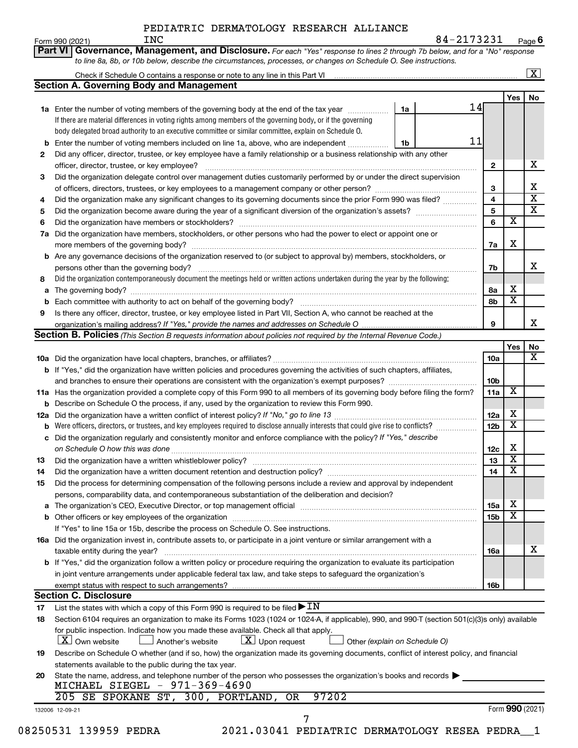Form 990 (2021) Page **6** INC 84-2173231

|     | Check if Schedule O contains a response or note to any line in this Part VI [11] [12] [12] [12] [12] [12] Check if Schedule O contains a response or note to any line in this Part VI     |    |                 |     |                         | $\boxed{\text{X}}$      |
|-----|-------------------------------------------------------------------------------------------------------------------------------------------------------------------------------------------|----|-----------------|-----|-------------------------|-------------------------|
|     | <b>Section A. Governing Body and Management</b>                                                                                                                                           |    |                 |     |                         |                         |
|     |                                                                                                                                                                                           |    |                 |     | Yes                     | No                      |
|     | 1a Enter the number of voting members of the governing body at the end of the tax year <i>manumum</i>                                                                                     | 1a | 14              |     |                         |                         |
|     | If there are material differences in voting rights among members of the governing body, or if the governing                                                                               |    |                 |     |                         |                         |
|     | body delegated broad authority to an executive committee or similar committee, explain on Schedule O.                                                                                     |    |                 |     |                         |                         |
|     | <b>b</b> Enter the number of voting members included on line 1a, above, who are independent                                                                                               | 1b | 11              |     |                         |                         |
| 2   | Did any officer, director, trustee, or key employee have a family relationship or a business relationship with any other                                                                  |    |                 |     |                         |                         |
|     |                                                                                                                                                                                           |    | $\mathbf{2}$    |     |                         | х                       |
| 3   | Did the organization delegate control over management duties customarily performed by or under the direct supervision                                                                     |    |                 |     |                         |                         |
|     |                                                                                                                                                                                           |    | 3               |     |                         | $\overline{\mathbf{x}}$ |
| 4   | Did the organization make any significant changes to its governing documents since the prior Form 990 was filed?                                                                          |    | 4               |     |                         |                         |
| 5   |                                                                                                                                                                                           |    | 5               |     |                         |                         |
| 6   |                                                                                                                                                                                           |    | 6               |     | $\overline{\mathbf{x}}$ |                         |
| 7a  | Did the organization have members, stockholders, or other persons who had the power to elect or appoint one or                                                                            |    |                 |     |                         |                         |
|     |                                                                                                                                                                                           |    | 7a              |     | X                       |                         |
|     | <b>b</b> Are any governance decisions of the organization reserved to (or subject to approval by) members, stockholders, or                                                               |    |                 |     |                         |                         |
|     |                                                                                                                                                                                           |    | 7b              |     |                         |                         |
| 8   | Did the organization contemporaneously document the meetings held or written actions undertaken during the year by the following:                                                         |    |                 |     |                         |                         |
| a   |                                                                                                                                                                                           |    | 8а              |     | х                       |                         |
|     |                                                                                                                                                                                           |    | 8b              |     | $\overline{\mathbf{x}}$ |                         |
| 9   | Is there any officer, director, trustee, or key employee listed in Part VII, Section A, who cannot be reached at the                                                                      |    |                 |     |                         |                         |
|     |                                                                                                                                                                                           |    | 9               |     |                         |                         |
|     | Section B. Policies (This Section B requests information about policies not required by the Internal Revenue Code.)                                                                       |    |                 |     |                         |                         |
|     |                                                                                                                                                                                           |    |                 |     | Yes                     |                         |
|     |                                                                                                                                                                                           |    | <b>10a</b>      |     |                         |                         |
|     | b If "Yes," did the organization have written policies and procedures governing the activities of such chapters, affiliates,                                                              |    |                 |     |                         |                         |
|     |                                                                                                                                                                                           |    | 10b             |     |                         |                         |
|     | 11a Has the organization provided a complete copy of this Form 990 to all members of its governing body before filing the form?                                                           |    | 11a             |     | X                       |                         |
|     | <b>b</b> Describe on Schedule O the process, if any, used by the organization to review this Form 990.                                                                                    |    |                 |     |                         |                         |
| 12a |                                                                                                                                                                                           |    | 12a             |     | х                       |                         |
|     | <b>b</b> Were officers, directors, or trustees, and key employees required to disclose annually interests that could give rise to conflicts?                                              |    | 12 <sub>b</sub> |     | $\overline{\textbf{x}}$ |                         |
|     | c Did the organization regularly and consistently monitor and enforce compliance with the policy? If "Yes," describe                                                                      |    |                 |     |                         |                         |
|     |                                                                                                                                                                                           |    |                 | 12c | X                       |                         |
|     |                                                                                                                                                                                           |    | 13              |     | $\overline{\mathbf{x}}$ |                         |
| 13  | Did the organization have a written document retention and destruction policy? [111] [12] manument content and the organization have a written document retention and destruction policy? |    |                 | 14  | $\overline{\textbf{x}}$ |                         |
| 14  |                                                                                                                                                                                           |    |                 |     |                         |                         |
| 15  | Did the process for determining compensation of the following persons include a review and approval by independent                                                                        |    |                 |     |                         |                         |
|     | persons, comparability data, and contemporaneous substantiation of the deliberation and decision?                                                                                         |    |                 |     |                         |                         |
| a   |                                                                                                                                                                                           |    | 15a             |     | X                       |                         |
|     |                                                                                                                                                                                           |    | 15b             |     | X                       |                         |
|     | If "Yes" to line 15a or 15b, describe the process on Schedule O. See instructions.                                                                                                        |    |                 |     |                         |                         |
|     | 16a Did the organization invest in, contribute assets to, or participate in a joint venture or similar arrangement with a                                                                 |    |                 |     |                         |                         |
|     | taxable entity during the year?                                                                                                                                                           |    | 16a             |     |                         |                         |
|     | <b>b</b> If "Yes," did the organization follow a written policy or procedure requiring the organization to evaluate its participation                                                     |    |                 |     |                         |                         |
|     | in joint venture arrangements under applicable federal tax law, and take steps to safeguard the organization's                                                                            |    |                 |     |                         |                         |
|     | exempt status with respect to such arrangements?                                                                                                                                          |    | 16b             |     |                         |                         |
|     | <b>Section C. Disclosure</b>                                                                                                                                                              |    |                 |     |                         |                         |
| 17  | List the states with which a copy of this Form 990 is required to be filed $\blacktriangleright$ IN                                                                                       |    |                 |     |                         |                         |
| 18  | Section 6104 requires an organization to make its Forms 1023 (1024 or 1024-A, if applicable), 990, and 990-T (section 501(c)(3)s only) available                                          |    |                 |     |                         |                         |
|     | for public inspection. Indicate how you made these available. Check all that apply.                                                                                                       |    |                 |     |                         |                         |
|     | $\lfloor x \rfloor$ Upon request<br>$ \mathbf{X} $ Own website<br>Another's website<br>Other (explain on Schedule O)                                                                      |    |                 |     |                         |                         |
| 19  | Describe on Schedule O whether (and if so, how) the organization made its governing documents, conflict of interest policy, and financial                                                 |    |                 |     |                         |                         |
|     | statements available to the public during the tax year.                                                                                                                                   |    |                 |     |                         |                         |
| 20  | State the name, address, and telephone number of the person who possesses the organization's books and records                                                                            |    |                 |     |                         |                         |
|     | MICHAEL SIEGEL - 971-369-4690                                                                                                                                                             |    |                 |     |                         |                         |
|     |                                                                                                                                                                                           |    |                 |     |                         |                         |
|     | 205 SE SPOKANE ST, 300, PORTLAND, OR<br>97202                                                                                                                                             |    |                 |     |                         |                         |
|     | 132006 12-09-21                                                                                                                                                                           |    |                 |     | Form 990 (2021)         |                         |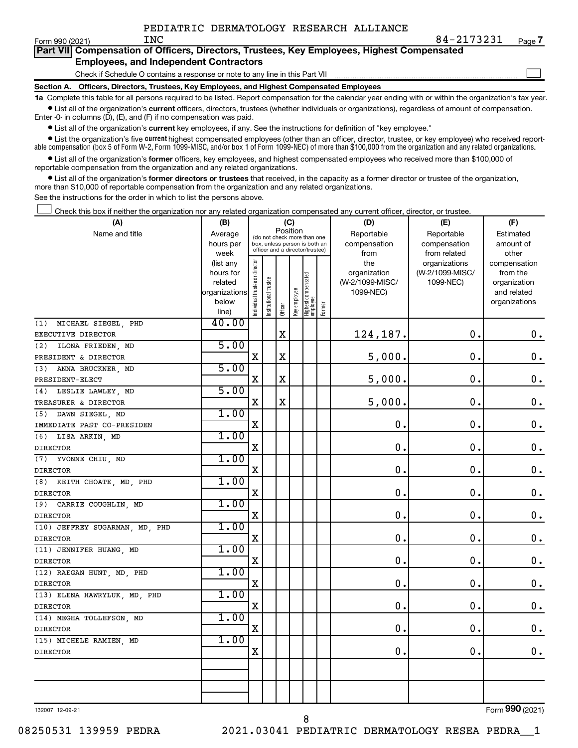$\Box$ 

| Part VII Compensation of Officers, Directors, Trustees, Key Employees, Highest Compensated |
|--------------------------------------------------------------------------------------------|
| <b>Employees, and Independent Contractors</b>                                              |

Check if Schedule O contains a response or note to any line in this Part VII

**Section A. Officers, Directors, Trustees, Key Employees, and Highest Compensated Employees**

**1a**  Complete this table for all persons required to be listed. Report compensation for the calendar year ending with or within the organization's tax year.  $\bullet$  List all of the organization's current officers, directors, trustees (whether individuals or organizations), regardless of amount of compensation.

Enter -0- in columns (D), (E), and (F) if no compensation was paid.

**•** List all of the organization's **current** key employees, if any. See the instructions for definition of "key employee."

• List the organization's five *current* highest compensated employees (other than an officer, director, trustee, or key employee) who received reportable compensation (box 5 of Form W-2, Form 1099-MISC, and/or box 1 of Form 1099-NEC) of more than \$100,000 from the organization and any related organizations.

 $\bullet$  List all of the organization's former officers, key employees, and highest compensated employees who received more than \$100,000 of reportable compensation from the organization and any related organizations.

**•** List all of the organization's former directors or trustees that received, in the capacity as a former director or trustee of the organization, more than \$10,000 of reportable compensation from the organization and any related organizations.

See the instructions for the order in which to list the persons above.

Check this box if neither the organization nor any related organization compensated any current officer, director, or trustee.  $\Box$ 

| (A)                            | (B)                    |                                         |                                                                  |             | (C)          |                                  |        | (D)             | (E)             | (F)                |
|--------------------------------|------------------------|-----------------------------------------|------------------------------------------------------------------|-------------|--------------|----------------------------------|--------|-----------------|-----------------|--------------------|
| Name and title                 | Average                | Position<br>(do not check more than one |                                                                  |             |              |                                  |        | Reportable      | Reportable      | Estimated          |
|                                | hours per              |                                         | box, unless person is both an<br>officer and a director/trustee) |             |              |                                  |        | compensation    | compensation    | amount of          |
|                                | week                   |                                         |                                                                  |             |              |                                  |        | from            | from related    | other              |
|                                | (list any              |                                         |                                                                  |             |              |                                  |        | the             | organizations   | compensation       |
|                                | hours for              |                                         |                                                                  |             |              |                                  |        | organization    | (W-2/1099-MISC/ | from the           |
|                                | related                |                                         |                                                                  |             |              |                                  |        | (W-2/1099-MISC/ | 1099-NEC)       | organization       |
|                                | organizations<br>below |                                         |                                                                  |             |              |                                  |        | 1099-NEC)       |                 | and related        |
|                                | line)                  | ndividual trustee or director           | Institutional trustee                                            | Officer     | Key employee | Highest compensated<br> employee | Former |                 |                 | organizations      |
| MICHAEL SIEGEL, PHD<br>(1)     | 40.00                  |                                         |                                                                  |             |              |                                  |        |                 |                 |                    |
| EXECUTIVE DIRECTOR             |                        |                                         |                                                                  | $\mathbf X$ |              |                                  |        | 124,187.        | $\mathbf 0$ .   | $\boldsymbol{0}$ . |
| ILONA FRIEDEN, MD<br>(2)       | 5.00                   |                                         |                                                                  |             |              |                                  |        |                 |                 |                    |
| PRESIDENT & DIRECTOR           |                        | X                                       |                                                                  | $\mathbf X$ |              |                                  |        | 5,000.          | $\mathbf 0$ .   | $\mathbf 0$ .      |
| (3)<br>ANNA BRUCKNER, MD       | 5.00                   |                                         |                                                                  |             |              |                                  |        |                 |                 |                    |
| PRESIDENT-ELECT                |                        | X                                       |                                                                  | $\mathbf X$ |              |                                  |        | 5,000.          | $\mathbf 0$ .   | $\mathbf 0$ .      |
| (4) LESLIE LAWLEY, MD          | 5.00                   |                                         |                                                                  |             |              |                                  |        |                 |                 |                    |
| TREASURER & DIRECTOR           |                        | $\mathbf X$                             |                                                                  | $\mathbf X$ |              |                                  |        | 5,000.          | $\mathbf 0$ .   | $\mathbf 0$ .      |
| (5) DAWN SIEGEL, MD            | 1.00                   |                                         |                                                                  |             |              |                                  |        |                 |                 |                    |
| IMMEDIATE PAST CO-PRESIDEN     |                        | $\mathbf X$                             |                                                                  |             |              |                                  |        | 0.              | $\mathbf 0$ .   | $\mathbf 0$ .      |
| (6) LISA ARKIN, MD             | 1.00                   |                                         |                                                                  |             |              |                                  |        |                 |                 |                    |
| <b>DIRECTOR</b>                |                        | $\mathbf X$                             |                                                                  |             |              |                                  |        | 0.              | $\mathbf 0$ .   | $\mathbf 0$ .      |
| (7) YVONNE CHIU, MD            | 1.00                   |                                         |                                                                  |             |              |                                  |        |                 |                 |                    |
| <b>DIRECTOR</b>                |                        | $\mathbf X$                             |                                                                  |             |              |                                  |        | 0.              | $\mathbf 0$ .   | $\mathbf 0$ .      |
| (8) KEITH CHOATE, MD, PHD      | 1.00                   |                                         |                                                                  |             |              |                                  |        |                 |                 |                    |
| <b>DIRECTOR</b>                |                        | X                                       |                                                                  |             |              |                                  |        | 0.              | $\mathbf 0$ .   | $\mathbf 0$ .      |
| CARRIE COUGHLIN, MD<br>(9)     | 1.00                   |                                         |                                                                  |             |              |                                  |        |                 |                 |                    |
| <b>DIRECTOR</b>                |                        | X                                       |                                                                  |             |              |                                  |        | 0.              | $\mathbf 0$ .   | $\mathbf 0$ .      |
| (10) JEFFREY SUGARMAN, MD, PHD | 1.00                   |                                         |                                                                  |             |              |                                  |        |                 |                 |                    |
| <b>DIRECTOR</b>                |                        | X                                       |                                                                  |             |              |                                  |        | $\mathbf 0$ .   | О.              | $\mathbf 0$ .      |
| (11) JENNIFER HUANG, MD        | 1.00                   |                                         |                                                                  |             |              |                                  |        |                 |                 |                    |
| <b>DIRECTOR</b>                |                        | X                                       |                                                                  |             |              |                                  |        | 0.              | $\mathbf 0$ .   | $\mathbf 0$ .      |
| (12) RAEGAN HUNT, MD, PHD      | 1.00                   |                                         |                                                                  |             |              |                                  |        |                 |                 |                    |
| <b>DIRECTOR</b>                |                        | X                                       |                                                                  |             |              |                                  |        | 0.              | $\mathbf 0$ .   | $\mathbf 0$ .      |
| (13) ELENA HAWRYLUK, MD, PHD   | 1.00                   |                                         |                                                                  |             |              |                                  |        |                 |                 |                    |
| <b>DIRECTOR</b>                |                        | $\mathbf X$                             |                                                                  |             |              |                                  |        | 0.              | $\mathbf 0$ .   | $\mathbf 0$ .      |
| (14) MEGHA TOLLEFSON, MD       | 1.00                   |                                         |                                                                  |             |              |                                  |        |                 |                 |                    |
| <b>DIRECTOR</b>                |                        | X                                       |                                                                  |             |              |                                  |        | $\mathbf 0$ .   | $\mathbf 0$ .   | $\mathbf 0$ .      |
| (15) MICHELE RAMIEN, MD        | 1.00                   |                                         |                                                                  |             |              |                                  |        |                 |                 |                    |
| <b>DIRECTOR</b>                |                        | X                                       |                                                                  |             |              |                                  |        | 0.              | $\mathbf 0$ .   | $\mathbf 0$ .      |
|                                |                        |                                         |                                                                  |             |              |                                  |        |                 |                 |                    |
|                                |                        |                                         |                                                                  |             |              |                                  |        |                 |                 |                    |
|                                |                        |                                         |                                                                  |             |              |                                  |        |                 |                 |                    |
|                                |                        |                                         |                                                                  |             |              |                                  |        |                 |                 |                    |

132007 12-09-21

Form (2021) **990**

08250531 139959 PEDRA 2021.03041 PEDIATRIC DERMATOLOGY RESEA PEDRA\_\_1

8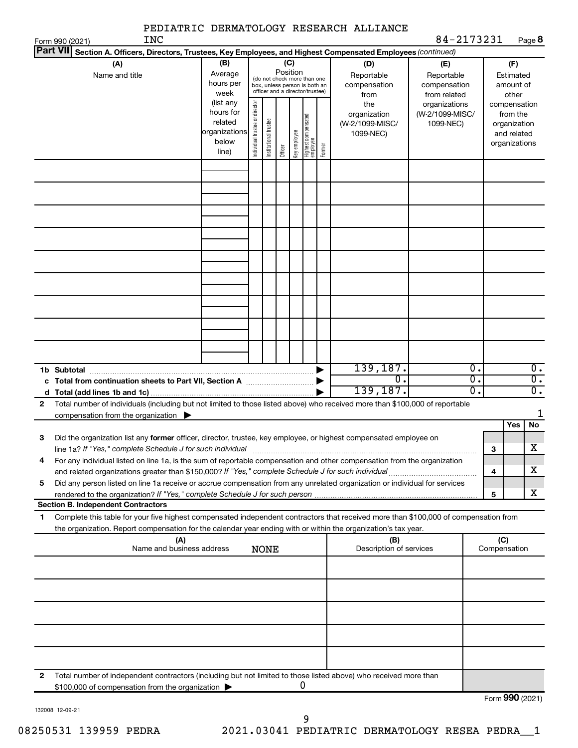|                                                                                                                                                                                                                                                              | PEDIATRIC DERMATOLOGY RESEARCH ALLIANCE                                                                                                                                                    |                                                                                                                    |                                              |                              |  |                                                          |  |                                                  |                                                                    |                     |                                                        |
|--------------------------------------------------------------------------------------------------------------------------------------------------------------------------------------------------------------------------------------------------------------|--------------------------------------------------------------------------------------------------------------------------------------------------------------------------------------------|--------------------------------------------------------------------------------------------------------------------|----------------------------------------------|------------------------------|--|----------------------------------------------------------|--|--------------------------------------------------|--------------------------------------------------------------------|---------------------|--------------------------------------------------------|
| <b>INC</b><br>Form 990 (2021)<br> Part VII                                                                                                                                                                                                                   | Section A. Officers, Directors, Trustees, Key Employees, and Highest Compensated Employees (continued)                                                                                     |                                                                                                                    |                                              |                              |  |                                                          |  |                                                  | 84-2173231                                                         |                     | Page 8                                                 |
| (A)<br>Name and title                                                                                                                                                                                                                                        | (B)<br>Average<br>hours per<br>week<br>(list any                                                                                                                                           | (C)<br>Position<br>(do not check more than one<br>box, unless person is both an<br>officer and a director/trustee) |                                              |                              |  |                                                          |  | (D)<br>Reportable<br>compensation<br>from<br>the | (E)<br>Reportable<br>compensation<br>from related<br>organizations |                     | (F)<br>Estimated<br>amount of<br>other<br>compensation |
|                                                                                                                                                                                                                                                              | Individual trustee or director<br>hours for<br>Highest compensated<br>employee<br>Institutional trustee<br>related<br>organizations<br>Key employee<br>below<br>Former<br>Officer<br>line) |                                                                                                                    | organization<br>(W-2/1099-MISC/<br>1099-NEC) | (W-2/1099-MISC/<br>1099-NEC) |  | from the<br>organization<br>and related<br>organizations |  |                                                  |                                                                    |                     |                                                        |
|                                                                                                                                                                                                                                                              |                                                                                                                                                                                            |                                                                                                                    |                                              |                              |  |                                                          |  |                                                  |                                                                    |                     |                                                        |
|                                                                                                                                                                                                                                                              |                                                                                                                                                                                            |                                                                                                                    |                                              |                              |  |                                                          |  |                                                  |                                                                    |                     |                                                        |
|                                                                                                                                                                                                                                                              |                                                                                                                                                                                            |                                                                                                                    |                                              |                              |  |                                                          |  |                                                  |                                                                    |                     |                                                        |
|                                                                                                                                                                                                                                                              |                                                                                                                                                                                            |                                                                                                                    |                                              |                              |  |                                                          |  | 139, 187.                                        | Ο.                                                                 |                     | $\overline{0}$ .                                       |
| 1b Subtotal<br>c Total from continuation sheets to Part VII, Section A <b>Constitution</b>                                                                                                                                                                   |                                                                                                                                                                                            |                                                                                                                    |                                              |                              |  |                                                          |  | $\overline{0}$<br>139, 187.                      | $\overline{0}$ .<br>σ.                                             |                     | $\overline{0}$ .<br>$\overline{\mathfrak{o}}$ .        |
| Total number of individuals (including but not limited to those listed above) who received more than \$100,000 of reportable<br>$\mathbf{2}$<br>compensation from the organization $\blacktriangleright$                                                     |                                                                                                                                                                                            |                                                                                                                    |                                              |                              |  |                                                          |  |                                                  |                                                                    |                     | 1                                                      |
| Did the organization list any former officer, director, trustee, key employee, or highest compensated employee on<br>З<br>line 1a? If "Yes," complete Schedule J for such individual                                                                         |                                                                                                                                                                                            |                                                                                                                    |                                              |                              |  |                                                          |  |                                                  |                                                                    | з                   | No<br>Yes<br>$\overline{\textbf{X}}$                   |
| For any individual listed on line 1a, is the sum of reportable compensation and other compensation from the organization<br>4                                                                                                                                |                                                                                                                                                                                            |                                                                                                                    |                                              |                              |  |                                                          |  |                                                  |                                                                    | 4                   | х                                                      |
| Did any person listed on line 1a receive or accrue compensation from any unrelated organization or individual for services<br>5<br>rendered to the organization? If "Yes," complete Schedule J for such person.<br><b>Section B. Independent Contractors</b> |                                                                                                                                                                                            |                                                                                                                    |                                              |                              |  |                                                          |  |                                                  |                                                                    | 5                   | х                                                      |
| Complete this table for your five highest compensated independent contractors that received more than \$100,000 of compensation from<br>1<br>the organization. Report compensation for the calendar year ending with or within the organization's tax year.  |                                                                                                                                                                                            |                                                                                                                    |                                              |                              |  |                                                          |  |                                                  |                                                                    |                     |                                                        |
|                                                                                                                                                                                                                                                              | (A)<br>Name and business address                                                                                                                                                           |                                                                                                                    | <b>NONE</b>                                  |                              |  |                                                          |  | (B)<br>Description of services                   |                                                                    | (C)<br>Compensation |                                                        |
|                                                                                                                                                                                                                                                              |                                                                                                                                                                                            |                                                                                                                    |                                              |                              |  |                                                          |  |                                                  |                                                                    |                     |                                                        |
|                                                                                                                                                                                                                                                              |                                                                                                                                                                                            |                                                                                                                    |                                              |                              |  |                                                          |  |                                                  |                                                                    |                     |                                                        |
| Total number of independent contractors (including but not limited to those listed above) who received more than<br>2<br>\$100,000 of compensation from the organization >                                                                                   |                                                                                                                                                                                            |                                                                                                                    |                                              |                              |  | 0                                                        |  |                                                  |                                                                    |                     |                                                        |
|                                                                                                                                                                                                                                                              |                                                                                                                                                                                            |                                                                                                                    |                                              |                              |  |                                                          |  |                                                  |                                                                    |                     | Form 990 (2021)                                        |

132008 12-09-21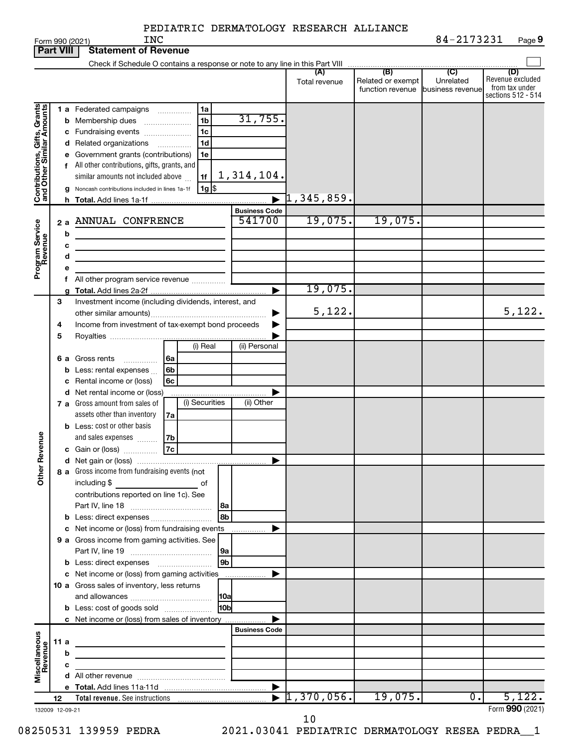| <b>Part VIII</b>             |      |        | Statement of Revenue                                                                                                                                                                                                                                                                                                                                                       |                                                |                                  |                                              |                                      |                                                                 |
|------------------------------|------|--------|----------------------------------------------------------------------------------------------------------------------------------------------------------------------------------------------------------------------------------------------------------------------------------------------------------------------------------------------------------------------------|------------------------------------------------|----------------------------------|----------------------------------------------|--------------------------------------|-----------------------------------------------------------------|
|                              |      |        |                                                                                                                                                                                                                                                                                                                                                                            |                                                | (A)<br>Total revenue             | (B)<br>Related or exempt<br>function revenue | (C)<br>Unrelated<br>business revenue | (D)<br>Revenue excluded<br>from tax under<br>sections 512 - 514 |
| Contributions, Gifts, Grants |      |        | 1a<br>1 a Federated campaigns<br>1 <sub>b</sub><br><b>b</b> Membership dues<br>1 <sub>c</sub><br>c Fundraising events<br>1 <sub>d</sub><br>d Related organizations<br>1e<br>e Government grants (contributions)<br>f All other contributions, gifts, grants, and<br>1f<br>similar amounts not included above<br>$1g$ \$<br>g Noncash contributions included in lines 1a-1f | 31,755.<br>1,314,104.<br>$\blacktriangleright$ | $\mathbb{1}$ ,345,859.           |                                              |                                      |                                                                 |
|                              |      |        |                                                                                                                                                                                                                                                                                                                                                                            | <b>Business Code</b>                           |                                  |                                              |                                      |                                                                 |
| Program Service<br>Revenue   |      | 2a     | ANNUAL CONFRENCE                                                                                                                                                                                                                                                                                                                                                           | 541700                                         | 19,075.                          | 19,075.                                      |                                      |                                                                 |
|                              |      | b<br>с | the control of the control of the control of the control of the control of                                                                                                                                                                                                                                                                                                 |                                                |                                  |                                              |                                      |                                                                 |
|                              |      | d      | the control of the control of the control of the control of the control of<br>the control of the control of the control of the control of the control of                                                                                                                                                                                                                   |                                                |                                  |                                              |                                      |                                                                 |
|                              |      | е      |                                                                                                                                                                                                                                                                                                                                                                            |                                                |                                  |                                              |                                      |                                                                 |
|                              |      |        | All other program service revenue                                                                                                                                                                                                                                                                                                                                          |                                                |                                  |                                              |                                      |                                                                 |
|                              | 3    |        | Investment income (including dividends, interest, and                                                                                                                                                                                                                                                                                                                      | ▶                                              | 19,075.                          |                                              |                                      |                                                                 |
|                              |      |        |                                                                                                                                                                                                                                                                                                                                                                            | ▶                                              | 5,122.                           |                                              |                                      | 5,122.                                                          |
|                              | 4    |        | Income from investment of tax-exempt bond proceeds                                                                                                                                                                                                                                                                                                                         | ▶                                              |                                  |                                              |                                      |                                                                 |
|                              | 5    |        |                                                                                                                                                                                                                                                                                                                                                                            |                                                |                                  |                                              |                                      |                                                                 |
|                              |      |        | (i) Real                                                                                                                                                                                                                                                                                                                                                                   | (ii) Personal                                  |                                  |                                              |                                      |                                                                 |
|                              |      |        | 6a<br>6 a Gross rents<br>.                                                                                                                                                                                                                                                                                                                                                 |                                                |                                  |                                              |                                      |                                                                 |
|                              |      |        | 6b<br><b>b</b> Less: rental expenses<br>6c<br>c Rental income or (loss)                                                                                                                                                                                                                                                                                                    |                                                |                                  |                                              |                                      |                                                                 |
|                              |      |        | d Net rental income or (loss)                                                                                                                                                                                                                                                                                                                                              | ▶                                              |                                  |                                              |                                      |                                                                 |
|                              |      |        | (i) Securities<br>7 a Gross amount from sales of                                                                                                                                                                                                                                                                                                                           | (ii) Other                                     |                                  |                                              |                                      |                                                                 |
|                              |      |        | assets other than inventory<br>7a                                                                                                                                                                                                                                                                                                                                          |                                                |                                  |                                              |                                      |                                                                 |
|                              |      |        | <b>b</b> Less: cost or other basis                                                                                                                                                                                                                                                                                                                                         |                                                |                                  |                                              |                                      |                                                                 |
| Revenue                      |      |        | and sales expenses<br> 7b                                                                                                                                                                                                                                                                                                                                                  |                                                |                                  |                                              |                                      |                                                                 |
|                              |      |        | c Gain or (loss) $\overline{7c}$                                                                                                                                                                                                                                                                                                                                           | ▶                                              |                                  |                                              |                                      |                                                                 |
| ৯<br>हैं                     |      |        | 8 a Gross income from fundraising events (not<br>including \$ of<br>contributions reported on line 1c). See                                                                                                                                                                                                                                                                |                                                |                                  |                                              |                                      |                                                                 |
|                              |      |        | 8a                                                                                                                                                                                                                                                                                                                                                                         |                                                |                                  |                                              |                                      |                                                                 |
|                              |      |        | 8b<br>b Less: direct expenses                                                                                                                                                                                                                                                                                                                                              | ▶                                              |                                  |                                              |                                      |                                                                 |
|                              |      |        | c Net income or (loss) from fundraising events<br>9 a Gross income from gaming activities. See                                                                                                                                                                                                                                                                             | .                                              |                                  |                                              |                                      |                                                                 |
|                              |      |        | 9a                                                                                                                                                                                                                                                                                                                                                                         |                                                |                                  |                                              |                                      |                                                                 |
|                              |      |        | 9b                                                                                                                                                                                                                                                                                                                                                                         |                                                |                                  |                                              |                                      |                                                                 |
|                              |      |        | c Net income or (loss) from gaming activities                                                                                                                                                                                                                                                                                                                              | ▶                                              |                                  |                                              |                                      |                                                                 |
|                              |      |        | 10 a Gross sales of inventory, less returns                                                                                                                                                                                                                                                                                                                                |                                                |                                  |                                              |                                      |                                                                 |
|                              |      |        | 10a<br>10b<br><b>b</b> Less: cost of goods sold                                                                                                                                                                                                                                                                                                                            |                                                |                                  |                                              |                                      |                                                                 |
|                              |      |        | c Net income or (loss) from sales of inventory                                                                                                                                                                                                                                                                                                                             |                                                |                                  |                                              |                                      |                                                                 |
|                              |      |        |                                                                                                                                                                                                                                                                                                                                                                            | <b>Business Code</b>                           |                                  |                                              |                                      |                                                                 |
|                              | 11 a |        |                                                                                                                                                                                                                                                                                                                                                                            |                                                |                                  |                                              |                                      |                                                                 |
|                              |      | b      |                                                                                                                                                                                                                                                                                                                                                                            |                                                |                                  |                                              |                                      |                                                                 |
| Miscellaneous<br>Revenue     |      | с      |                                                                                                                                                                                                                                                                                                                                                                            |                                                |                                  |                                              |                                      |                                                                 |
|                              |      |        | <b>d</b> All other revenue $\ldots$ $\ldots$ $\ldots$ $\ldots$ $\ldots$ $\ldots$ $\ldots$                                                                                                                                                                                                                                                                                  |                                                |                                  |                                              |                                      |                                                                 |
|                              | 12   |        |                                                                                                                                                                                                                                                                                                                                                                            |                                                | $\blacktriangleright$ 1,370,056. | 19,075.                                      | 0.                                   | 5,122.                                                          |
| 132009 12-09-21              |      |        |                                                                                                                                                                                                                                                                                                                                                                            |                                                |                                  |                                              |                                      | Form 990 (2021)                                                 |

**Part 1990 (2021)**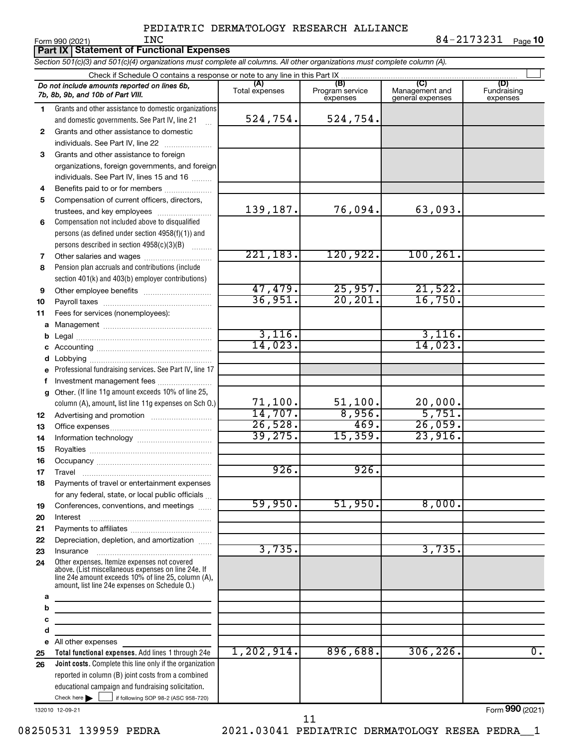**Part IX | Statement of Functional Expenses** 

*Section 501(c)(3) and 501(c)(4) organizations must complete all columns. All other organizations must complete column (A).*

|              | Do not include amounts reported on lines 6b,<br>7b, 8b, 9b, and 10b of Part VIII.                     | (A)<br>Total expenses | (B)<br>Program service<br>expenses | (C)<br>Management and<br>general expenses | (D)<br>Fundraising<br>expenses |
|--------------|-------------------------------------------------------------------------------------------------------|-----------------------|------------------------------------|-------------------------------------------|--------------------------------|
| 1.           | Grants and other assistance to domestic organizations                                                 |                       |                                    |                                           |                                |
|              | and domestic governments. See Part IV, line 21                                                        | 524,754.              | 524,754.                           |                                           |                                |
| $\mathbf{2}$ | Grants and other assistance to domestic                                                               |                       |                                    |                                           |                                |
|              | individuals. See Part IV, line 22                                                                     |                       |                                    |                                           |                                |
| 3            | Grants and other assistance to foreign                                                                |                       |                                    |                                           |                                |
|              | organizations, foreign governments, and foreign                                                       |                       |                                    |                                           |                                |
|              | individuals. See Part IV, lines 15 and 16                                                             |                       |                                    |                                           |                                |
| 4            | Benefits paid to or for members                                                                       |                       |                                    |                                           |                                |
| 5            | Compensation of current officers, directors,                                                          |                       |                                    |                                           |                                |
|              | trustees, and key employees                                                                           | 139, 187.             | 76,094.                            | 63,093.                                   |                                |
| 6            | Compensation not included above to disqualified                                                       |                       |                                    |                                           |                                |
|              | persons (as defined under section 4958(f)(1)) and                                                     |                       |                                    |                                           |                                |
|              | persons described in section 4958(c)(3)(B)                                                            |                       |                                    |                                           |                                |
| 7            | Other salaries and wages                                                                              | 221, 183.             | 120,922.                           | 100, 261.                                 |                                |
| 8            | Pension plan accruals and contributions (include                                                      |                       |                                    |                                           |                                |
|              | section 401(k) and 403(b) employer contributions)                                                     |                       |                                    |                                           |                                |
| 9            |                                                                                                       | 47,479.               | 25,957.                            | 21,522.                                   |                                |
| 10           |                                                                                                       | 36,951.               | 20, 201.                           | 16,750.                                   |                                |
| 11           | Fees for services (nonemployees):                                                                     |                       |                                    |                                           |                                |
|              |                                                                                                       |                       |                                    |                                           |                                |
| b            |                                                                                                       | 3,116.                |                                    | 3,116.                                    |                                |
| c            |                                                                                                       | 14,023.               |                                    | 14,023.                                   |                                |
| d            |                                                                                                       |                       |                                    |                                           |                                |
| е            | Professional fundraising services. See Part IV, line 17                                               |                       |                                    |                                           |                                |
| f            | Investment management fees                                                                            |                       |                                    |                                           |                                |
| g            | Other. (If line 11g amount exceeds 10% of line 25,                                                    |                       |                                    |                                           |                                |
|              | column (A), amount, list line 11g expenses on Sch O.)                                                 | 71,100.               | 51,100.                            | 20,000.                                   |                                |
| 12           |                                                                                                       | 14,707.               | 8,956.<br>469.                     | 5,751.                                    |                                |
| 13           |                                                                                                       | 26,528.<br>39, 275.   | 15,359.                            | 26,059.<br>23,916.                        |                                |
| 14           |                                                                                                       |                       |                                    |                                           |                                |
| 15           |                                                                                                       |                       |                                    |                                           |                                |
| 16           |                                                                                                       | 926.                  | 926.                               |                                           |                                |
| 17           |                                                                                                       |                       |                                    |                                           |                                |
| 18           | Payments of travel or entertainment expenses                                                          |                       |                                    |                                           |                                |
|              | for any federal, state, or local public officials<br>Conferences, conventions, and meetings           | 59,950.               | 51,950.                            | 8,000.                                    |                                |
| 19<br>20     | Interest                                                                                              |                       |                                    |                                           |                                |
| 21           |                                                                                                       |                       |                                    |                                           |                                |
| 22           | Depreciation, depletion, and amortization                                                             |                       |                                    |                                           |                                |
| 23           |                                                                                                       | 3,735.                |                                    | 3,735.                                    |                                |
| 24           | Other expenses. Itemize expenses not covered                                                          |                       |                                    |                                           |                                |
|              | above. (List miscellaneous expenses on line 24e. If                                                   |                       |                                    |                                           |                                |
|              | line 24e amount exceeds 10% of line 25, column (A),<br>amount, list line 24e expenses on Schedule O.) |                       |                                    |                                           |                                |
| а            |                                                                                                       |                       |                                    |                                           |                                |
| b            | <u> 1989 - Johann Barbara, martin a</u>                                                               |                       |                                    |                                           |                                |
| c            | the control of the control of the control of the control of the control of                            |                       |                                    |                                           |                                |
| d            | the control of the control of the control of the control of the control of                            |                       |                                    |                                           |                                |
| е            | All other expenses                                                                                    |                       |                                    |                                           |                                |
| 25           | Total functional expenses. Add lines 1 through 24e                                                    | 1,202,914.            | 896,688.                           | 306, 226.                                 | $\overline{0}$ .               |
| 26           | Joint costs. Complete this line only if the organization                                              |                       |                                    |                                           |                                |
|              | reported in column (B) joint costs from a combined                                                    |                       |                                    |                                           |                                |
|              | educational campaign and fundraising solicitation.                                                    |                       |                                    |                                           |                                |
|              | Check here $\blacktriangleright$<br>if following SOP 98-2 (ASC 958-720)                               |                       |                                    |                                           |                                |
|              | 132010 12-09-21                                                                                       |                       |                                    |                                           | Form 990 (2021)                |

08250531 139959 PEDRA 2021.03041 PEDIATRIC DERMATOLOGY RESEA PEDRA\_\_1 11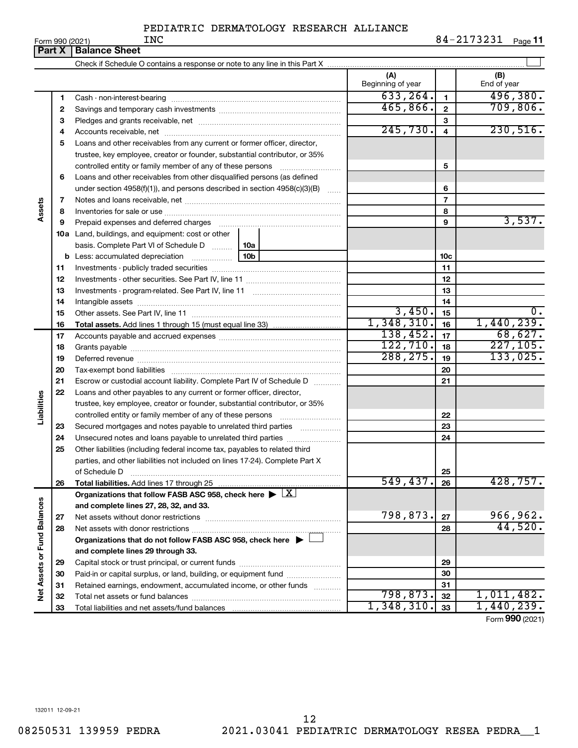|                             | Form 990 (2021) | <b>INC</b>                                                                         |          |                          |                          | 84-2173231<br>Page 11 |
|-----------------------------|-----------------|------------------------------------------------------------------------------------|----------|--------------------------|--------------------------|-----------------------|
|                             | Part X          | <b>Balance Sheet</b>                                                               |          |                          |                          |                       |
|                             |                 |                                                                                    |          |                          |                          |                       |
|                             |                 |                                                                                    |          | (A)<br>Beginning of year |                          | (B)<br>End of year    |
|                             | 1               |                                                                                    |          | 633, 264.                | $\mathbf{1}$             | 496,380.              |
|                             | 2               |                                                                                    |          | 465,866.                 | $\mathbf{2}$             | 709,806.              |
|                             | з               |                                                                                    |          |                          | 3                        |                       |
|                             | 4               |                                                                                    |          | 245,730.                 | $\overline{4}$           | 230,516.              |
|                             | 5               | Loans and other receivables from any current or former officer, director,          |          |                          |                          |                       |
|                             |                 | trustee, key employee, creator or founder, substantial contributor, or 35%         |          |                          |                          |                       |
|                             |                 |                                                                                    |          |                          | 5                        |                       |
|                             | 6               | Loans and other receivables from other disqualified persons (as defined            |          |                          |                          |                       |
|                             |                 | under section 4958(f)(1)), and persons described in section 4958(c)(3)(B)          |          |                          | 6                        |                       |
|                             | 7               |                                                                                    |          |                          | $\overline{\phantom{a}}$ |                       |
| Assets                      | 8               |                                                                                    |          |                          | 8                        |                       |
|                             | 9               | Prepaid expenses and deferred charges                                              |          |                          | 9                        | 3,537.                |
|                             |                 | <b>10a</b> Land, buildings, and equipment: cost or other                           |          |                          |                          |                       |
|                             |                 | basis. Complete Part VI of Schedule D    10a                                       |          |                          |                          |                       |
|                             |                 | <b>b</b> Less: accumulated depreciation                                            |          | 10 <sub>c</sub>          |                          |                       |
|                             | 11              |                                                                                    |          | 11                       |                          |                       |
|                             | 12              |                                                                                    |          | 12                       |                          |                       |
|                             | 13              |                                                                                    |          |                          | 13                       |                       |
|                             | 14              |                                                                                    |          |                          | 14                       |                       |
|                             | 15              |                                                                                    |          | 3,450.                   | 15                       | 0.                    |
|                             | 16              |                                                                                    |          | 1,348,310.               | 16                       | 1,440,239.            |
|                             | 17              |                                                                                    | 138,452. | 17                       | 68,627.                  |                       |
|                             | 18              |                                                                                    |          | 122, 710.                | 18                       | 227, 105.             |
|                             | 19              |                                                                                    |          | 288, 275.                | 19                       | 133,025.              |
|                             | 20              |                                                                                    |          |                          | 20                       |                       |
|                             | 21              | Escrow or custodial account liability. Complete Part IV of Schedule D              |          |                          | 21                       |                       |
| Liabilities                 | 22              | Loans and other payables to any current or former officer, director,               |          |                          |                          |                       |
|                             |                 | trustee, key employee, creator or founder, substantial contributor, or 35%         |          |                          |                          |                       |
|                             |                 |                                                                                    |          |                          | 22                       |                       |
|                             | 23              | Secured mortgages and notes payable to unrelated third parties                     |          |                          | 23                       |                       |
|                             | 24              | Unsecured notes and loans payable to unrelated third parties                       |          |                          | 24                       |                       |
|                             | 25              | Other liabilities (including federal income tax, payables to related third         |          |                          |                          |                       |
|                             |                 | parties, and other liabilities not included on lines 17-24). Complete Part X       |          |                          | 25                       |                       |
|                             | 26              | of Schedule D                                                                      |          | 549, 437.                | 26                       | 428,757.              |
|                             |                 | Organizations that follow FASB ASC 958, check here $\blacktriangleright \boxed{X}$ |          |                          |                          |                       |
|                             |                 | and complete lines 27, 28, 32, and 33.                                             |          |                          |                          |                       |
|                             | 27              |                                                                                    |          | 798,873.                 | 27                       | 966,962.              |
|                             | 28              |                                                                                    |          |                          | 28                       | 44,520.               |
|                             |                 | Organizations that do not follow FASB ASC 958, check here $\blacktriangleright$    |          |                          |                          |                       |
|                             |                 | and complete lines 29 through 33.                                                  |          |                          |                          |                       |
|                             | 29              |                                                                                    |          |                          | 29                       |                       |
|                             | 30              | Paid-in or capital surplus, or land, building, or equipment fund                   |          |                          | 30                       |                       |
|                             | 31              | Retained earnings, endowment, accumulated income, or other funds                   |          |                          | 31                       |                       |
| Net Assets or Fund Balances | 32              |                                                                                    |          | 798,873.                 | 32                       | 1,011,482.            |
|                             | 33              |                                                                                    |          | 1,348,310.               | 33                       | 1,440,239.            |

Form (2021) **990**

132011 12-09-21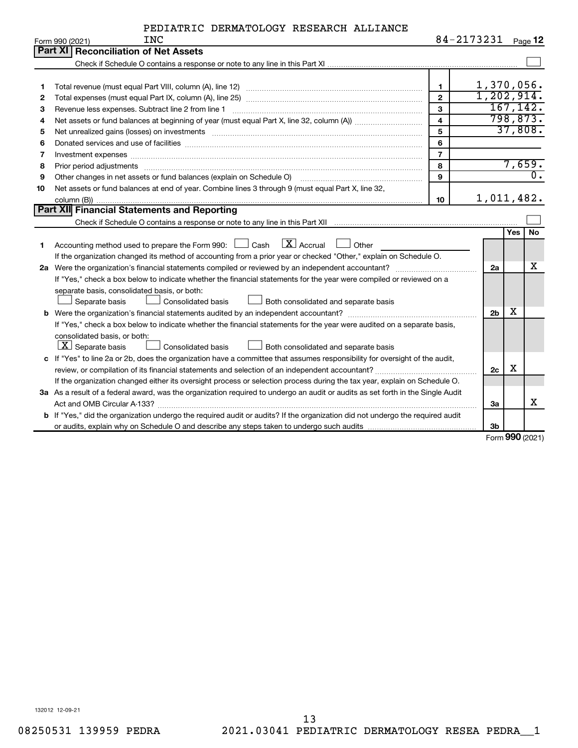| PEDIATRIC DERMATOLOGY RESEARCH ALLIANCE |  |  |  |  |
|-----------------------------------------|--|--|--|--|
|-----------------------------------------|--|--|--|--|

|    | Form 990 (2021)<br>TMC                                                                                                                                                                                                         | 84-2113231              |                |     | Page 12          |
|----|--------------------------------------------------------------------------------------------------------------------------------------------------------------------------------------------------------------------------------|-------------------------|----------------|-----|------------------|
|    | <b>Part XI Reconciliation of Net Assets</b>                                                                                                                                                                                    |                         |                |     |                  |
|    |                                                                                                                                                                                                                                |                         |                |     |                  |
|    |                                                                                                                                                                                                                                |                         |                |     |                  |
| 1  |                                                                                                                                                                                                                                | $\blacksquare$          | 1,370,056.     |     |                  |
| 2  |                                                                                                                                                                                                                                | $\mathbf{2}$            | 1,202,914.     |     |                  |
| з  | Revenue less expenses. Subtract line 2 from line 1                                                                                                                                                                             | $\mathbf{3}$            |                |     | 167, 142.        |
| 4  |                                                                                                                                                                                                                                | $\overline{\mathbf{4}}$ |                |     | 798,873.         |
| 5  | Net unrealized gains (losses) on investments [111] www.marting.com/marting.com/marting.com/marting.com/marting.                                                                                                                | 5                       |                |     | 37,808.          |
| 6  |                                                                                                                                                                                                                                | 6                       |                |     |                  |
| 7  | Investment expenses www.communication.communication.com/interaction.com/interaction.com/interaction.com/interaction.com/interaction.com/interaction.com/interaction.com/interaction.com/interaction.com/interaction.com/intera | $\overline{7}$          |                |     |                  |
| 8  |                                                                                                                                                                                                                                | 8                       |                |     | 7,659.           |
| 9  | Other changes in net assets or fund balances (explain on Schedule O)                                                                                                                                                           | $\mathbf{Q}$            |                |     | $\overline{0}$ . |
| 10 | Net assets or fund balances at end of year. Combine lines 3 through 9 (must equal Part X, line 32,                                                                                                                             |                         |                |     |                  |
|    |                                                                                                                                                                                                                                | 10                      | 1,011,482.     |     |                  |
|    | Part XII Financial Statements and Reporting                                                                                                                                                                                    |                         |                |     |                  |
|    |                                                                                                                                                                                                                                |                         |                |     |                  |
|    |                                                                                                                                                                                                                                |                         |                | Yes | No               |
| 1  | $\lfloor x \rfloor$ Accrual<br>Accounting method used to prepare the Form 990: [130] Cash<br>Other                                                                                                                             |                         |                |     |                  |
|    | If the organization changed its method of accounting from a prior year or checked "Other," explain on Schedule O.                                                                                                              |                         |                |     |                  |
|    |                                                                                                                                                                                                                                |                         | 2a             |     | х                |
|    | If "Yes," check a box below to indicate whether the financial statements for the year were compiled or reviewed on a                                                                                                           |                         |                |     |                  |
|    | separate basis, consolidated basis, or both:                                                                                                                                                                                   |                         |                |     |                  |
|    | Both consolidated and separate basis<br>Separate basis<br><b>Consolidated basis</b>                                                                                                                                            |                         |                |     |                  |
|    |                                                                                                                                                                                                                                |                         | 2 <sub>b</sub> | х   |                  |
|    | If "Yes," check a box below to indicate whether the financial statements for the year were audited on a separate basis,                                                                                                        |                         |                |     |                  |
|    | consolidated basis, or both:                                                                                                                                                                                                   |                         |                |     |                  |
|    | $ \mathbf{X} $ Separate basis<br>Consolidated basis<br>Both consolidated and separate basis                                                                                                                                    |                         |                |     |                  |
|    | c If "Yes" to line 2a or 2b, does the organization have a committee that assumes responsibility for oversight of the audit,                                                                                                    |                         |                |     |                  |
|    | review, or compilation of its financial statements and selection of an independent accountant?                                                                                                                                 |                         | 2c             | х   |                  |
|    | If the organization changed either its oversight process or selection process during the tax year, explain on Schedule O.                                                                                                      |                         |                |     |                  |
|    | 3a As a result of a federal award, was the organization required to undergo an audit or audits as set forth in the Single Audit                                                                                                |                         |                |     |                  |
|    |                                                                                                                                                                                                                                |                         | За             |     | х                |
|    | b If "Yes," did the organization undergo the required audit or audits? If the organization did not undergo the required audit                                                                                                  |                         |                |     |                  |
|    |                                                                                                                                                                                                                                |                         | 3 <sub>b</sub> |     |                  |

Form (2021) **990**

132012 12-09-21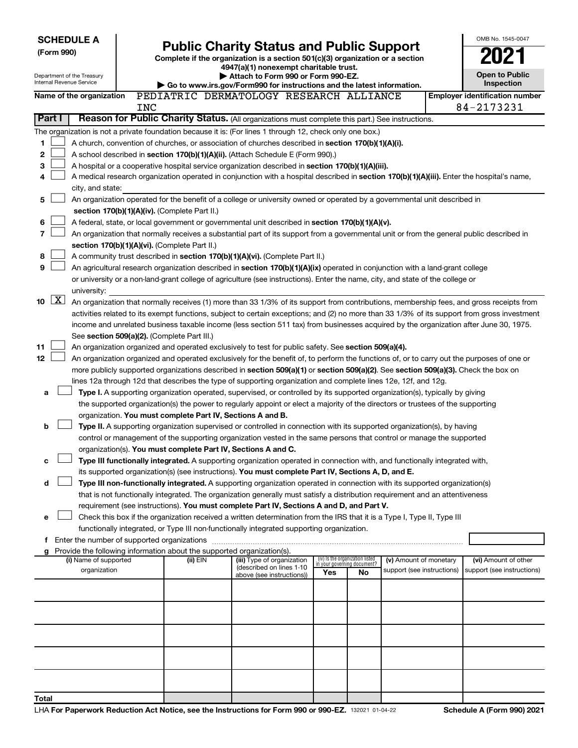|                |                                                                                                                                                                                                                                                 | <b>SCHEDULE A</b>                                      |     |                                                                        |                                                                                                                                                                                       |                                                                |    |                            |  | OMB No. 1545-0047                     |
|----------------|-------------------------------------------------------------------------------------------------------------------------------------------------------------------------------------------------------------------------------------------------|--------------------------------------------------------|-----|------------------------------------------------------------------------|---------------------------------------------------------------------------------------------------------------------------------------------------------------------------------------|----------------------------------------------------------------|----|----------------------------|--|---------------------------------------|
|                | (Form 990)                                                                                                                                                                                                                                      |                                                        |     |                                                                        | <b>Public Charity Status and Public Support</b><br>Complete if the organization is a section 501(c)(3) organization or a section                                                      |                                                                |    |                            |  |                                       |
|                |                                                                                                                                                                                                                                                 |                                                        |     |                                                                        | 4947(a)(1) nonexempt charitable trust.<br>Attach to Form 990 or Form 990-EZ.                                                                                                          |                                                                |    |                            |  | <b>Open to Public</b>                 |
|                |                                                                                                                                                                                                                                                 | Department of the Treasury<br>Internal Revenue Service |     |                                                                        | Go to www.irs.gov/Form990 for instructions and the latest information.                                                                                                                |                                                                |    |                            |  | <b>Inspection</b>                     |
|                |                                                                                                                                                                                                                                                 | Name of the organization                               |     |                                                                        | PEDIATRIC DERMATOLOGY RESEARCH ALLIANCE                                                                                                                                               |                                                                |    |                            |  | <b>Employer identification number</b> |
|                |                                                                                                                                                                                                                                                 |                                                        | INC |                                                                        |                                                                                                                                                                                       |                                                                |    |                            |  | 84-2173231                            |
|                | Part I                                                                                                                                                                                                                                          |                                                        |     |                                                                        | Reason for Public Charity Status. (All organizations must complete this part.) See instructions.                                                                                      |                                                                |    |                            |  |                                       |
|                |                                                                                                                                                                                                                                                 |                                                        |     |                                                                        | The organization is not a private foundation because it is: (For lines 1 through 12, check only one box.)                                                                             |                                                                |    |                            |  |                                       |
| 1<br>2         |                                                                                                                                                                                                                                                 |                                                        |     |                                                                        | A church, convention of churches, or association of churches described in section 170(b)(1)(A)(i).<br>A school described in section 170(b)(1)(A)(ii). (Attach Schedule E (Form 990).) |                                                                |    |                            |  |                                       |
| 3              |                                                                                                                                                                                                                                                 |                                                        |     |                                                                        |                                                                                                                                                                                       |                                                                |    |                            |  |                                       |
| 4              | A hospital or a cooperative hospital service organization described in section 170(b)(1)(A)(iii).<br>A medical research organization operated in conjunction with a hospital described in section 170(b)(1)(A)(iii). Enter the hospital's name, |                                                        |     |                                                                        |                                                                                                                                                                                       |                                                                |    |                            |  |                                       |
|                |                                                                                                                                                                                                                                                 | city, and state:                                       |     |                                                                        |                                                                                                                                                                                       |                                                                |    |                            |  |                                       |
| 5              |                                                                                                                                                                                                                                                 |                                                        |     |                                                                        | An organization operated for the benefit of a college or university owned or operated by a governmental unit described in                                                             |                                                                |    |                            |  |                                       |
|                |                                                                                                                                                                                                                                                 |                                                        |     | section 170(b)(1)(A)(iv). (Complete Part II.)                          |                                                                                                                                                                                       |                                                                |    |                            |  |                                       |
| 6              |                                                                                                                                                                                                                                                 |                                                        |     |                                                                        | A federal, state, or local government or governmental unit described in section 170(b)(1)(A)(v).                                                                                      |                                                                |    |                            |  |                                       |
| $\overline{7}$ |                                                                                                                                                                                                                                                 |                                                        |     |                                                                        | An organization that normally receives a substantial part of its support from a governmental unit or from the general public described in                                             |                                                                |    |                            |  |                                       |
|                |                                                                                                                                                                                                                                                 |                                                        |     | section 170(b)(1)(A)(vi). (Complete Part II.)                          |                                                                                                                                                                                       |                                                                |    |                            |  |                                       |
| 8              |                                                                                                                                                                                                                                                 |                                                        |     |                                                                        | A community trust described in section 170(b)(1)(A)(vi). (Complete Part II.)                                                                                                          |                                                                |    |                            |  |                                       |
| 9              |                                                                                                                                                                                                                                                 |                                                        |     |                                                                        | An agricultural research organization described in section 170(b)(1)(A)(ix) operated in conjunction with a land-grant college                                                         |                                                                |    |                            |  |                                       |
|                |                                                                                                                                                                                                                                                 | university:                                            |     |                                                                        | or university or a non-land-grant college of agriculture (see instructions). Enter the name, city, and state of the college or                                                        |                                                                |    |                            |  |                                       |
|                | $10 \quad \boxed{\text{X}}$                                                                                                                                                                                                                     |                                                        |     |                                                                        | An organization that normally receives (1) more than 33 1/3% of its support from contributions, membership fees, and gross receipts from                                              |                                                                |    |                            |  |                                       |
|                |                                                                                                                                                                                                                                                 |                                                        |     |                                                                        | activities related to its exempt functions, subject to certain exceptions; and (2) no more than 33 1/3% of its support from gross investment                                          |                                                                |    |                            |  |                                       |
|                |                                                                                                                                                                                                                                                 |                                                        |     |                                                                        | income and unrelated business taxable income (less section 511 tax) from businesses acquired by the organization after June 30, 1975.                                                 |                                                                |    |                            |  |                                       |
|                |                                                                                                                                                                                                                                                 |                                                        |     | See section 509(a)(2). (Complete Part III.)                            |                                                                                                                                                                                       |                                                                |    |                            |  |                                       |
| 11             |                                                                                                                                                                                                                                                 |                                                        |     |                                                                        | An organization organized and operated exclusively to test for public safety. See section 509(a)(4).                                                                                  |                                                                |    |                            |  |                                       |
| 12             |                                                                                                                                                                                                                                                 |                                                        |     |                                                                        | An organization organized and operated exclusively for the benefit of, to perform the functions of, or to carry out the purposes of one or                                            |                                                                |    |                            |  |                                       |
|                |                                                                                                                                                                                                                                                 |                                                        |     |                                                                        | more publicly supported organizations described in section 509(a)(1) or section 509(a)(2). See section 509(a)(3). Check the box on                                                    |                                                                |    |                            |  |                                       |
|                |                                                                                                                                                                                                                                                 |                                                        |     |                                                                        | lines 12a through 12d that describes the type of supporting organization and complete lines 12e, 12f, and 12g.                                                                        |                                                                |    |                            |  |                                       |
| a              |                                                                                                                                                                                                                                                 |                                                        |     |                                                                        | Type I. A supporting organization operated, supervised, or controlled by its supported organization(s), typically by giving                                                           |                                                                |    |                            |  |                                       |
|                |                                                                                                                                                                                                                                                 |                                                        |     | organization. You must complete Part IV, Sections A and B.             | the supported organization(s) the power to regularly appoint or elect a majority of the directors or trustees of the supporting                                                       |                                                                |    |                            |  |                                       |
| b              |                                                                                                                                                                                                                                                 |                                                        |     |                                                                        | Type II. A supporting organization supervised or controlled in connection with its supported organization(s), by having                                                               |                                                                |    |                            |  |                                       |
|                |                                                                                                                                                                                                                                                 |                                                        |     |                                                                        | control or management of the supporting organization vested in the same persons that control or manage the supported                                                                  |                                                                |    |                            |  |                                       |
|                |                                                                                                                                                                                                                                                 |                                                        |     | organization(s). You must complete Part IV, Sections A and C.          |                                                                                                                                                                                       |                                                                |    |                            |  |                                       |
| c              |                                                                                                                                                                                                                                                 |                                                        |     |                                                                        | Type III functionally integrated. A supporting organization operated in connection with, and functionally integrated with,                                                            |                                                                |    |                            |  |                                       |
|                |                                                                                                                                                                                                                                                 |                                                        |     |                                                                        | its supported organization(s) (see instructions). You must complete Part IV, Sections A, D, and E.                                                                                    |                                                                |    |                            |  |                                       |
| d              |                                                                                                                                                                                                                                                 |                                                        |     |                                                                        | Type III non-functionally integrated. A supporting organization operated in connection with its supported organization(s)                                                             |                                                                |    |                            |  |                                       |
|                |                                                                                                                                                                                                                                                 |                                                        |     |                                                                        | that is not functionally integrated. The organization generally must satisfy a distribution requirement and an attentiveness                                                          |                                                                |    |                            |  |                                       |
|                |                                                                                                                                                                                                                                                 |                                                        |     |                                                                        | requirement (see instructions). You must complete Part IV, Sections A and D, and Part V.                                                                                              |                                                                |    |                            |  |                                       |
| e              |                                                                                                                                                                                                                                                 |                                                        |     |                                                                        | Check this box if the organization received a written determination from the IRS that it is a Type I, Type II, Type III                                                               |                                                                |    |                            |  |                                       |
|                |                                                                                                                                                                                                                                                 | f Enter the number of supported organizations          |     |                                                                        | functionally integrated, or Type III non-functionally integrated supporting organization.                                                                                             |                                                                |    |                            |  |                                       |
|                |                                                                                                                                                                                                                                                 |                                                        |     | Provide the following information about the supported organization(s). |                                                                                                                                                                                       |                                                                |    |                            |  |                                       |
|                |                                                                                                                                                                                                                                                 | (i) Name of supported                                  |     | (ii) EIN                                                               | (iii) Type of organization                                                                                                                                                            | (iv) Is the organization listed<br>in your governing document? |    | (v) Amount of monetary     |  | (vi) Amount of other                  |
|                |                                                                                                                                                                                                                                                 | organization                                           |     |                                                                        | (described on lines 1-10<br>above (see instructions))                                                                                                                                 | Yes                                                            | No | support (see instructions) |  | support (see instructions)            |
|                |                                                                                                                                                                                                                                                 |                                                        |     |                                                                        |                                                                                                                                                                                       |                                                                |    |                            |  |                                       |
|                |                                                                                                                                                                                                                                                 |                                                        |     |                                                                        |                                                                                                                                                                                       |                                                                |    |                            |  |                                       |
|                |                                                                                                                                                                                                                                                 |                                                        |     |                                                                        |                                                                                                                                                                                       |                                                                |    |                            |  |                                       |
|                |                                                                                                                                                                                                                                                 |                                                        |     |                                                                        |                                                                                                                                                                                       |                                                                |    |                            |  |                                       |
|                |                                                                                                                                                                                                                                                 |                                                        |     |                                                                        |                                                                                                                                                                                       |                                                                |    |                            |  |                                       |
|                |                                                                                                                                                                                                                                                 |                                                        |     |                                                                        |                                                                                                                                                                                       |                                                                |    |                            |  |                                       |
| Total          |                                                                                                                                                                                                                                                 |                                                        |     |                                                                        |                                                                                                                                                                                       |                                                                |    |                            |  |                                       |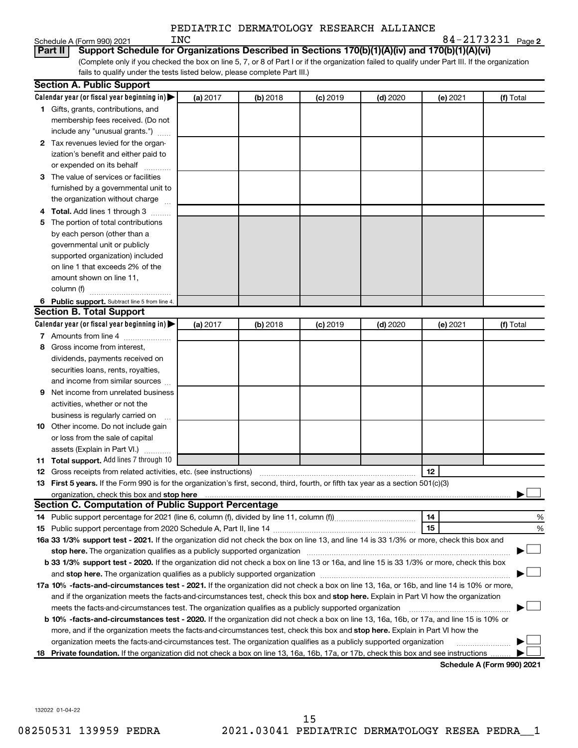| Schedule A (Form 990) 2021 |  |  |
|----------------------------|--|--|
|                            |  |  |

| 84-2173231 <sub>Page 2</sub> |  |
|------------------------------|--|
|------------------------------|--|

|     |                                                                                                                                                                                                                                    |          |          |            | PEDIATRIC DERMATOLOGY RESEARCH ALLIANCE |          |                   |
|-----|------------------------------------------------------------------------------------------------------------------------------------------------------------------------------------------------------------------------------------|----------|----------|------------|-----------------------------------------|----------|-------------------|
|     | <b>INC</b><br>Schedule A (Form 990) 2021                                                                                                                                                                                           |          |          |            |                                         |          | 84-2173231 Page 2 |
|     | Support Schedule for Organizations Described in Sections 170(b)(1)(A)(iv) and 170(b)(1)(A)(vi)<br>Part II                                                                                                                          |          |          |            |                                         |          |                   |
|     | (Complete only if you checked the box on line 5, 7, or 8 of Part I or if the organization failed to qualify under Part III. If the organization                                                                                    |          |          |            |                                         |          |                   |
|     | fails to qualify under the tests listed below, please complete Part III.)                                                                                                                                                          |          |          |            |                                         |          |                   |
|     | <b>Section A. Public Support</b>                                                                                                                                                                                                   |          |          |            |                                         |          |                   |
|     | Calendar year (or fiscal year beginning in)                                                                                                                                                                                        | (a) 2017 | (b) 2018 | $(c)$ 2019 | $(d)$ 2020                              | (e) 2021 | (f) Total         |
|     | 1 Gifts, grants, contributions, and                                                                                                                                                                                                |          |          |            |                                         |          |                   |
|     | membership fees received. (Do not                                                                                                                                                                                                  |          |          |            |                                         |          |                   |
|     | include any "unusual grants.")                                                                                                                                                                                                     |          |          |            |                                         |          |                   |
|     | 2 Tax revenues levied for the organ-                                                                                                                                                                                               |          |          |            |                                         |          |                   |
|     | ization's benefit and either paid to                                                                                                                                                                                               |          |          |            |                                         |          |                   |
|     | or expended on its behalf<br>.                                                                                                                                                                                                     |          |          |            |                                         |          |                   |
|     | 3 The value of services or facilities                                                                                                                                                                                              |          |          |            |                                         |          |                   |
|     | furnished by a governmental unit to                                                                                                                                                                                                |          |          |            |                                         |          |                   |
|     | the organization without charge                                                                                                                                                                                                    |          |          |            |                                         |          |                   |
|     | Total. Add lines 1 through 3                                                                                                                                                                                                       |          |          |            |                                         |          |                   |
| 5.  | The portion of total contributions                                                                                                                                                                                                 |          |          |            |                                         |          |                   |
|     | by each person (other than a                                                                                                                                                                                                       |          |          |            |                                         |          |                   |
|     | governmental unit or publicly                                                                                                                                                                                                      |          |          |            |                                         |          |                   |
|     | supported organization) included                                                                                                                                                                                                   |          |          |            |                                         |          |                   |
|     | on line 1 that exceeds 2% of the                                                                                                                                                                                                   |          |          |            |                                         |          |                   |
|     | amount shown on line 11,                                                                                                                                                                                                           |          |          |            |                                         |          |                   |
|     | column (f)                                                                                                                                                                                                                         |          |          |            |                                         |          |                   |
|     | 6 Public support. Subtract line 5 from line 4.                                                                                                                                                                                     |          |          |            |                                         |          |                   |
|     | <b>Section B. Total Support</b>                                                                                                                                                                                                    |          |          |            |                                         |          |                   |
|     | Calendar year (or fiscal year beginning in)                                                                                                                                                                                        | (a) 2017 | (b) 2018 | $(c)$ 2019 | $(d)$ 2020                              | (e) 2021 | (f) Total         |
|     | 7 Amounts from line 4                                                                                                                                                                                                              |          |          |            |                                         |          |                   |
|     | 8 Gross income from interest,                                                                                                                                                                                                      |          |          |            |                                         |          |                   |
|     | dividends, payments received on                                                                                                                                                                                                    |          |          |            |                                         |          |                   |
|     | securities loans, rents, royalties,                                                                                                                                                                                                |          |          |            |                                         |          |                   |
|     | and income from similar sources                                                                                                                                                                                                    |          |          |            |                                         |          |                   |
|     | Net income from unrelated business                                                                                                                                                                                                 |          |          |            |                                         |          |                   |
|     | activities, whether or not the                                                                                                                                                                                                     |          |          |            |                                         |          |                   |
|     | business is regularly carried on                                                                                                                                                                                                   |          |          |            |                                         |          |                   |
|     | 10 Other income. Do not include gain                                                                                                                                                                                               |          |          |            |                                         |          |                   |
|     | or loss from the sale of capital                                                                                                                                                                                                   |          |          |            |                                         |          |                   |
|     | assets (Explain in Part VI.)                                                                                                                                                                                                       |          |          |            |                                         |          |                   |
| 11. | <b>Total support.</b> Add lines 7 through 10                                                                                                                                                                                       |          |          |            |                                         |          |                   |
| 12  | Gross receipts from related activities, etc. (see instructions)                                                                                                                                                                    |          |          |            |                                         | 12       |                   |
|     | 13 First 5 years. If the Form 990 is for the organization's first, second, third, fourth, or fifth tax year as a section 501(c)(3)                                                                                                 |          |          |            |                                         |          |                   |
|     | organization, check this box and stop here <b>construction and the construction of the construction</b> of the construction of the construction of the construction of the construction of the construction of the construction of |          |          |            |                                         |          |                   |
|     | <b>Section C. Computation of Public Support Percentage</b>                                                                                                                                                                         |          |          |            |                                         |          |                   |
| 14  |                                                                                                                                                                                                                                    |          |          |            |                                         | 14       | %                 |
| 15  |                                                                                                                                                                                                                                    |          |          |            |                                         | 15       | %                 |
|     | 16a 33 1/3% support test - 2021. If the organization did not check the box on line 13, and line 14 is 33 1/3% or more, check this box and                                                                                          |          |          |            |                                         |          |                   |
|     |                                                                                                                                                                                                                                    |          |          |            |                                         |          |                   |
|     | b 33 1/3% support test - 2020. If the organization did not check a box on line 13 or 16a, and line 15 is 33 1/3% or more, check this box                                                                                           |          |          |            |                                         |          |                   |

| <b>b 33 1/3% support test - 2020.</b> If the organization did not check a box on line 13 or 16a, and line 15 is 33 1/3% or more, check this box |  |
|-------------------------------------------------------------------------------------------------------------------------------------------------|--|
| and stop here. The organization qualifies as a publicly supported organization                                                                  |  |
| 17a 10% -facts-and-circumstances test - 2021. If the organization did not check a box on line 13, 16a, or 16b, and line 14 is 10% or more,      |  |

**b 10% -facts-and-circumstances test - 2020.** If the organization did not check a box on line 13, 16a, 16b, or 17a, and line 15 is 10% or and if the organization meets the facts-and-circumstances test, check this box and stop here. Explain in Part VI how the organization more, and if the organization meets the facts-and-circumstances test, check this box and **stop here.** Explain in Part VI how the meets the facts-and-circumstances test. The organization qualifies as a publicly supported organization *www.www.www.www.*ww †

18 Private foundation. If the organization did not check a box on line 13, 16a, 16b, 17a, or 17b, check this box and see instructions ......... organization meets the facts-and-circumstances test. The organization qualifies as a publicly supported organization  $\ldots$  ...

**Schedule A (Form 990) 2021**

†

† †

132022 01-04-22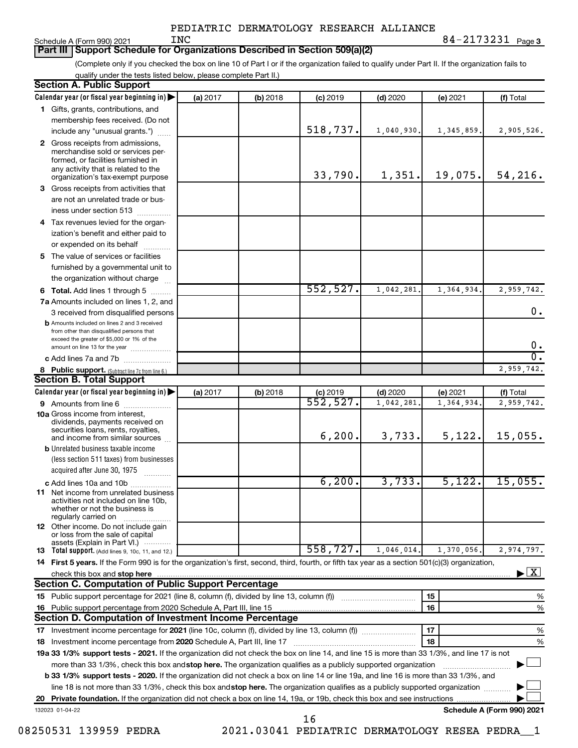| PEDIATRIC DERMATOLOGY RESEARCH ALLIANCE |  |
|-----------------------------------------|--|
|-----------------------------------------|--|

Schedule A (Form 990) 2021  $N_{\rm C}$ 

**3** INC 84-2173231

#### **Part III Support Schedule for Organizations Described in Section 509(a)(2)**

(Complete only if you checked the box on line 10 of Part I or if the organization failed to qualify under Part II. If the organization fails to qualify under the tests listed below, please complete Part II.)

| <b>Section A. Public Support</b>                                                                                                                 |          |            |                        |            |              |                                    |
|--------------------------------------------------------------------------------------------------------------------------------------------------|----------|------------|------------------------|------------|--------------|------------------------------------|
| Calendar year (or fiscal year beginning in)                                                                                                      | (a) 2017 | (b) 2018   | $(c)$ 2019             | $(d)$ 2020 | (e) 2021     | (f) Total                          |
| 1 Gifts, grants, contributions, and                                                                                                              |          |            |                        |            |              |                                    |
| membership fees received. (Do not                                                                                                                |          |            |                        |            |              |                                    |
| include any "unusual grants.")                                                                                                                   |          |            | 518,737.               | 1,040,930. | 1, 345, 859. | 2,905,526.                         |
| 2 Gross receipts from admissions,<br>merchandise sold or services per-<br>formed, or facilities furnished in                                     |          |            |                        |            |              |                                    |
| any activity that is related to the<br>organization's tax-exempt purpose                                                                         |          |            | 33,790.                | 1,351.     | 19,075.      | 54, 216.                           |
| 3 Gross receipts from activities that                                                                                                            |          |            |                        |            |              |                                    |
| are not an unrelated trade or bus-                                                                                                               |          |            |                        |            |              |                                    |
| iness under section 513                                                                                                                          |          |            |                        |            |              |                                    |
| 4 Tax revenues levied for the organ-                                                                                                             |          |            |                        |            |              |                                    |
| ization's benefit and either paid to<br>or expended on its behalf<br>.                                                                           |          |            |                        |            |              |                                    |
| 5 The value of services or facilities                                                                                                            |          |            |                        |            |              |                                    |
| furnished by a governmental unit to                                                                                                              |          |            |                        |            |              |                                    |
| the organization without charge                                                                                                                  |          |            |                        |            |              |                                    |
| 6 Total. Add lines 1 through 5                                                                                                                   |          |            | 552,527.               | 1,042,281  | 1,364,934.   | 2,959,742.                         |
| 7a Amounts included on lines 1, 2, and                                                                                                           |          |            |                        |            |              |                                    |
| 3 received from disqualified persons                                                                                                             |          |            |                        |            |              | 0.                                 |
| <b>b</b> Amounts included on lines 2 and 3 received<br>from other than disqualified persons that<br>exceed the greater of \$5,000 or 1% of the   |          |            |                        |            |              | 0.                                 |
| amount on line 13 for the year                                                                                                                   |          |            |                        |            |              | σ.                                 |
| c Add lines 7a and 7b                                                                                                                            |          |            |                        |            |              | 2,959,742.                         |
| 8 Public support. (Subtract line 7c from line 6.)<br><b>Section B. Total Support</b>                                                             |          |            |                        |            |              |                                    |
| Calendar year (or fiscal year beginning in)                                                                                                      | (a) 2017 | $(b)$ 2018 | $(c)$ 2019             | $(d)$ 2020 | (e) 2021     | (f) Total                          |
| 9 Amounts from line 6                                                                                                                            |          |            | $\overline{552,527}$ . | 1,042,281  | 1,364,934.   | 2,959,742.                         |
| <b>10a</b> Gross income from interest,<br>dividends, payments received on<br>securities loans, rents, royalties,                                 |          |            | 6, 200.                | 3,733.     | 5,122.       | 15,055.                            |
| and income from similar sources<br><b>b</b> Unrelated business taxable income                                                                    |          |            |                        |            |              |                                    |
| (less section 511 taxes) from businesses                                                                                                         |          |            |                        |            |              |                                    |
| acquired after June 30, 1975                                                                                                                     |          |            |                        |            |              |                                    |
| c Add lines 10a and 10b                                                                                                                          |          |            | 6, 200.                | 3,733.     | 5,122.       | 15,055.                            |
| 11 Net income from unrelated business<br>activities not included on line 10b,<br>whether or not the business is<br>regularly carried on          |          |            |                        |            |              |                                    |
| 12 Other income. Do not include gain<br>or loss from the sale of capital                                                                         |          |            |                        |            |              |                                    |
| assets (Explain in Part VI.)<br><b>13</b> Total support. (Add lines 9, 10c, 11, and 12.)                                                         |          |            | 558, 727.              | 1,046,014. | 1,370,056.   | 2,974,797.                         |
| 14 First 5 years. If the Form 990 is for the organization's first, second, third, fourth, or fifth tax year as a section 501(c)(3) organization, |          |            |                        |            |              |                                    |
| check this box and stop here                                                                                                                     |          |            |                        |            |              | $\blacktriangleright$ $\mathbf{X}$ |
| <b>Section C. Computation of Public Support Percentage</b>                                                                                       |          |            |                        |            |              |                                    |
| 15 Public support percentage for 2021 (line 8, column (f), divided by line 13, column (f) <i></i>                                                |          |            |                        |            | 15           | %                                  |
| 16 Public support percentage from 2020 Schedule A, Part III, line 15                                                                             |          |            |                        |            | 16           | %                                  |
| Section D. Computation of Investment Income Percentage                                                                                           |          |            |                        |            |              |                                    |
| 17 Investment income percentage for 2021 (line 10c, column (f), divided by line 13, column (f))                                                  |          |            |                        |            | 17           | %                                  |
| 18 Investment income percentage from 2020 Schedule A, Part III, line 17                                                                          |          |            |                        |            | 18           | %                                  |
| 19a 33 1/3% support tests - 2021. If the organization did not check the box on line 14, and line 15 is more than 33 1/3%, and line 17 is not     |          |            |                        |            |              |                                    |
| more than 33 1/3%, check this box and stop here. The organization qualifies as a publicly supported organization                                 |          |            |                        |            |              |                                    |
| b 33 1/3% support tests - 2020. If the organization did not check a box on line 14 or line 19a, and line 16 is more than 33 1/3%, and            |          |            |                        |            |              |                                    |
| line 18 is not more than 33 1/3%, check this box and stop here. The organization qualifies as a publicly supported organization                  |          |            |                        |            |              |                                    |
|                                                                                                                                                  |          |            |                        |            |              |                                    |
| 132023 01-04-22                                                                                                                                  |          |            | 16                     |            |              | Schedule A (Form 990) 2021         |

08250531 139959 PEDRA 2021.03041 PEDIATRIC DERMATOLOGY RESEA PEDRA\_\_1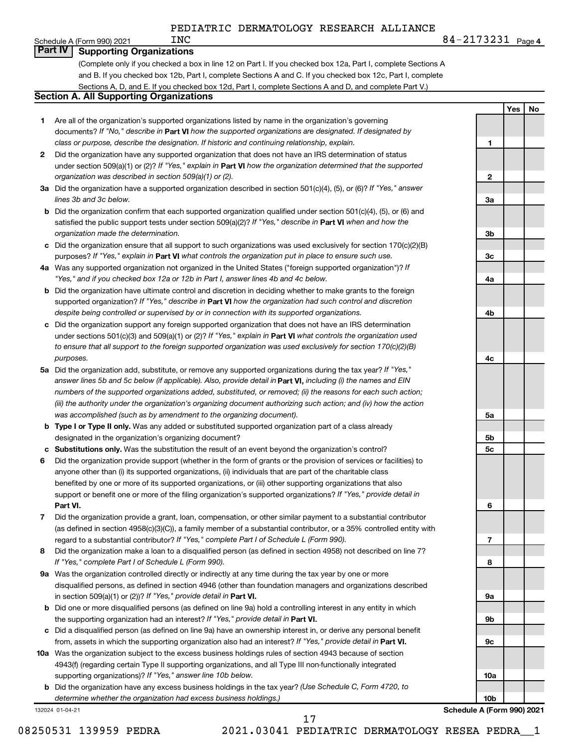Schedule A (Form 990) 2021  $N<sub>C</sub>$ 

#### **Part IV Supporting Organizations**

(Complete only if you checked a box in line 12 on Part I. If you checked box 12a, Part I, complete Sections A and B. If you checked box 12b, Part I, complete Sections A and C. If you checked box 12c, Part I, complete Sections A, D, and E. If you checked box 12d, Part I, complete Sections A and D, and complete Part V.)

#### **Section A. All Supporting Organizations**

- **1** Are all of the organization's supported organizations listed by name in the organization's governing documents? If "No," describe in Part VI how the supported organizations are designated. If designated by *class or purpose, describe the designation. If historic and continuing relationship, explain.*
- **2** Did the organization have any supported organization that does not have an IRS determination of status under section 509(a)(1) or (2)? If "Yes," explain in Part **VI** how the organization determined that the supported *organization was described in section 509(a)(1) or (2).*
- **3a** Did the organization have a supported organization described in section 501(c)(4), (5), or (6)? If "Yes," answer *lines 3b and 3c below.*
- **b** Did the organization confirm that each supported organization qualified under section 501(c)(4), (5), or (6) and satisfied the public support tests under section 509(a)(2)? If "Yes," describe in Part VI when and how the *organization made the determination.*
- **c** Did the organization ensure that all support to such organizations was used exclusively for section 170(c)(2)(B) purposes? If "Yes," explain in Part VI what controls the organization put in place to ensure such use.
- **4 a** *If* Was any supported organization not organized in the United States ("foreign supported organization")? *"Yes," and if you checked box 12a or 12b in Part I, answer lines 4b and 4c below.*
- **b** Did the organization have ultimate control and discretion in deciding whether to make grants to the foreign supported organization? If "Yes," describe in Part VI how the organization had such control and discretion *despite being controlled or supervised by or in connection with its supported organizations.*
- **c** Did the organization support any foreign supported organization that does not have an IRS determination under sections 501(c)(3) and 509(a)(1) or (2)? If "Yes," explain in Part VI what controls the organization used *to ensure that all support to the foreign supported organization was used exclusively for section 170(c)(2)(B) purposes.*
- **5a** Did the organization add, substitute, or remove any supported organizations during the tax year? If "Yes," answer lines 5b and 5c below (if applicable). Also, provide detail in **Part VI,** including (i) the names and EIN *numbers of the supported organizations added, substituted, or removed; (ii) the reasons for each such action; (iii) the authority under the organization's organizing document authorizing such action; and (iv) how the action was accomplished (such as by amendment to the organizing document).*
- **b** Type I or Type II only. Was any added or substituted supported organization part of a class already designated in the organization's organizing document?
- **c Substitutions only.**  Was the substitution the result of an event beyond the organization's control?
- **6** Did the organization provide support (whether in the form of grants or the provision of services or facilities) to **Part VI.** support or benefit one or more of the filing organization's supported organizations? If "Yes," provide detail in anyone other than (i) its supported organizations, (ii) individuals that are part of the charitable class benefited by one or more of its supported organizations, or (iii) other supporting organizations that also
- **7** Did the organization provide a grant, loan, compensation, or other similar payment to a substantial contributor regard to a substantial contributor? If "Yes," complete Part I of Schedule L (Form 990). (as defined in section 4958(c)(3)(C)), a family member of a substantial contributor, or a 35% controlled entity with
- **8** Did the organization make a loan to a disqualified person (as defined in section 4958) not described on line 7? *If "Yes," complete Part I of Schedule L (Form 990).*
- **9 a** Was the organization controlled directly or indirectly at any time during the tax year by one or more in section 509(a)(1) or (2))? If "Yes," provide detail in **Part VI.** disqualified persons, as defined in section 4946 (other than foundation managers and organizations described
- **b** Did one or more disqualified persons (as defined on line 9a) hold a controlling interest in any entity in which the supporting organization had an interest? If "Yes," provide detail in Part VI.
- **c** Did a disqualified person (as defined on line 9a) have an ownership interest in, or derive any personal benefit from, assets in which the supporting organization also had an interest? If "Yes," provide detail in Part VI.
- **10 a** Was the organization subject to the excess business holdings rules of section 4943 because of section supporting organizations)? If "Yes," answer line 10b below. 4943(f) (regarding certain Type II supporting organizations, and all Type III non-functionally integrated
	- **b** Did the organization have any excess business holdings in the tax year? (Use Schedule C, Form 4720, to *determine whether the organization had excess business holdings.)*

132024 01-04-21



**1**

**2**

**3a**

**3b**

**3c**

**4a**

**4b**

**4c**

**5a**

**Yes No**

17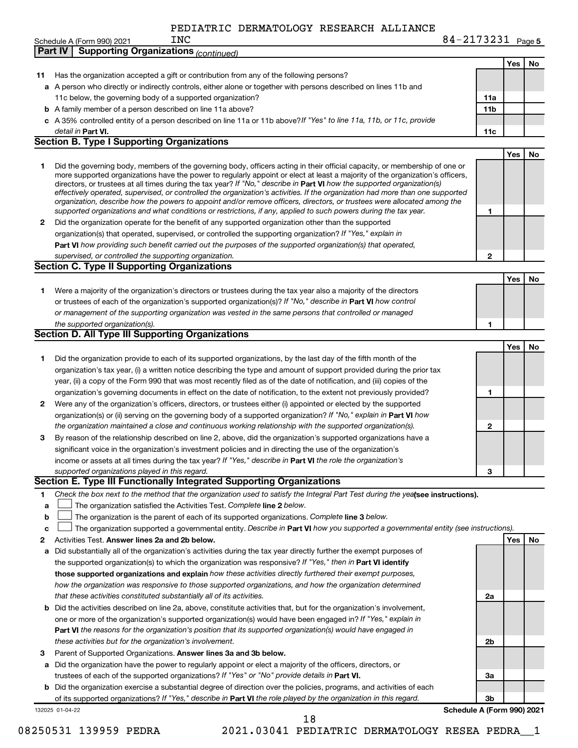|    | 84-2173231 Page 5<br><b>INC</b><br>Schedule A (Form 990) 2021                                                                                                                                                                                                                                                                                                                                                                                                                                                            |                 |     |    |
|----|--------------------------------------------------------------------------------------------------------------------------------------------------------------------------------------------------------------------------------------------------------------------------------------------------------------------------------------------------------------------------------------------------------------------------------------------------------------------------------------------------------------------------|-----------------|-----|----|
|    | <b>Supporting Organizations (continued)</b><br>Part IV                                                                                                                                                                                                                                                                                                                                                                                                                                                                   |                 |     |    |
|    |                                                                                                                                                                                                                                                                                                                                                                                                                                                                                                                          |                 | Yes | No |
| 11 | Has the organization accepted a gift or contribution from any of the following persons?                                                                                                                                                                                                                                                                                                                                                                                                                                  |                 |     |    |
|    | a A person who directly or indirectly controls, either alone or together with persons described on lines 11b and                                                                                                                                                                                                                                                                                                                                                                                                         |                 |     |    |
|    | 11c below, the governing body of a supported organization?                                                                                                                                                                                                                                                                                                                                                                                                                                                               | 11a             |     |    |
|    | <b>b</b> A family member of a person described on line 11a above?                                                                                                                                                                                                                                                                                                                                                                                                                                                        | 11 <sub>b</sub> |     |    |
|    | c A 35% controlled entity of a person described on line 11a or 11b above?If "Yes" to line 11a, 11b, or 11c, provide                                                                                                                                                                                                                                                                                                                                                                                                      |                 |     |    |
|    | detail in Part VI.                                                                                                                                                                                                                                                                                                                                                                                                                                                                                                       | 11c             |     |    |
|    | <b>Section B. Type I Supporting Organizations</b>                                                                                                                                                                                                                                                                                                                                                                                                                                                                        |                 |     |    |
|    |                                                                                                                                                                                                                                                                                                                                                                                                                                                                                                                          |                 | Yes | No |
| 1. | Did the governing body, members of the governing body, officers acting in their official capacity, or membership of one or<br>more supported organizations have the power to regularly appoint or elect at least a majority of the organization's officers,<br>directors, or trustees at all times during the tax year? If "No," describe in Part VI how the supported organization(s)<br>effectively operated, supervised, or controlled the organization's activities. If the organization had more than one supported |                 |     |    |
|    | organization, describe how the powers to appoint and/or remove officers, directors, or trustees were allocated among the<br>supported organizations and what conditions or restrictions, if any, applied to such powers during the tax year.                                                                                                                                                                                                                                                                             | 1               |     |    |
| 2  | Did the organization operate for the benefit of any supported organization other than the supported                                                                                                                                                                                                                                                                                                                                                                                                                      |                 |     |    |
|    | organization(s) that operated, supervised, or controlled the supporting organization? If "Yes," explain in                                                                                                                                                                                                                                                                                                                                                                                                               |                 |     |    |
|    | Part VI how providing such benefit carried out the purposes of the supported organization(s) that operated,                                                                                                                                                                                                                                                                                                                                                                                                              |                 |     |    |
|    | supervised, or controlled the supporting organization.<br><b>Section C. Type II Supporting Organizations</b>                                                                                                                                                                                                                                                                                                                                                                                                             | 2               |     |    |
|    |                                                                                                                                                                                                                                                                                                                                                                                                                                                                                                                          |                 | Yes |    |
| 1. | Were a majority of the organization's directors or trustees during the tax year also a majority of the directors                                                                                                                                                                                                                                                                                                                                                                                                         |                 |     | No |
|    | or trustees of each of the organization's supported organization(s)? If "No," describe in Part VI how control                                                                                                                                                                                                                                                                                                                                                                                                            |                 |     |    |
|    | or management of the supporting organization was vested in the same persons that controlled or managed                                                                                                                                                                                                                                                                                                                                                                                                                   |                 |     |    |
|    | the supported organization(s).                                                                                                                                                                                                                                                                                                                                                                                                                                                                                           | 1               |     |    |
|    | <b>Section D. All Type III Supporting Organizations</b>                                                                                                                                                                                                                                                                                                                                                                                                                                                                  |                 |     |    |
|    |                                                                                                                                                                                                                                                                                                                                                                                                                                                                                                                          |                 | Yes | No |
| 1  | Did the organization provide to each of its supported organizations, by the last day of the fifth month of the                                                                                                                                                                                                                                                                                                                                                                                                           |                 |     |    |
|    | organization's tax year, (i) a written notice describing the type and amount of support provided during the prior tax                                                                                                                                                                                                                                                                                                                                                                                                    |                 |     |    |
|    | year, (ii) a copy of the Form 990 that was most recently filed as of the date of notification, and (iii) copies of the                                                                                                                                                                                                                                                                                                                                                                                                   |                 |     |    |
|    | organization's governing documents in effect on the date of notification, to the extent not previously provided?                                                                                                                                                                                                                                                                                                                                                                                                         | 1               |     |    |
| 2  | Were any of the organization's officers, directors, or trustees either (i) appointed or elected by the supported                                                                                                                                                                                                                                                                                                                                                                                                         |                 |     |    |
|    | organization(s) or (ii) serving on the governing body of a supported organization? If "No," explain in Part VI how                                                                                                                                                                                                                                                                                                                                                                                                       |                 |     |    |
|    | the organization maintained a close and continuous working relationship with the supported organization(s).                                                                                                                                                                                                                                                                                                                                                                                                              | 2               |     |    |
| 3  | By reason of the relationship described on line 2, above, did the organization's supported organizations have a                                                                                                                                                                                                                                                                                                                                                                                                          |                 |     |    |
|    | significant voice in the organization's investment policies and in directing the use of the organization's                                                                                                                                                                                                                                                                                                                                                                                                               |                 |     |    |
|    | income or assets at all times during the tax year? If "Yes," describe in Part VI the role the organization's                                                                                                                                                                                                                                                                                                                                                                                                             |                 |     |    |
|    | supported organizations played in this regard.                                                                                                                                                                                                                                                                                                                                                                                                                                                                           | З               |     |    |
|    | Section E. Type III Functionally Integrated Supporting Organizations                                                                                                                                                                                                                                                                                                                                                                                                                                                     |                 |     |    |
| 1  | Check the box next to the method that the organization used to satisfy the Integral Part Test during the yealsee instructions).                                                                                                                                                                                                                                                                                                                                                                                          |                 |     |    |
| а  | The organization satisfied the Activities Test. Complete line 2 below.                                                                                                                                                                                                                                                                                                                                                                                                                                                   |                 |     |    |
| b  | The organization is the parent of each of its supported organizations. Complete line 3 below.                                                                                                                                                                                                                                                                                                                                                                                                                            |                 |     |    |
| с  | The organization supported a governmental entity. Describe in Part VI how you supported a governmental entity (see instructions).                                                                                                                                                                                                                                                                                                                                                                                        |                 |     |    |
| 2  | Activities Test. Answer lines 2a and 2b below.                                                                                                                                                                                                                                                                                                                                                                                                                                                                           |                 | Yes | No |
| а  | Did substantially all of the organization's activities during the tax year directly further the exempt purposes of                                                                                                                                                                                                                                                                                                                                                                                                       |                 |     |    |
|    | the supported organization(s) to which the organization was responsive? If "Yes," then in Part VI identify                                                                                                                                                                                                                                                                                                                                                                                                               |                 |     |    |
|    | those supported organizations and explain how these activities directly furthered their exempt purposes,                                                                                                                                                                                                                                                                                                                                                                                                                 |                 |     |    |
|    | how the organization was responsive to those supported organizations, and how the organization determined                                                                                                                                                                                                                                                                                                                                                                                                                |                 |     |    |
|    | that these activities constituted substantially all of its activities.<br>Did the activities described on line 2a, above, constitute activities that, but for the organization's involvement,                                                                                                                                                                                                                                                                                                                            | 2a              |     |    |
| b  | one or more of the organization's supported organization(s) would have been engaged in? If "Yes," explain in                                                                                                                                                                                                                                                                                                                                                                                                             |                 |     |    |
|    | Part VI the reasons for the organization's position that its supported organization(s) would have engaged in                                                                                                                                                                                                                                                                                                                                                                                                             |                 |     |    |
|    | these activities but for the organization's involvement.                                                                                                                                                                                                                                                                                                                                                                                                                                                                 | 2b              |     |    |
| 3  | Parent of Supported Organizations. Answer lines 3a and 3b below.                                                                                                                                                                                                                                                                                                                                                                                                                                                         |                 |     |    |
|    | a Did the organization have the power to regularly appoint or elect a majority of the officers, directors, or                                                                                                                                                                                                                                                                                                                                                                                                            |                 |     |    |
|    | trustees of each of the supported organizations? If "Yes" or "No" provide details in Part VI.                                                                                                                                                                                                                                                                                                                                                                                                                            | За              |     |    |
|    | <b>b</b> Did the organization exercise a substantial degree of direction over the policies, programs, and activities of each                                                                                                                                                                                                                                                                                                                                                                                             |                 |     |    |

132025 01-04-22 **b** of its supported organizations? If "Yes," describe in Part VI the role played by the organization in this regard. Did the organization exercise a substantial degree of direction over the policies, programs, and activities of each

**Schedule A (Form 990) 2021**

**3b**

18

08250531 139959 PEDRA 2021.03041 PEDIATRIC DERMATOLOGY RESEA PEDRA\_\_1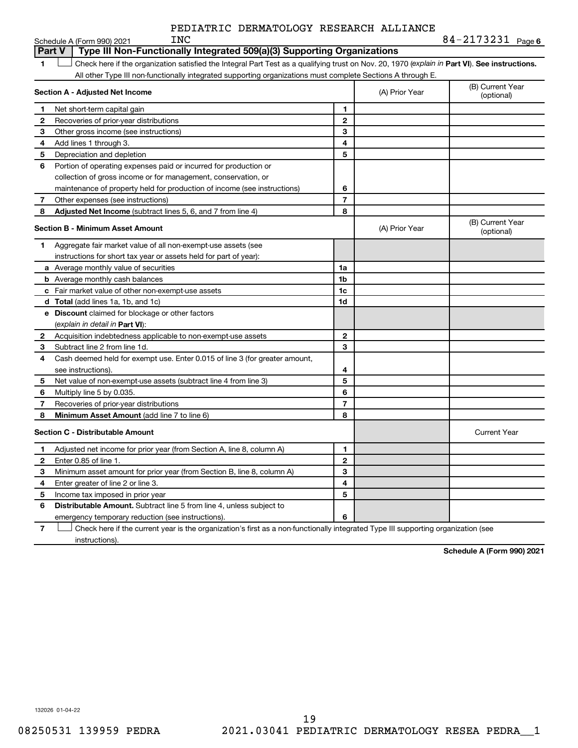|            | PEDIATRIC DERMATOLOGY RESEARCH ALLIANCE |  |                 |
|------------|-----------------------------------------|--|-----------------|
| <b>TNC</b> |                                         |  | $R_{4-2173231}$ |

**6**

|               | Schedule A (Form 990) 2021<br>TMC                                                                                                              |                |                | 84-41/3431 Page6               |
|---------------|------------------------------------------------------------------------------------------------------------------------------------------------|----------------|----------------|--------------------------------|
| <b>Part V</b> | Type III Non-Functionally Integrated 509(a)(3) Supporting Organizations                                                                        |                |                |                                |
| 1             | Check here if the organization satisfied the Integral Part Test as a qualifying trust on Nov. 20, 1970 (explain in Part VI). See instructions. |                |                |                                |
|               | All other Type III non-functionally integrated supporting organizations must complete Sections A through E.                                    |                |                |                                |
|               | Section A - Adjusted Net Income                                                                                                                |                | (A) Prior Year | (B) Current Year<br>(optional) |
| 1             | Net short-term capital gain                                                                                                                    | 1              |                |                                |
| $\mathbf{2}$  | Recoveries of prior-year distributions                                                                                                         | 2              |                |                                |
| 3             | Other gross income (see instructions)                                                                                                          | 3              |                |                                |
| 4             | Add lines 1 through 3.                                                                                                                         | 4              |                |                                |
| 5             | Depreciation and depletion                                                                                                                     | 5              |                |                                |
| 6             | Portion of operating expenses paid or incurred for production or                                                                               |                |                |                                |
|               | collection of gross income or for management, conservation, or                                                                                 |                |                |                                |
|               | maintenance of property held for production of income (see instructions)                                                                       | 6              |                |                                |
| 7             | Other expenses (see instructions)                                                                                                              | 7              |                |                                |
| 8             | Adjusted Net Income (subtract lines 5, 6, and 7 from line 4)                                                                                   | 8              |                |                                |
|               | <b>Section B - Minimum Asset Amount</b>                                                                                                        |                | (A) Prior Year | (B) Current Year<br>(optional) |
| 1.            | Aggregate fair market value of all non-exempt-use assets (see                                                                                  |                |                |                                |
|               | instructions for short tax year or assets held for part of year):                                                                              |                |                |                                |
|               | a Average monthly value of securities                                                                                                          | 1a             |                |                                |
|               | <b>b</b> Average monthly cash balances                                                                                                         | 1 <sub>b</sub> |                |                                |
|               | c Fair market value of other non-exempt-use assets                                                                                             | 1c             |                |                                |
|               | <b>d</b> Total (add lines 1a, 1b, and 1c)                                                                                                      | 1d             |                |                                |
|               | e Discount claimed for blockage or other factors                                                                                               |                |                |                                |
|               | (explain in detail in <b>Part VI</b> ):                                                                                                        |                |                |                                |
| 2             | Acquisition indebtedness applicable to non-exempt-use assets                                                                                   | 2              |                |                                |
| 3             | Subtract line 2 from line 1d.                                                                                                                  | 3              |                |                                |
| 4             | Cash deemed held for exempt use. Enter 0.015 of line 3 (for greater amount,                                                                    |                |                |                                |
|               | see instructions)                                                                                                                              | 4              |                |                                |
| 5             | Net value of non-exempt-use assets (subtract line 4 from line 3)                                                                               | 5              |                |                                |
| 6             | Multiply line 5 by 0.035.                                                                                                                      | 6              |                |                                |
| 7             | Recoveries of prior-year distributions                                                                                                         | $\overline{7}$ |                |                                |
| 8             | <b>Minimum Asset Amount (add line 7 to line 6)</b>                                                                                             | 8              |                |                                |
|               | <b>Section C - Distributable Amount</b>                                                                                                        |                |                | <b>Current Year</b>            |
| 1             | Adjusted net income for prior year (from Section A, line 8, column A)                                                                          | 1              |                |                                |
| 2             | Enter 0.85 of line 1.                                                                                                                          | $\overline{2}$ |                |                                |
| 3             | Minimum asset amount for prior year (from Section B, line 8, column A)                                                                         | 3              |                |                                |
| 4             | Enter greater of line 2 or line 3.                                                                                                             | 4              |                |                                |
| 5             | Income tax imposed in prior year                                                                                                               | 5              |                |                                |
| 6             | <b>Distributable Amount.</b> Subtract line 5 from line 4, unless subject to                                                                    |                |                |                                |
|               | emergency temporary reduction (see instructions).                                                                                              | 6              |                |                                |
| 7             | Check here if the current year is the organization's first as a non-functionally integrated Type III supporting organization (see              |                |                |                                |

instructions).

**Schedule A (Form 990) 2021**

132026 01-04-22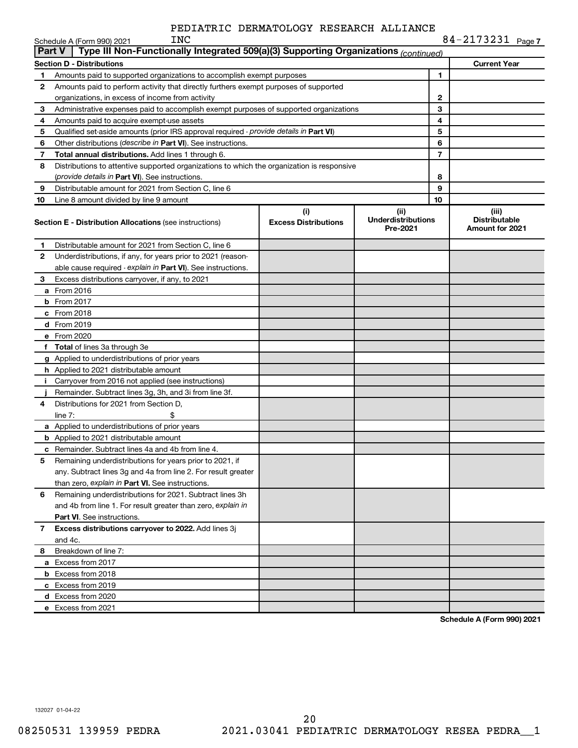|        | Schedule A (Form 990) 2021<br>TMC                                                          |                                    |                                               |                          | 84-41/3431 Page7                                 |
|--------|--------------------------------------------------------------------------------------------|------------------------------------|-----------------------------------------------|--------------------------|--------------------------------------------------|
| Part V | Type III Non-Functionally Integrated 509(a)(3) Supporting Organizations (continued)        |                                    |                                               |                          |                                                  |
|        | <b>Section D - Distributions</b>                                                           |                                    |                                               |                          | <b>Current Year</b>                              |
| 1      | Amounts paid to supported organizations to accomplish exempt purposes                      |                                    |                                               | 1                        |                                                  |
| 2      | Amounts paid to perform activity that directly furthers exempt purposes of supported       |                                    |                                               |                          |                                                  |
|        | organizations, in excess of income from activity                                           |                                    |                                               | 2                        |                                                  |
| 3      | Administrative expenses paid to accomplish exempt purposes of supported organizations      |                                    |                                               | 3                        |                                                  |
| 4      | Amounts paid to acquire exempt-use assets                                                  |                                    | 4                                             |                          |                                                  |
| 5      | Qualified set-aside amounts (prior IRS approval required - provide details in Part VI)     |                                    | 5                                             |                          |                                                  |
| 6      | Other distributions (describe in Part VI). See instructions.                               |                                    | 6                                             |                          |                                                  |
| 7      | Total annual distributions. Add lines 1 through 6.                                         |                                    |                                               | $\overline{\phantom{a}}$ |                                                  |
| 8      | Distributions to attentive supported organizations to which the organization is responsive |                                    |                                               |                          |                                                  |
|        | (provide details in Part VI). See instructions.                                            |                                    |                                               | 8                        |                                                  |
| 9      | Distributable amount for 2021 from Section C, line 6                                       |                                    |                                               | 9                        |                                                  |
| 10     | Line 8 amount divided by line 9 amount                                                     |                                    |                                               | 10                       |                                                  |
|        | <b>Section E - Distribution Allocations (see instructions)</b>                             | (i)<br><b>Excess Distributions</b> | (ii)<br><b>Underdistributions</b><br>Pre-2021 |                          | (iii)<br><b>Distributable</b><br>Amount for 2021 |
| 1      | Distributable amount for 2021 from Section C, line 6                                       |                                    |                                               |                          |                                                  |
| 2      | Underdistributions, if any, for years prior to 2021 (reason-                               |                                    |                                               |                          |                                                  |
|        | able cause required - explain in Part VI). See instructions.                               |                                    |                                               |                          |                                                  |
| З      | Excess distributions carryover, if any, to 2021                                            |                                    |                                               |                          |                                                  |
|        | a From 2016                                                                                |                                    |                                               |                          |                                                  |
|        | <b>b</b> From 2017                                                                         |                                    |                                               |                          |                                                  |
|        | c From 2018                                                                                |                                    |                                               |                          |                                                  |
|        | d From 2019                                                                                |                                    |                                               |                          |                                                  |
|        | e From 2020                                                                                |                                    |                                               |                          |                                                  |
|        | <b>f</b> Total of lines 3a through 3e                                                      |                                    |                                               |                          |                                                  |
|        | g Applied to underdistributions of prior years                                             |                                    |                                               |                          |                                                  |
|        | h Applied to 2021 distributable amount                                                     |                                    |                                               |                          |                                                  |
|        | i Carryover from 2016 not applied (see instructions)                                       |                                    |                                               |                          |                                                  |
|        | Remainder. Subtract lines 3g, 3h, and 3i from line 3f.                                     |                                    |                                               |                          |                                                  |
| 4      | Distributions for 2021 from Section D,                                                     |                                    |                                               |                          |                                                  |
|        | line $7:$<br>\$                                                                            |                                    |                                               |                          |                                                  |
|        | a Applied to underdistributions of prior years                                             |                                    |                                               |                          |                                                  |
|        | <b>b</b> Applied to 2021 distributable amount                                              |                                    |                                               |                          |                                                  |
|        | c Remainder. Subtract lines 4a and 4b from line 4.                                         |                                    |                                               |                          |                                                  |
| 5      | Remaining underdistributions for years prior to 2021, if                                   |                                    |                                               |                          |                                                  |
|        | any. Subtract lines 3g and 4a from line 2. For result greater                              |                                    |                                               |                          |                                                  |
|        | than zero, explain in Part VI. See instructions.                                           |                                    |                                               |                          |                                                  |
| 6      | Remaining underdistributions for 2021. Subtract lines 3h                                   |                                    |                                               |                          |                                                  |
|        | and 4b from line 1. For result greater than zero, explain in                               |                                    |                                               |                          |                                                  |
|        | Part VI. See instructions.                                                                 |                                    |                                               |                          |                                                  |
| 7      | Excess distributions carryover to 2022. Add lines 3j                                       |                                    |                                               |                          |                                                  |
|        | and 4c.                                                                                    |                                    |                                               |                          |                                                  |
| 8      | Breakdown of line 7:                                                                       |                                    |                                               |                          |                                                  |
|        | a Excess from 2017                                                                         |                                    |                                               |                          |                                                  |
|        | <b>b</b> Excess from 2018                                                                  |                                    |                                               |                          |                                                  |
|        | c Excess from 2019                                                                         |                                    |                                               |                          |                                                  |
|        | d Excess from 2020                                                                         |                                    |                                               |                          |                                                  |
|        | e Excess from 2021                                                                         |                                    |                                               |                          |                                                  |

**Schedule A (Form 990) 2021**

132027 01-04-22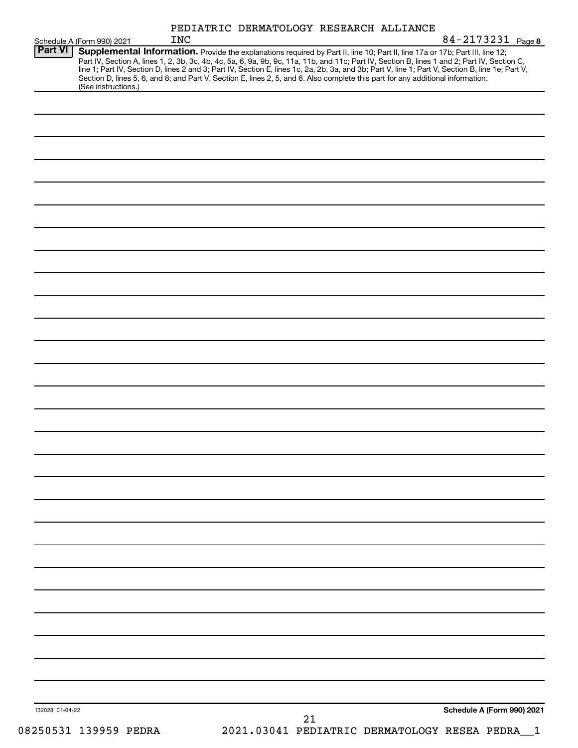| Schedule A (Form 990) 2021            | <b>INC</b>                                                                                                                                                                                                                                                                                                                                                                                                                                                                                           | PEDIATRIC DERMATOLOGY RESEARCH ALLIANCE        | 84-2173231 Page 8          |
|---------------------------------------|------------------------------------------------------------------------------------------------------------------------------------------------------------------------------------------------------------------------------------------------------------------------------------------------------------------------------------------------------------------------------------------------------------------------------------------------------------------------------------------------------|------------------------------------------------|----------------------------|
| <b>Part VI</b><br>(See instructions.) | Supplemental Information. Provide the explanations required by Part II, line 10; Part II, line 17a or 17b; Part III, line 12;<br>Part IV, Section A, lines 1, 2, 3b, 3c, 4b, 4c, 5a, 6, 9a, 9b, 9c, 11a, 11b, and 11c; Part IV, Section B, lines 1 and 2; Part IV, Section C,<br>line 1; Part IV, Section D, lines 2 and 3; Part IV, Section E, lines 1c, 2a, 2b,<br>Section D, lines 5, 6, and 8; and Part V, Section E, lines 2, 5, and 6. Also complete this part for any additional information. |                                                |                            |
|                                       |                                                                                                                                                                                                                                                                                                                                                                                                                                                                                                      |                                                |                            |
|                                       |                                                                                                                                                                                                                                                                                                                                                                                                                                                                                                      |                                                |                            |
|                                       |                                                                                                                                                                                                                                                                                                                                                                                                                                                                                                      |                                                |                            |
|                                       |                                                                                                                                                                                                                                                                                                                                                                                                                                                                                                      |                                                |                            |
|                                       |                                                                                                                                                                                                                                                                                                                                                                                                                                                                                                      |                                                |                            |
|                                       |                                                                                                                                                                                                                                                                                                                                                                                                                                                                                                      |                                                |                            |
|                                       |                                                                                                                                                                                                                                                                                                                                                                                                                                                                                                      |                                                |                            |
|                                       |                                                                                                                                                                                                                                                                                                                                                                                                                                                                                                      |                                                |                            |
|                                       |                                                                                                                                                                                                                                                                                                                                                                                                                                                                                                      |                                                |                            |
|                                       |                                                                                                                                                                                                                                                                                                                                                                                                                                                                                                      |                                                |                            |
|                                       |                                                                                                                                                                                                                                                                                                                                                                                                                                                                                                      |                                                |                            |
|                                       |                                                                                                                                                                                                                                                                                                                                                                                                                                                                                                      |                                                |                            |
|                                       |                                                                                                                                                                                                                                                                                                                                                                                                                                                                                                      |                                                |                            |
|                                       |                                                                                                                                                                                                                                                                                                                                                                                                                                                                                                      |                                                |                            |
|                                       |                                                                                                                                                                                                                                                                                                                                                                                                                                                                                                      |                                                |                            |
|                                       |                                                                                                                                                                                                                                                                                                                                                                                                                                                                                                      |                                                |                            |
|                                       |                                                                                                                                                                                                                                                                                                                                                                                                                                                                                                      |                                                |                            |
|                                       |                                                                                                                                                                                                                                                                                                                                                                                                                                                                                                      |                                                |                            |
|                                       |                                                                                                                                                                                                                                                                                                                                                                                                                                                                                                      |                                                |                            |
|                                       |                                                                                                                                                                                                                                                                                                                                                                                                                                                                                                      |                                                |                            |
|                                       |                                                                                                                                                                                                                                                                                                                                                                                                                                                                                                      |                                                |                            |
|                                       |                                                                                                                                                                                                                                                                                                                                                                                                                                                                                                      |                                                |                            |
|                                       |                                                                                                                                                                                                                                                                                                                                                                                                                                                                                                      |                                                |                            |
|                                       |                                                                                                                                                                                                                                                                                                                                                                                                                                                                                                      |                                                |                            |
|                                       |                                                                                                                                                                                                                                                                                                                                                                                                                                                                                                      |                                                |                            |
|                                       |                                                                                                                                                                                                                                                                                                                                                                                                                                                                                                      |                                                |                            |
|                                       |                                                                                                                                                                                                                                                                                                                                                                                                                                                                                                      |                                                |                            |
|                                       |                                                                                                                                                                                                                                                                                                                                                                                                                                                                                                      |                                                |                            |
| 132028 01-04-22                       |                                                                                                                                                                                                                                                                                                                                                                                                                                                                                                      | 21                                             | Schedule A (Form 990) 2021 |
| 08250531 139959 PEDRA                 |                                                                                                                                                                                                                                                                                                                                                                                                                                                                                                      | 2021.03041 PEDIATRIC DERMATOLOGY RESEA PEDRA 1 |                            |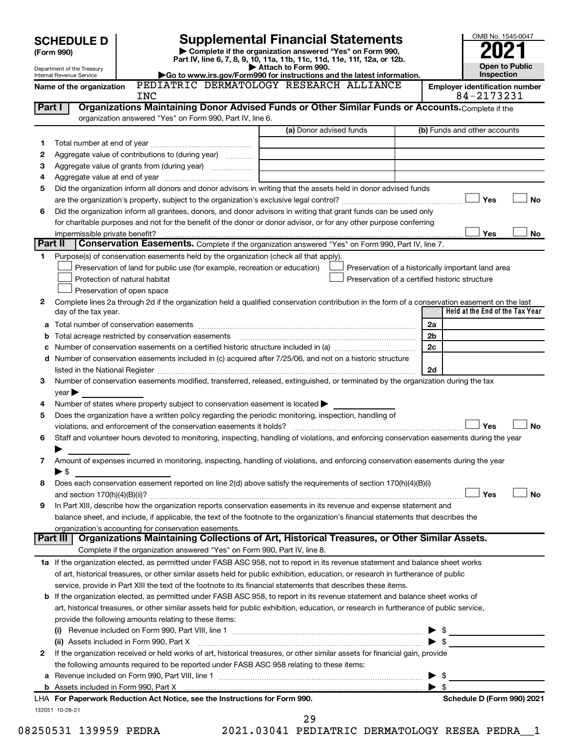|         | <b>SCHEDULE D</b>                                                                                                                                    | <b>Supplemental Financial Statements</b>                                                               | OMB No. 1545-0047                                                                                                                                                                                                             |                |                                                     |  |  |  |
|---------|------------------------------------------------------------------------------------------------------------------------------------------------------|--------------------------------------------------------------------------------------------------------|-------------------------------------------------------------------------------------------------------------------------------------------------------------------------------------------------------------------------------|----------------|-----------------------------------------------------|--|--|--|
|         | (Form 990)                                                                                                                                           |                                                                                                        | Complete if the organization answered "Yes" on Form 990,<br>Part IV, line 6, 7, 8, 9, 10, 11a, 11b, 11c, 11d, 11e, 11f, 12a, or 12b.                                                                                          |                |                                                     |  |  |  |
|         | Department of the Treasury                                                                                                                           |                                                                                                        | Attach to Form 990.                                                                                                                                                                                                           |                | <b>Open to Public</b>                               |  |  |  |
|         | Internal Revenue Service                                                                                                                             |                                                                                                        | Go to www.irs.gov/Form990 for instructions and the latest information.                                                                                                                                                        |                | Inspection                                          |  |  |  |
|         | Name of the organization                                                                                                                             | <b>INC</b>                                                                                             | PEDIATRIC DERMATOLOGY RESEARCH ALLIANCE                                                                                                                                                                                       |                | <b>Employer identification number</b><br>84-2173231 |  |  |  |
|         | Part I                                                                                                                                               |                                                                                                        | Organizations Maintaining Donor Advised Funds or Other Similar Funds or Accounts. Complete if the                                                                                                                             |                |                                                     |  |  |  |
|         |                                                                                                                                                      | organization answered "Yes" on Form 990, Part IV, line 6.                                              |                                                                                                                                                                                                                               |                |                                                     |  |  |  |
|         |                                                                                                                                                      |                                                                                                        | (a) Donor advised funds                                                                                                                                                                                                       |                | (b) Funds and other accounts                        |  |  |  |
| 1       |                                                                                                                                                      |                                                                                                        |                                                                                                                                                                                                                               |                |                                                     |  |  |  |
| 2       |                                                                                                                                                      | Aggregate value of contributions to (during year)                                                      |                                                                                                                                                                                                                               |                |                                                     |  |  |  |
| з       |                                                                                                                                                      | Aggregate value of grants from (during year)                                                           |                                                                                                                                                                                                                               |                |                                                     |  |  |  |
| 4       |                                                                                                                                                      |                                                                                                        |                                                                                                                                                                                                                               |                |                                                     |  |  |  |
| 5       |                                                                                                                                                      |                                                                                                        | Did the organization inform all donors and donor advisors in writing that the assets held in donor advised funds                                                                                                              |                |                                                     |  |  |  |
|         |                                                                                                                                                      |                                                                                                        |                                                                                                                                                                                                                               |                | Yes<br><b>No</b>                                    |  |  |  |
| 6       | Did the organization inform all grantees, donors, and donor advisors in writing that grant funds can be used only                                    |                                                                                                        |                                                                                                                                                                                                                               |                |                                                     |  |  |  |
|         | for charitable purposes and not for the benefit of the donor or donor advisor, or for any other purpose conferring<br>impermissible private benefit? |                                                                                                        |                                                                                                                                                                                                                               |                |                                                     |  |  |  |
| Part II |                                                                                                                                                      |                                                                                                        | Conservation Easements. Complete if the organization answered "Yes" on Form 990, Part IV, line 7.                                                                                                                             |                | Yes<br>No                                           |  |  |  |
| 1       |                                                                                                                                                      | Purpose(s) of conservation easements held by the organization (check all that apply).                  |                                                                                                                                                                                                                               |                |                                                     |  |  |  |
|         |                                                                                                                                                      | Preservation of land for public use (for example, recreation or education)                             | Preservation of a historically important land area                                                                                                                                                                            |                |                                                     |  |  |  |
|         |                                                                                                                                                      | Protection of natural habitat                                                                          | Preservation of a certified historic structure                                                                                                                                                                                |                |                                                     |  |  |  |
|         |                                                                                                                                                      | Preservation of open space                                                                             |                                                                                                                                                                                                                               |                |                                                     |  |  |  |
| 2       |                                                                                                                                                      |                                                                                                        | Complete lines 2a through 2d if the organization held a qualified conservation contribution in the form of a conservation easement on the last                                                                                |                |                                                     |  |  |  |
|         | day of the tax year.                                                                                                                                 |                                                                                                        |                                                                                                                                                                                                                               |                | Held at the End of the Tax Year                     |  |  |  |
| а       |                                                                                                                                                      |                                                                                                        |                                                                                                                                                                                                                               | 2a             |                                                     |  |  |  |
| b       |                                                                                                                                                      |                                                                                                        |                                                                                                                                                                                                                               | 2 <sub>b</sub> |                                                     |  |  |  |
| с       |                                                                                                                                                      |                                                                                                        |                                                                                                                                                                                                                               | 2c             |                                                     |  |  |  |
| d       |                                                                                                                                                      |                                                                                                        | Number of conservation easements included in (c) acquired after 7/25/06, and not on a historic structure                                                                                                                      |                |                                                     |  |  |  |
|         |                                                                                                                                                      |                                                                                                        | listed in the National Register [11] manufactured in the National Register [11] manufactured in the National Register [11] manufactured in the National Register [11] manufactured in the National Register [11] manufactured | 2d             |                                                     |  |  |  |
| 3       |                                                                                                                                                      |                                                                                                        | Number of conservation easements modified, transferred, released, extinguished, or terminated by the organization during the tax                                                                                              |                |                                                     |  |  |  |
|         | year                                                                                                                                                 |                                                                                                        |                                                                                                                                                                                                                               |                |                                                     |  |  |  |
| 4       |                                                                                                                                                      | Number of states where property subject to conservation easement is located $\blacktriangleright$      |                                                                                                                                                                                                                               |                |                                                     |  |  |  |
| 5       |                                                                                                                                                      | Does the organization have a written policy regarding the periodic monitoring, inspection, handling of |                                                                                                                                                                                                                               |                |                                                     |  |  |  |
|         |                                                                                                                                                      |                                                                                                        |                                                                                                                                                                                                                               |                | Yes<br><b>No</b>                                    |  |  |  |
| 6       |                                                                                                                                                      |                                                                                                        | Staff and volunteer hours devoted to monitoring, inspecting, handling of violations, and enforcing conservation easements during the year                                                                                     |                |                                                     |  |  |  |
|         |                                                                                                                                                      |                                                                                                        |                                                                                                                                                                                                                               |                |                                                     |  |  |  |
| 7       |                                                                                                                                                      |                                                                                                        | Amount of expenses incurred in monitoring, inspecting, handling of violations, and enforcing conservation easements during the year                                                                                           |                |                                                     |  |  |  |
|         | $\blacktriangleright$ \$                                                                                                                             |                                                                                                        |                                                                                                                                                                                                                               |                |                                                     |  |  |  |
| 8       |                                                                                                                                                      |                                                                                                        | Does each conservation easement reported on line 2(d) above satisfy the requirements of section 170(h)(4)(B)(i)                                                                                                               |                |                                                     |  |  |  |
|         |                                                                                                                                                      |                                                                                                        |                                                                                                                                                                                                                               |                | Yes<br><b>No</b>                                    |  |  |  |
| 9       |                                                                                                                                                      |                                                                                                        | In Part XIII, describe how the organization reports conservation easements in its revenue and expense statement and                                                                                                           |                |                                                     |  |  |  |
|         |                                                                                                                                                      |                                                                                                        | balance sheet, and include, if applicable, the text of the footnote to the organization's financial statements that describes the                                                                                             |                |                                                     |  |  |  |
|         |                                                                                                                                                      | organization's accounting for conservation easements.                                                  |                                                                                                                                                                                                                               |                |                                                     |  |  |  |
|         | Part III                                                                                                                                             |                                                                                                        | Organizations Maintaining Collections of Art, Historical Treasures, or Other Similar Assets.                                                                                                                                  |                |                                                     |  |  |  |
|         |                                                                                                                                                      | Complete if the organization answered "Yes" on Form 990, Part IV, line 8.                              |                                                                                                                                                                                                                               |                |                                                     |  |  |  |
|         |                                                                                                                                                      |                                                                                                        | 1a If the organization elected, as permitted under FASB ASC 958, not to report in its revenue statement and balance sheet works                                                                                               |                |                                                     |  |  |  |
|         |                                                                                                                                                      |                                                                                                        | of art, historical treasures, or other similar assets held for public exhibition, education, or research in furtherance of public                                                                                             |                |                                                     |  |  |  |
|         |                                                                                                                                                      |                                                                                                        | service, provide in Part XIII the text of the footnote to its financial statements that describes these items.                                                                                                                |                |                                                     |  |  |  |
| b       |                                                                                                                                                      |                                                                                                        | If the organization elected, as permitted under FASB ASC 958, to report in its revenue statement and balance sheet works of                                                                                                   |                |                                                     |  |  |  |
|         | art, historical treasures, or other similar assets held for public exhibition, education, or research in furtherance of public service,              |                                                                                                        |                                                                                                                                                                                                                               |                |                                                     |  |  |  |
|         |                                                                                                                                                      | provide the following amounts relating to these items:                                                 |                                                                                                                                                                                                                               |                |                                                     |  |  |  |
|         |                                                                                                                                                      |                                                                                                        |                                                                                                                                                                                                                               | - \$           |                                                     |  |  |  |
|         |                                                                                                                                                      | (ii) Assets included in Form 990, Part X                                                               |                                                                                                                                                                                                                               | \$             |                                                     |  |  |  |
| 2       |                                                                                                                                                      |                                                                                                        | If the organization received or held works of art, historical treasures, or other similar assets for financial gain, provide                                                                                                  |                |                                                     |  |  |  |
|         |                                                                                                                                                      | the following amounts required to be reported under FASB ASC 958 relating to these items:              |                                                                                                                                                                                                                               |                |                                                     |  |  |  |
| а       |                                                                                                                                                      |                                                                                                        |                                                                                                                                                                                                                               | - \$           |                                                     |  |  |  |
|         |                                                                                                                                                      |                                                                                                        |                                                                                                                                                                                                                               | \$             |                                                     |  |  |  |
|         |                                                                                                                                                      | LHA For Paperwork Reduction Act Notice, see the Instructions for Form 990.                             |                                                                                                                                                                                                                               |                | Schedule D (Form 990) 2021                          |  |  |  |
|         | 132051 10-28-21                                                                                                                                      |                                                                                                        |                                                                                                                                                                                                                               |                |                                                     |  |  |  |
|         |                                                                                                                                                      |                                                                                                        | 29                                                                                                                                                                                                                            |                |                                                     |  |  |  |

08250531 139959 PEDRA 2021.03041 PEDIATRIC DERMATOLOGY RESEA PEDRA\_\_1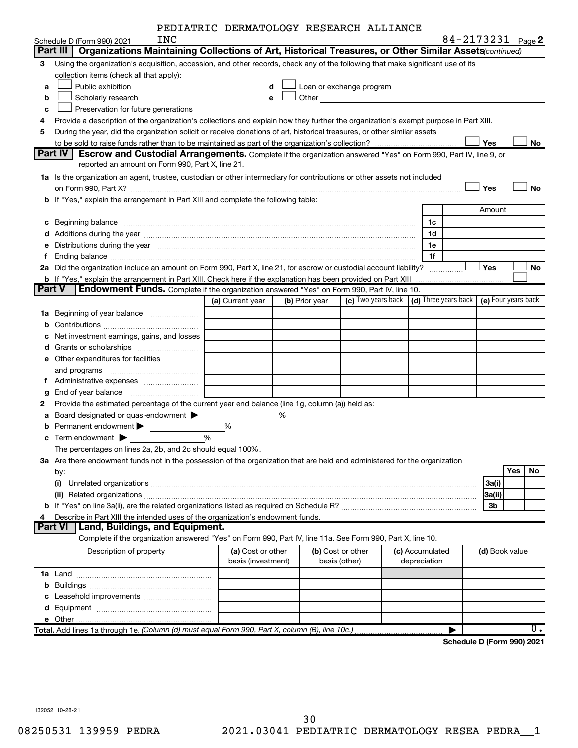| PEDIATRIC DERMATOLOGY RESEARCH ALLIANCE |  |  |
|-----------------------------------------|--|--|
|-----------------------------------------|--|--|

|               | INC                                                                                                                                               | PEDIAIRIC DERMATOLOGI RESEARCH ALLIANCE |   |                |                          |                 |              |                      |                | 84-2173231 Page 2   |
|---------------|---------------------------------------------------------------------------------------------------------------------------------------------------|-----------------------------------------|---|----------------|--------------------------|-----------------|--------------|----------------------|----------------|---------------------|
|               | Schedule D (Form 990) 2021<br>Organizations Maintaining Collections of Art, Historical Treasures, or Other Similar Assets (continued)<br>Part III |                                         |   |                |                          |                 |              |                      |                |                     |
| 3             | Using the organization's acquisition, accession, and other records, check any of the following that make significant use of its                   |                                         |   |                |                          |                 |              |                      |                |                     |
|               | collection items (check all that apply):                                                                                                          |                                         |   |                |                          |                 |              |                      |                |                     |
| a             | Public exhibition                                                                                                                                 | d                                       |   |                | Loan or exchange program |                 |              |                      |                |                     |
| b             | Scholarly research                                                                                                                                | е                                       |   | Other          |                          |                 |              |                      |                |                     |
| c             | Preservation for future generations                                                                                                               |                                         |   |                |                          |                 |              |                      |                |                     |
| 4             | Provide a description of the organization's collections and explain how they further the organization's exempt purpose in Part XIII.              |                                         |   |                |                          |                 |              |                      |                |                     |
| 5             | During the year, did the organization solicit or receive donations of art, historical treasures, or other similar assets                          |                                         |   |                |                          |                 |              |                      |                |                     |
|               |                                                                                                                                                   |                                         |   |                |                          |                 |              |                      | Yes            | No                  |
|               | Part IV<br><b>Escrow and Custodial Arrangements.</b> Complete if the organization answered "Yes" on Form 990, Part IV, line 9, or                 |                                         |   |                |                          |                 |              |                      |                |                     |
|               | reported an amount on Form 990, Part X, line 21.                                                                                                  |                                         |   |                |                          |                 |              |                      |                |                     |
|               | 1a Is the organization an agent, trustee, custodian or other intermediary for contributions or other assets not included                          |                                         |   |                |                          |                 |              |                      |                |                     |
|               |                                                                                                                                                   |                                         |   |                |                          |                 |              |                      | Yes            | No                  |
|               | b If "Yes," explain the arrangement in Part XIII and complete the following table:                                                                |                                         |   |                |                          |                 |              |                      |                |                     |
|               |                                                                                                                                                   |                                         |   |                |                          |                 |              |                      | Amount         |                     |
|               | c Beginning balance                                                                                                                               |                                         |   |                |                          |                 | 1c           |                      |                |                     |
|               |                                                                                                                                                   |                                         |   |                |                          |                 | 1d           |                      |                |                     |
|               | e Distributions during the year www.communication.communications.com/interventions.com/interventions.com/interv                                   |                                         |   |                |                          |                 | 1e           |                      |                |                     |
| f.            |                                                                                                                                                   |                                         |   |                |                          |                 | 1f           |                      |                |                     |
|               | 2a Did the organization include an amount on Form 990, Part X, line 21, for escrow or custodial account liability?                                |                                         |   |                |                          |                 |              | .                    | Yes            | No                  |
|               | b If "Yes," explain the arrangement in Part XIII. Check here if the explanation has been provided on Part XIII                                    |                                         |   |                |                          |                 |              |                      |                |                     |
| <b>Part V</b> | <b>Endowment Funds.</b> Complete if the organization answered "Yes" on Form 990, Part IV, line 10.                                                |                                         |   |                |                          |                 |              |                      |                |                     |
|               |                                                                                                                                                   | (a) Current year                        |   | (b) Prior year | (c) Two years back       |                 |              | (d) Three years back |                | (e) Four years back |
|               | 1a Beginning of year balance                                                                                                                      |                                         |   |                |                          |                 |              |                      |                |                     |
| b             |                                                                                                                                                   |                                         |   |                |                          |                 |              |                      |                |                     |
|               | Net investment earnings, gains, and losses                                                                                                        |                                         |   |                |                          |                 |              |                      |                |                     |
|               |                                                                                                                                                   |                                         |   |                |                          |                 |              |                      |                |                     |
|               | e Other expenditures for facilities                                                                                                               |                                         |   |                |                          |                 |              |                      |                |                     |
|               |                                                                                                                                                   |                                         |   |                |                          |                 |              |                      |                |                     |
|               |                                                                                                                                                   |                                         |   |                |                          |                 |              |                      |                |                     |
| g             |                                                                                                                                                   |                                         |   |                |                          |                 |              |                      |                |                     |
| 2             | Provide the estimated percentage of the current year end balance (line 1g, column (a)) held as:                                                   |                                         |   |                |                          |                 |              |                      |                |                     |
|               | a Board designated or quasi-endowment >                                                                                                           |                                         | % |                |                          |                 |              |                      |                |                     |
|               | <b>b</b> Permanent endowment <b>D</b>                                                                                                             | %                                       |   |                |                          |                 |              |                      |                |                     |
|               | $\mathbf c$ Term endowment $\blacktriangleright$                                                                                                  | %                                       |   |                |                          |                 |              |                      |                |                     |
|               | The percentages on lines 2a, 2b, and 2c should equal 100%.                                                                                        |                                         |   |                |                          |                 |              |                      |                |                     |
|               | 3a Are there endowment funds not in the possession of the organization that are held and administered for the organization                        |                                         |   |                |                          |                 |              |                      |                |                     |
|               | by:                                                                                                                                               |                                         |   |                |                          |                 |              |                      |                | Yes<br>No           |
|               |                                                                                                                                                   |                                         |   |                |                          |                 |              |                      | 3a(i)          |                     |
|               |                                                                                                                                                   |                                         |   |                |                          |                 |              |                      | 3a(ii)         |                     |
|               |                                                                                                                                                   |                                         |   |                |                          |                 |              |                      | 3b             |                     |
| 4             | Describe in Part XIII the intended uses of the organization's endowment funds.<br>Part VI<br><b>Land, Buildings, and Equipment.</b>               |                                         |   |                |                          |                 |              |                      |                |                     |
|               | Complete if the organization answered "Yes" on Form 990, Part IV, line 11a. See Form 990, Part X, line 10.                                        |                                         |   |                |                          |                 |              |                      |                |                     |
|               | Description of property                                                                                                                           | (a) Cost or other                       |   |                | (b) Cost or other        | (c) Accumulated |              |                      |                |                     |
|               |                                                                                                                                                   | basis (investment)                      |   |                | basis (other)            |                 | depreciation |                      | (d) Book value |                     |
|               |                                                                                                                                                   |                                         |   |                |                          |                 |              |                      |                |                     |
|               |                                                                                                                                                   |                                         |   |                |                          |                 |              |                      |                |                     |
|               |                                                                                                                                                   |                                         |   |                |                          |                 |              |                      |                |                     |
|               |                                                                                                                                                   |                                         |   |                |                          |                 |              |                      |                |                     |
|               |                                                                                                                                                   |                                         |   |                |                          |                 |              |                      |                |                     |
|               | Total. Add lines 1a through 1e. (Column (d) must equal Form 990, Part X, column (B), line 10c.)                                                   |                                         |   |                |                          |                 |              |                      |                | $0$ .               |
|               |                                                                                                                                                   |                                         |   |                |                          |                 |              |                      |                |                     |

**Schedule D (Form 990) 2021**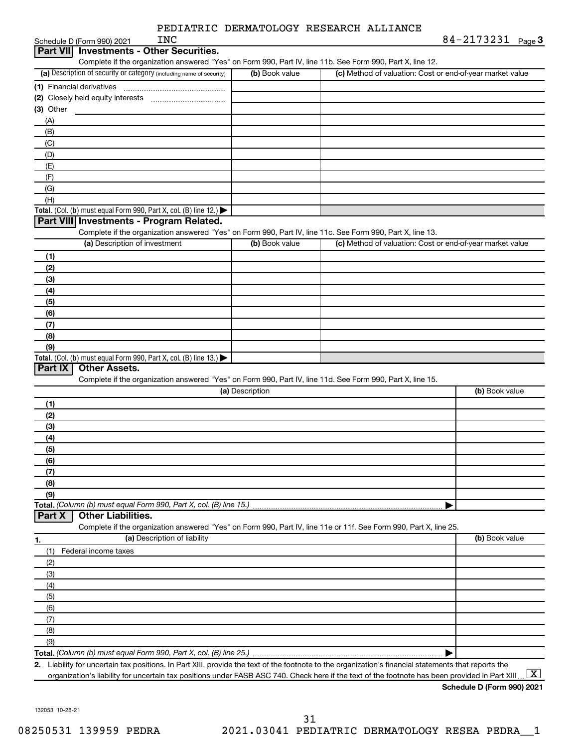| <b>INC</b><br>Schedule D (Form 990) 2021                                                                          |                 | $84 - 2173231$ Page 3                                     |  |
|-------------------------------------------------------------------------------------------------------------------|-----------------|-----------------------------------------------------------|--|
| <b>Investments - Other Securities.</b><br><b>Part VIII</b>                                                        |                 |                                                           |  |
| Complete if the organization answered "Yes" on Form 990, Part IV, line 11b. See Form 990, Part X, line 12.        |                 |                                                           |  |
| (a) Description of security or category (including name of security)                                              | (b) Book value  | (c) Method of valuation: Cost or end-of-year market value |  |
| (1) Financial derivatives                                                                                         |                 |                                                           |  |
|                                                                                                                   |                 |                                                           |  |
| (3) Other                                                                                                         |                 |                                                           |  |
| (A)                                                                                                               |                 |                                                           |  |
| (B)                                                                                                               |                 |                                                           |  |
| (C)                                                                                                               |                 |                                                           |  |
| (D)                                                                                                               |                 |                                                           |  |
|                                                                                                                   |                 |                                                           |  |
| (E)                                                                                                               |                 |                                                           |  |
| (F)                                                                                                               |                 |                                                           |  |
| (G)                                                                                                               |                 |                                                           |  |
| (H)                                                                                                               |                 |                                                           |  |
| Total. (Col. (b) must equal Form 990, Part X, col. (B) line 12.)                                                  |                 |                                                           |  |
| Part VIII Investments - Program Related.                                                                          |                 |                                                           |  |
| Complete if the organization answered "Yes" on Form 990, Part IV, line 11c. See Form 990, Part X, line 13.        |                 |                                                           |  |
| (a) Description of investment                                                                                     | (b) Book value  | (c) Method of valuation: Cost or end-of-year market value |  |
| (1)                                                                                                               |                 |                                                           |  |
| (2)                                                                                                               |                 |                                                           |  |
| (3)                                                                                                               |                 |                                                           |  |
| (4)                                                                                                               |                 |                                                           |  |
| (5)                                                                                                               |                 |                                                           |  |
| (6)                                                                                                               |                 |                                                           |  |
| (7)                                                                                                               |                 |                                                           |  |
| (8)                                                                                                               |                 |                                                           |  |
| (9)                                                                                                               |                 |                                                           |  |
| Total. (Col. (b) must equal Form 990, Part X, col. (B) line 13.)                                                  |                 |                                                           |  |
| Part IX<br><b>Other Assets.</b>                                                                                   |                 |                                                           |  |
| Complete if the organization answered "Yes" on Form 990, Part IV, line 11d. See Form 990, Part X, line 15.        |                 |                                                           |  |
|                                                                                                                   | (a) Description | (b) Book value                                            |  |
| (1)                                                                                                               |                 |                                                           |  |
| (2)                                                                                                               |                 |                                                           |  |
| (3)                                                                                                               |                 |                                                           |  |
| (4)                                                                                                               |                 |                                                           |  |
| (5)                                                                                                               |                 |                                                           |  |
| (6)                                                                                                               |                 |                                                           |  |
|                                                                                                                   |                 |                                                           |  |
| (7)                                                                                                               |                 |                                                           |  |
|                                                                                                                   |                 |                                                           |  |
| (8)                                                                                                               |                 |                                                           |  |
| (9)                                                                                                               |                 |                                                           |  |
| Total. (Column (b) must equal Form 990, Part X, col. (B) line 15.)                                                |                 |                                                           |  |
| <b>Other Liabilities.</b><br>Part X                                                                               |                 |                                                           |  |
| Complete if the organization answered "Yes" on Form 990, Part IV, line 11e or 11f. See Form 990, Part X, line 25. |                 |                                                           |  |
| (a) Description of liability<br>1.                                                                                |                 | (b) Book value                                            |  |
| Federal income taxes<br>(1)                                                                                       |                 |                                                           |  |
| (2)                                                                                                               |                 |                                                           |  |
| (3)                                                                                                               |                 |                                                           |  |
| (4)                                                                                                               |                 |                                                           |  |
| (5)                                                                                                               |                 |                                                           |  |
| (6)                                                                                                               |                 |                                                           |  |
| (7)                                                                                                               |                 |                                                           |  |
| (8)                                                                                                               |                 |                                                           |  |
| (9)                                                                                                               |                 |                                                           |  |
|                                                                                                                   |                 |                                                           |  |

organization's liability for uncertain tax positions under FASB ASC 740. Check here if the text of the footnote has been provided in Part XIII ...  $\fbox{\bf X}$ 

**Schedule D (Form 990) 2021**

132053 10-28-21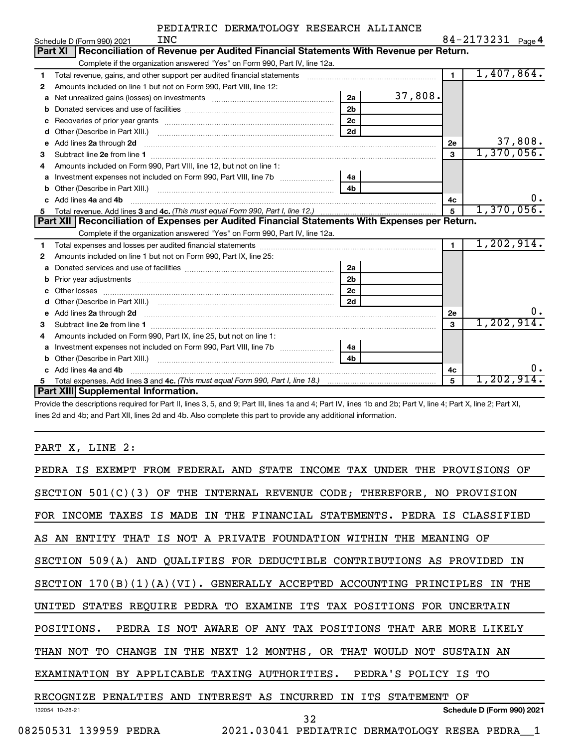|   | INC<br>Schedule D (Form 990) 2021                                                                                                                                                                                                   |                | $84 - 2173231$ Page 4 |    |
|---|-------------------------------------------------------------------------------------------------------------------------------------------------------------------------------------------------------------------------------------|----------------|-----------------------|----|
|   | Reconciliation of Revenue per Audited Financial Statements With Revenue per Return.<br>Part XI                                                                                                                                      |                |                       |    |
|   | Complete if the organization answered "Yes" on Form 990, Part IV, line 12a.                                                                                                                                                         |                |                       |    |
| 1 | Total revenue, gains, and other support per audited financial statements [[[[[[[[[[[[[[[[[[[[[[[[]]]]]]]]]]]]                                                                                                                       | $\mathbf{1}$   | 1,407,864.            |    |
| 2 | Amounts included on line 1 but not on Form 990, Part VIII, line 12:                                                                                                                                                                 |                |                       |    |
| a | 2a<br>Net unrealized gains (losses) on investments [111] [12] matter was uncontracted by the unrealized gains (losses) on investments                                                                                               | 37,808.        |                       |    |
|   | 2 <sub>b</sub>                                                                                                                                                                                                                      |                |                       |    |
| c | 2 <sub>c</sub>                                                                                                                                                                                                                      |                |                       |    |
| d | 2d                                                                                                                                                                                                                                  |                |                       |    |
| е |                                                                                                                                                                                                                                     | 2e             | 37,808.               |    |
| 3 |                                                                                                                                                                                                                                     | 3              | 1,370,056.            |    |
|   | Amounts included on Form 990, Part VIII, line 12, but not on line 1:                                                                                                                                                                |                |                       |    |
| a | Investment expenses not included on Form 990, Part VIII, line 7b [11, 111, 120]<br>4a                                                                                                                                               |                |                       |    |
|   |                                                                                                                                                                                                                                     |                |                       |    |
|   | Add lines 4a and 4b                                                                                                                                                                                                                 | 4c             |                       | 0. |
| 5 |                                                                                                                                                                                                                                     | 5              | 1,370,056.            |    |
|   | Part XII   Reconciliation of Expenses per Audited Financial Statements With Expenses per Return.                                                                                                                                    |                |                       |    |
|   | Complete if the organization answered "Yes" on Form 990, Part IV, line 12a.                                                                                                                                                         |                |                       |    |
| 1 |                                                                                                                                                                                                                                     | $\blacksquare$ | 1,202,914.            |    |
| 2 | Amounts included on line 1 but not on Form 990, Part IX, line 25:                                                                                                                                                                   |                |                       |    |
| a |                                                                                                                                                                                                                                     |                |                       |    |
|   | 2a                                                                                                                                                                                                                                  |                |                       |    |
| b | 2 <sub>b</sub>                                                                                                                                                                                                                      |                |                       |    |
|   | 2c                                                                                                                                                                                                                                  |                |                       |    |
|   | 2d<br>Other (Describe in Part XIII.) (COLORGIAL CONSERVITY) (CONSERVITY) (CONSERVITY) (CONSERVITY) (CONSERVITY) (CONSERVITY)                                                                                                        |                |                       |    |
| е |                                                                                                                                                                                                                                     | 2е             |                       | υ. |
| 3 | Add lines 2a through 2d <b>must be a constructed as the constant of the construction of the construction</b> and the construction of the construction of the construction of the construction of the construction of the constructi | 3              | 1, 202, 914.          |    |
| 4 | Amounts included on Form 990, Part IX, line 25, but not on line 1:                                                                                                                                                                  |                |                       |    |
| a | Investment expenses not included on Form 990, Part VIII, line 7b [<br>4a                                                                                                                                                            |                |                       |    |
|   | 4 <sub>h</sub>                                                                                                                                                                                                                      |                |                       |    |
|   | c Add lines 4a and 4b                                                                                                                                                                                                               | 4c             |                       | ο. |
|   | Part XIII Supplemental Information.                                                                                                                                                                                                 | 5              | 1,202,914.            |    |

Provide the descriptions required for Part II, lines 3, 5, and 9; Part III, lines 1a and 4; Part IV, lines 1b and 2b; Part V, line 4; Part X, line 2; Part XI, lines 2d and 4b; and Part XII, lines 2d and 4b. Also complete this part to provide any additional information.

#### PART X, LINE 2:

| PEDRA IS EXEMPT FROM FEDERAL AND STATE INCOME TAX UNDER THE PROVISIONS OF    |
|------------------------------------------------------------------------------|
| SECTION 501(C)(3) OF THE INTERNAL REVENUE CODE; THEREFORE, NO PROVISION      |
| FOR INCOME TAXES IS MADE IN THE FINANCIAL STATEMENTS. PEDRA IS CLASSIFIED    |
| AS AN ENTITY THAT IS NOT A PRIVATE FOUNDATION WITHIN THE MEANING OF          |
| SECTION 509(A) AND QUALIFIES FOR DEDUCTIBLE CONTRIBUTIONS AS PROVIDED<br>ΙN  |
| SECTION 170(B)(1)(A)(VI). GENERALLY ACCEPTED ACCOUNTING PRINCIPLES IN<br>THE |
| UNITED STATES REQUIRE PEDRA TO EXAMINE ITS TAX POSITIONS FOR UNCERTAIN       |
| PEDRA IS NOT AWARE OF ANY TAX POSITIONS THAT ARE MORE LIKELY<br>POSITIONS.   |
| THAN NOT TO CHANGE IN THE NEXT 12 MONTHS, OR THAT WOULD NOT SUSTAIN AN       |
| EXAMINATION BY APPLICABLE TAXING AUTHORITIES. PEDRA'S POLICY IS TO           |
| RECOGNIZE PENALTIES AND INTEREST AS INCURRED<br>IN ITS STATEMENT OF          |
| Schedule D (Form 990) 2021<br>132054 10-28-21<br>32                          |
| 08250531 139959 PEDRA 2021.03041 PEDIATRIC DERMATOLOGY RESEA PEDRA 1         |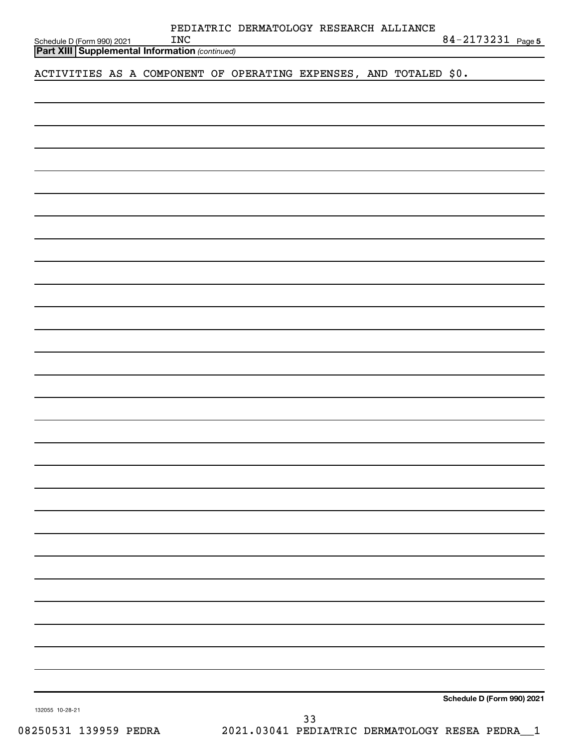| ACTIVITIES AS A COMPONENT OF OPERATING EXPENSES, AND TOTALED \$0. |  |  |    |  |                            |
|-------------------------------------------------------------------|--|--|----|--|----------------------------|
|                                                                   |  |  |    |  |                            |
|                                                                   |  |  |    |  |                            |
|                                                                   |  |  |    |  |                            |
|                                                                   |  |  |    |  |                            |
|                                                                   |  |  |    |  |                            |
|                                                                   |  |  |    |  |                            |
|                                                                   |  |  |    |  |                            |
|                                                                   |  |  |    |  |                            |
|                                                                   |  |  |    |  |                            |
|                                                                   |  |  |    |  |                            |
|                                                                   |  |  |    |  |                            |
|                                                                   |  |  |    |  |                            |
|                                                                   |  |  |    |  |                            |
|                                                                   |  |  |    |  |                            |
|                                                                   |  |  |    |  |                            |
|                                                                   |  |  |    |  |                            |
|                                                                   |  |  |    |  |                            |
|                                                                   |  |  |    |  |                            |
|                                                                   |  |  |    |  |                            |
|                                                                   |  |  |    |  |                            |
|                                                                   |  |  |    |  |                            |
|                                                                   |  |  |    |  |                            |
|                                                                   |  |  |    |  |                            |
|                                                                   |  |  |    |  |                            |
|                                                                   |  |  |    |  |                            |
| 132055 10-28-21                                                   |  |  | 22 |  | Schedule D (Form 990) 2021 |

**INC** 84-2173231 Page 5

PEDIATRIC DERMATOLOGY RESEARCH ALLIANCE

*(continued)* **Part XIII Supplemental Information** 

Schedule D (Form 990) 2021  $N_{\text{C}}$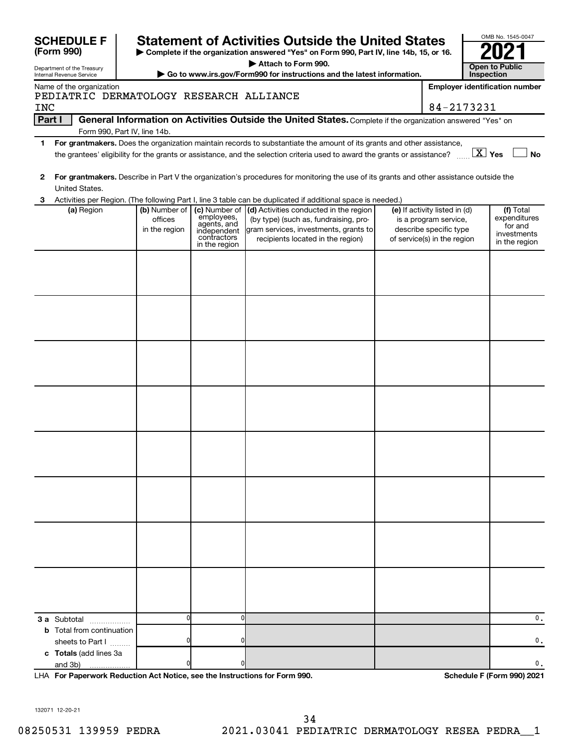| <b>SCHEDULE F</b><br>(Form 990)                        |                                                       |                                                                                           | <b>Statement of Activities Outside the United States</b><br>Complete if the organization answered "Yes" on Form 990, Part IV, line 14b, 15, or 16.            |  |                                                                                                                 | OMB No. 1545-0047                                                    |  |  |  |
|--------------------------------------------------------|-------------------------------------------------------|-------------------------------------------------------------------------------------------|---------------------------------------------------------------------------------------------------------------------------------------------------------------|--|-----------------------------------------------------------------------------------------------------------------|----------------------------------------------------------------------|--|--|--|
| Department of the Treasury<br>Internal Revenue Service |                                                       |                                                                                           | Attach to Form 990.<br>Go to www.irs.gov/Form990 for instructions and the latest information.                                                                 |  |                                                                                                                 | <b>Open to Public</b><br>Inspection                                  |  |  |  |
| Name of the organization                               |                                                       |                                                                                           |                                                                                                                                                               |  |                                                                                                                 | <b>Employer identification number</b>                                |  |  |  |
| <b>INC</b>                                             | PEDIATRIC DERMATOLOGY RESEARCH ALLIANCE<br>84-2173231 |                                                                                           |                                                                                                                                                               |  |                                                                                                                 |                                                                      |  |  |  |
| Part I                                                 |                                                       |                                                                                           | General Information on Activities Outside the United States. Complete if the organization answered "Yes" on                                                   |  |                                                                                                                 |                                                                      |  |  |  |
| 1.                                                     | Form 990, Part IV, line 14b.                          |                                                                                           | For grantmakers. Does the organization maintain records to substantiate the amount of its grants and other assistance,                                        |  |                                                                                                                 |                                                                      |  |  |  |
|                                                        |                                                       |                                                                                           | the grantees' eligibility for the grants or assistance, and the selection criteria used to award the grants or assistance?                                    |  |                                                                                                                 | $\boxed{\text{X}}$ Yes<br><b>No</b>                                  |  |  |  |
| 2<br>United States.                                    |                                                       |                                                                                           | For grantmakers. Describe in Part V the organization's procedures for monitoring the use of its grants and other assistance outside the                       |  |                                                                                                                 |                                                                      |  |  |  |
|                                                        |                                                       |                                                                                           | Activities per Region. (The following Part I, line 3 table can be duplicated if additional space is needed.)                                                  |  |                                                                                                                 |                                                                      |  |  |  |
| (a) Region                                             | (b) Number of<br>offices<br>in the region             | (c) Number of<br>employees,<br>agents, and<br>independent<br>contractors<br>in the region | (d) Activities conducted in the region<br>(by type) (such as, fundraising, pro-<br>gram services, investments, grants to<br>recipients located in the region) |  | (e) If activity listed in (d)<br>is a program service,<br>describe specific type<br>of service(s) in the region | (f) Total<br>expenditures<br>for and<br>investments<br>in the region |  |  |  |
|                                                        |                                                       |                                                                                           |                                                                                                                                                               |  |                                                                                                                 |                                                                      |  |  |  |
|                                                        |                                                       |                                                                                           |                                                                                                                                                               |  |                                                                                                                 |                                                                      |  |  |  |
|                                                        |                                                       |                                                                                           |                                                                                                                                                               |  |                                                                                                                 |                                                                      |  |  |  |
|                                                        |                                                       |                                                                                           |                                                                                                                                                               |  |                                                                                                                 |                                                                      |  |  |  |
|                                                        |                                                       |                                                                                           |                                                                                                                                                               |  |                                                                                                                 |                                                                      |  |  |  |
|                                                        |                                                       |                                                                                           |                                                                                                                                                               |  |                                                                                                                 |                                                                      |  |  |  |
|                                                        |                                                       |                                                                                           |                                                                                                                                                               |  |                                                                                                                 |                                                                      |  |  |  |
|                                                        |                                                       |                                                                                           |                                                                                                                                                               |  |                                                                                                                 |                                                                      |  |  |  |
|                                                        |                                                       |                                                                                           |                                                                                                                                                               |  |                                                                                                                 |                                                                      |  |  |  |
| <b>3 a</b> Subtotal                                    |                                                       | O                                                                                         |                                                                                                                                                               |  |                                                                                                                 | 0.                                                                   |  |  |  |
| <b>b</b> Total from continuation                       |                                                       |                                                                                           |                                                                                                                                                               |  |                                                                                                                 |                                                                      |  |  |  |
| sheets to Part I<br>c Totals (add lines 3a             |                                                       |                                                                                           |                                                                                                                                                               |  |                                                                                                                 | 0.                                                                   |  |  |  |
| and 3b)                                                |                                                       |                                                                                           |                                                                                                                                                               |  |                                                                                                                 | 0.                                                                   |  |  |  |

**For Paperwork Reduction Act Notice, see the Instructions for Form 990. Schedule F (Form 990) 2021** LHA

132071 12-20-21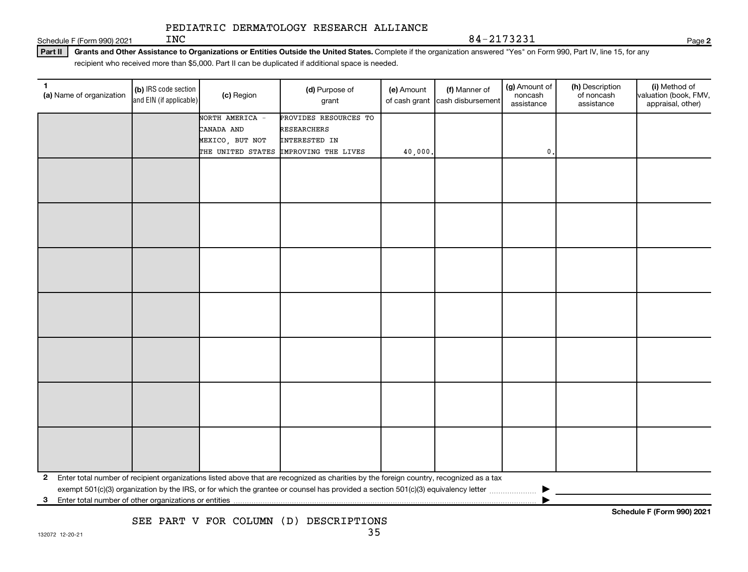INC 84-2173231

Schedule F (Form 990) 2021  $INC$ 

Part II | Grants and Other Assistance to Organizations or Entities Outside the United States. Complete if the organization answered "Yes" on Form 990, Part IV, line 15, for any recipient who received more than \$5,000. Part II can be duplicated if additional space is needed.

| 1.<br>(a) Name of organization | (b) IRS code section<br>and EIN (if applicable) | (c) Region        | (d) Purpose of<br>grant                                                                                                                   | (e) Amount | (f) Manner of<br>of cash grant cash disbursement | (g) Amount of<br>noncash<br>assistance | (h) Description<br>of noncash<br>assistance | (i) Method of<br>valuation (book, FMV,<br>appraisal, other) |
|--------------------------------|-------------------------------------------------|-------------------|-------------------------------------------------------------------------------------------------------------------------------------------|------------|--------------------------------------------------|----------------------------------------|---------------------------------------------|-------------------------------------------------------------|
|                                |                                                 | NORTH AMERICA -   | PROVIDES RESOURCES TO                                                                                                                     |            |                                                  |                                        |                                             |                                                             |
|                                |                                                 | CANADA AND        | <b>RESEARCHERS</b>                                                                                                                        |            |                                                  |                                        |                                             |                                                             |
|                                |                                                 | MEXICO, BUT NOT   | INTERESTED IN                                                                                                                             |            |                                                  |                                        |                                             |                                                             |
|                                |                                                 | THE UNITED STATES | IMPROVING THE LIVES                                                                                                                       | 40,000     |                                                  | 0.                                     |                                             |                                                             |
|                                |                                                 |                   |                                                                                                                                           |            |                                                  |                                        |                                             |                                                             |
|                                |                                                 |                   |                                                                                                                                           |            |                                                  |                                        |                                             |                                                             |
|                                |                                                 |                   |                                                                                                                                           |            |                                                  |                                        |                                             |                                                             |
|                                |                                                 |                   |                                                                                                                                           |            |                                                  |                                        |                                             |                                                             |
|                                |                                                 |                   |                                                                                                                                           |            |                                                  |                                        |                                             |                                                             |
|                                |                                                 |                   |                                                                                                                                           |            |                                                  |                                        |                                             |                                                             |
|                                |                                                 |                   |                                                                                                                                           |            |                                                  |                                        |                                             |                                                             |
|                                |                                                 |                   |                                                                                                                                           |            |                                                  |                                        |                                             |                                                             |
|                                |                                                 |                   |                                                                                                                                           |            |                                                  |                                        |                                             |                                                             |
|                                |                                                 |                   |                                                                                                                                           |            |                                                  |                                        |                                             |                                                             |
|                                |                                                 |                   |                                                                                                                                           |            |                                                  |                                        |                                             |                                                             |
|                                |                                                 |                   |                                                                                                                                           |            |                                                  |                                        |                                             |                                                             |
|                                |                                                 |                   |                                                                                                                                           |            |                                                  |                                        |                                             |                                                             |
|                                |                                                 |                   |                                                                                                                                           |            |                                                  |                                        |                                             |                                                             |
|                                |                                                 |                   |                                                                                                                                           |            |                                                  |                                        |                                             |                                                             |
|                                |                                                 |                   |                                                                                                                                           |            |                                                  |                                        |                                             |                                                             |
|                                |                                                 |                   |                                                                                                                                           |            |                                                  |                                        |                                             |                                                             |
|                                |                                                 |                   |                                                                                                                                           |            |                                                  |                                        |                                             |                                                             |
|                                |                                                 |                   |                                                                                                                                           |            |                                                  |                                        |                                             |                                                             |
|                                |                                                 |                   |                                                                                                                                           |            |                                                  |                                        |                                             |                                                             |
|                                |                                                 |                   |                                                                                                                                           |            |                                                  |                                        |                                             |                                                             |
|                                |                                                 |                   |                                                                                                                                           |            |                                                  |                                        |                                             |                                                             |
|                                |                                                 |                   |                                                                                                                                           |            |                                                  |                                        |                                             |                                                             |
|                                |                                                 |                   |                                                                                                                                           |            |                                                  |                                        |                                             |                                                             |
|                                |                                                 |                   |                                                                                                                                           |            |                                                  |                                        |                                             |                                                             |
|                                |                                                 |                   |                                                                                                                                           |            |                                                  |                                        |                                             |                                                             |
|                                |                                                 |                   |                                                                                                                                           |            |                                                  |                                        |                                             |                                                             |
|                                |                                                 |                   | 2 Enter total number of recipient organizations listed above that are recognized as charities by the foreign country, recognized as a tax |            |                                                  |                                        |                                             |                                                             |
|                                |                                                 |                   |                                                                                                                                           |            |                                                  |                                        |                                             |                                                             |
| 3                              |                                                 |                   |                                                                                                                                           |            |                                                  |                                        |                                             |                                                             |
|                                |                                                 |                   |                                                                                                                                           |            |                                                  |                                        |                                             | Schedule F (Form 990) 2021                                  |

35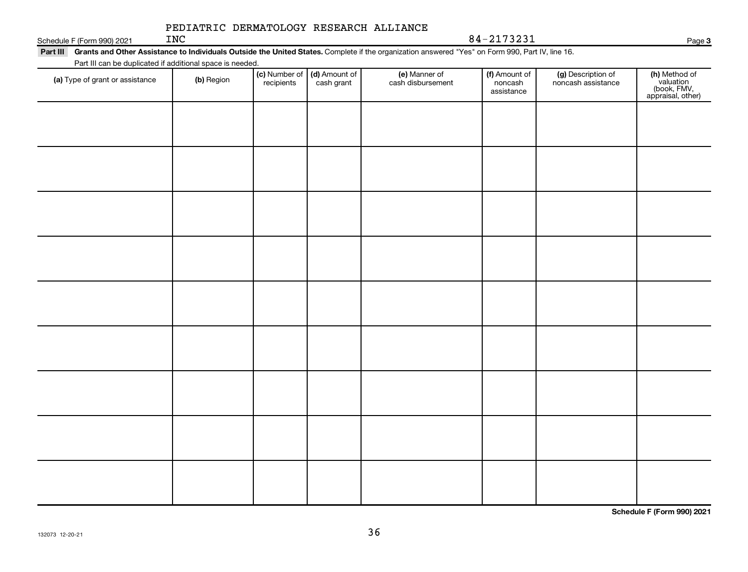#### Schedule F (Form 990) 2021  $INC$ PEDIATRIC DERMATOLOGY RESEARCH ALLIANCE

INC 84-2173231

**3**

| Part III                                                  | Grants and Other Assistance to Individuals Outside the United States. Complete if the organization answered "Yes" on Form 990, Part IV, line 16. |            |                                             |                                    |                                        |                                          |           |  |  |  |  |
|-----------------------------------------------------------|--------------------------------------------------------------------------------------------------------------------------------------------------|------------|---------------------------------------------|------------------------------------|----------------------------------------|------------------------------------------|-----------|--|--|--|--|
| Part III can be duplicated if additional space is needed. |                                                                                                                                                  |            |                                             |                                    |                                        |                                          |           |  |  |  |  |
| (a) Type of grant or assistance                           | (b) Region                                                                                                                                       | recipients | (c) Number of (d) Amount of (<br>cash grant | (e) Manner of<br>cash disbursement | (f) Amount of<br>noncash<br>assistance | (g) Description of<br>noncash assistance | (h)<br>(b |  |  |  |  |

| (a) Type of grant or assistance | (b) Region | <b>(c)</b> Number of <b>(d)</b> Amount of recipients cash grant | (e) Manner of<br>cash disbursement | <b>(f)</b> Amount of<br>noncash<br>assistance | (g) Description of<br>noncash assistance | (h) Method of<br>valuation<br>(book, FMV,<br>appraisal, other) |
|---------------------------------|------------|-----------------------------------------------------------------|------------------------------------|-----------------------------------------------|------------------------------------------|----------------------------------------------------------------|
|                                 |            |                                                                 |                                    |                                               |                                          |                                                                |
|                                 |            |                                                                 |                                    |                                               |                                          |                                                                |
|                                 |            |                                                                 |                                    |                                               |                                          |                                                                |
|                                 |            |                                                                 |                                    |                                               |                                          |                                                                |
|                                 |            |                                                                 |                                    |                                               |                                          |                                                                |
|                                 |            |                                                                 |                                    |                                               |                                          |                                                                |
|                                 |            |                                                                 |                                    |                                               |                                          |                                                                |
|                                 |            |                                                                 |                                    |                                               |                                          |                                                                |
|                                 |            |                                                                 |                                    |                                               |                                          |                                                                |
|                                 |            |                                                                 |                                    |                                               |                                          | Schedule F (Form 990) 2021                                     |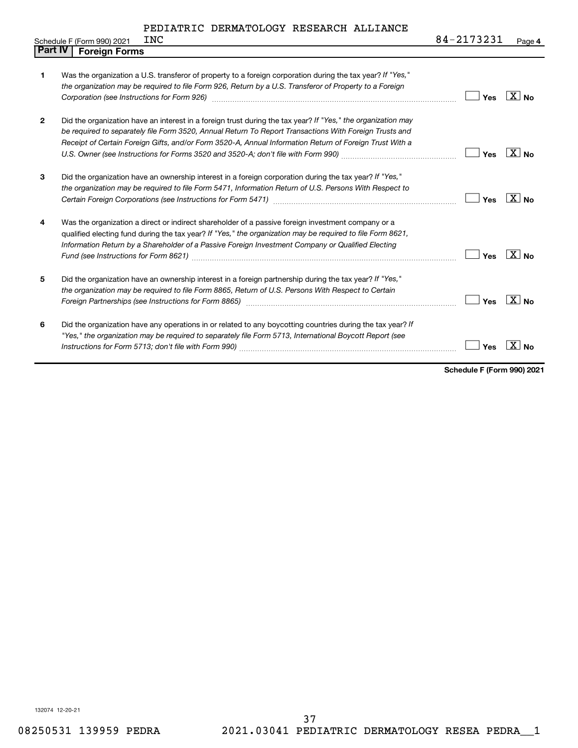|                | INC<br>Schedule F (Form 990) 2021                                                                                                                                                                                                                                                                                                        | 84-2173231 | Page 4                               |
|----------------|------------------------------------------------------------------------------------------------------------------------------------------------------------------------------------------------------------------------------------------------------------------------------------------------------------------------------------------|------------|--------------------------------------|
| <b>Part IV</b> | <b>Foreign Forms</b>                                                                                                                                                                                                                                                                                                                     |            |                                      |
| 1              | Was the organization a U.S. transferor of property to a foreign corporation during the tax year? If "Yes,"<br>the organization may be required to file Form 926, Return by a U.S. Transferor of Property to a Foreign<br>Corporation (see Instructions for Form 926) manufactured controller controller to the control of the control of | Yes        | $\overline{\text{X}}$ No             |
| $\mathbf{2}$   | Did the organization have an interest in a foreign trust during the tax year? If "Yes," the organization may<br>be required to separately file Form 3520, Annual Return To Report Transactions With Foreign Trusts and<br>Receipt of Certain Foreign Gifts, and/or Form 3520-A, Annual Information Return of Foreign Trust With a        | Yes        | $\sqrt{X}$ No                        |
| 3              | Did the organization have an ownership interest in a foreign corporation during the tax year? If "Yes,"<br>the organization may be required to file Form 5471, Information Return of U.S. Persons With Respect to                                                                                                                        | Yes        | $\overline{\mathbf{x}}$<br><b>No</b> |
| 4              | Was the organization a direct or indirect shareholder of a passive foreign investment company or a<br>qualified electing fund during the tax year? If "Yes," the organization may be required to file Form 8621,<br>Information Return by a Shareholder of a Passive Foreign Investment Company or Qualified Electing                    | Yes        | X  <br>N <sub>0</sub>                |
| 5              | Did the organization have an ownership interest in a foreign partnership during the tax year? If "Yes,"<br>the organization may be required to file Form 8865, Return of U.S. Persons With Respect to Certain<br>Foreign Partnerships (see Instructions for Form 8865) manufactured controller controller controller controller          | Yes        | $\overline{\mathbf{X}}$ No           |
| 6              | Did the organization have any operations in or related to any boycotting countries during the tax year? If<br>"Yes," the organization may be required to separately file Form 5713, International Boycott Report (see                                                                                                                    | Yes        | <b>No</b>                            |

**Schedule F (Form 990) 2021**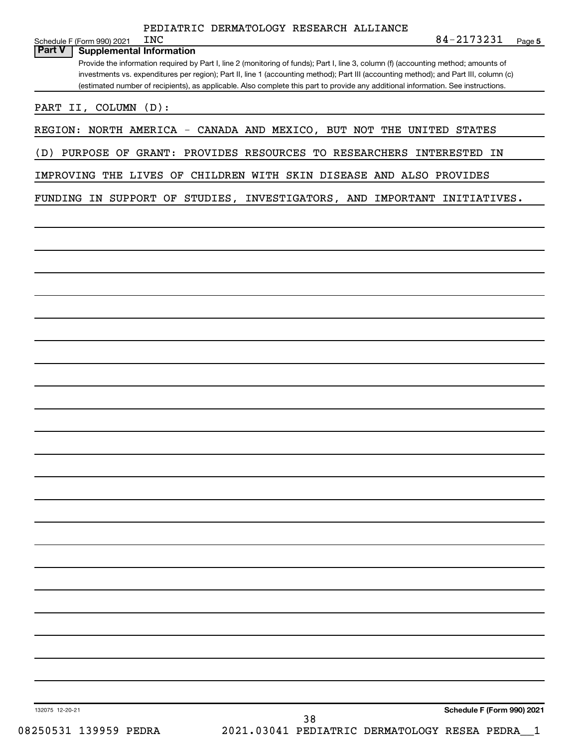| PEDIATRIC DERMATOLOGY RESEARCH ALLIANCE |  |
|-----------------------------------------|--|
|                                         |  |

| <b>INC</b><br>Schedule F (Form 990) 2021                                                                                                                                                                                                                                   |                                                    | 84-2173231<br>Page 5       |
|----------------------------------------------------------------------------------------------------------------------------------------------------------------------------------------------------------------------------------------------------------------------------|----------------------------------------------------|----------------------------|
| <b>Part V</b><br><b>Supplemental Information</b>                                                                                                                                                                                                                           |                                                    |                            |
| Provide the information required by Part I, line 2 (monitoring of funds); Part I, line 3, column (f) (accounting method; amounts of                                                                                                                                        |                                                    |                            |
| investments vs. expenditures per region); Part II, line 1 (accounting method); Part III (accounting method); and Part III, column (c)<br>(estimated number of recipients), as applicable. Also complete this part to provide any additional information. See instructions. |                                                    |                            |
|                                                                                                                                                                                                                                                                            |                                                    |                            |
| PART II, COLUMN (D):                                                                                                                                                                                                                                                       |                                                    |                            |
| REGION: NORTH AMERICA - CANADA AND MEXICO, BUT NOT THE UNITED STATES                                                                                                                                                                                                       |                                                    |                            |
|                                                                                                                                                                                                                                                                            |                                                    |                            |
| (D) PURPOSE OF GRANT: PROVIDES RESOURCES TO RESEARCHERS INTERESTED                                                                                                                                                                                                         |                                                    | ΙN                         |
| IMPROVING THE LIVES OF CHILDREN WITH SKIN DISEASE AND ALSO PROVIDES                                                                                                                                                                                                        |                                                    |                            |
|                                                                                                                                                                                                                                                                            |                                                    |                            |
| FUNDING IN SUPPORT OF STUDIES, INVESTIGATORS, AND IMPORTANT INITIATIVES.                                                                                                                                                                                                   |                                                    |                            |
|                                                                                                                                                                                                                                                                            |                                                    |                            |
|                                                                                                                                                                                                                                                                            |                                                    |                            |
|                                                                                                                                                                                                                                                                            |                                                    |                            |
|                                                                                                                                                                                                                                                                            |                                                    |                            |
|                                                                                                                                                                                                                                                                            |                                                    |                            |
|                                                                                                                                                                                                                                                                            |                                                    |                            |
|                                                                                                                                                                                                                                                                            |                                                    |                            |
|                                                                                                                                                                                                                                                                            |                                                    |                            |
|                                                                                                                                                                                                                                                                            |                                                    |                            |
|                                                                                                                                                                                                                                                                            |                                                    |                            |
|                                                                                                                                                                                                                                                                            |                                                    |                            |
|                                                                                                                                                                                                                                                                            |                                                    |                            |
|                                                                                                                                                                                                                                                                            |                                                    |                            |
|                                                                                                                                                                                                                                                                            |                                                    |                            |
|                                                                                                                                                                                                                                                                            |                                                    |                            |
|                                                                                                                                                                                                                                                                            |                                                    |                            |
|                                                                                                                                                                                                                                                                            |                                                    |                            |
|                                                                                                                                                                                                                                                                            |                                                    |                            |
|                                                                                                                                                                                                                                                                            |                                                    |                            |
|                                                                                                                                                                                                                                                                            |                                                    |                            |
|                                                                                                                                                                                                                                                                            |                                                    |                            |
|                                                                                                                                                                                                                                                                            |                                                    |                            |
|                                                                                                                                                                                                                                                                            |                                                    |                            |
|                                                                                                                                                                                                                                                                            |                                                    |                            |
|                                                                                                                                                                                                                                                                            |                                                    |                            |
|                                                                                                                                                                                                                                                                            |                                                    |                            |
|                                                                                                                                                                                                                                                                            |                                                    |                            |
|                                                                                                                                                                                                                                                                            |                                                    |                            |
|                                                                                                                                                                                                                                                                            |                                                    |                            |
|                                                                                                                                                                                                                                                                            |                                                    |                            |
|                                                                                                                                                                                                                                                                            |                                                    |                            |
|                                                                                                                                                                                                                                                                            |                                                    |                            |
|                                                                                                                                                                                                                                                                            |                                                    |                            |
|                                                                                                                                                                                                                                                                            |                                                    |                            |
| 132075 12-20-21                                                                                                                                                                                                                                                            |                                                    | Schedule F (Form 990) 2021 |
| 08250531 139959 PEDRA                                                                                                                                                                                                                                                      | 38<br>2021.03041 PEDIATRIC DERMATOLOGY RESEA PEDRA |                            |
|                                                                                                                                                                                                                                                                            |                                                    |                            |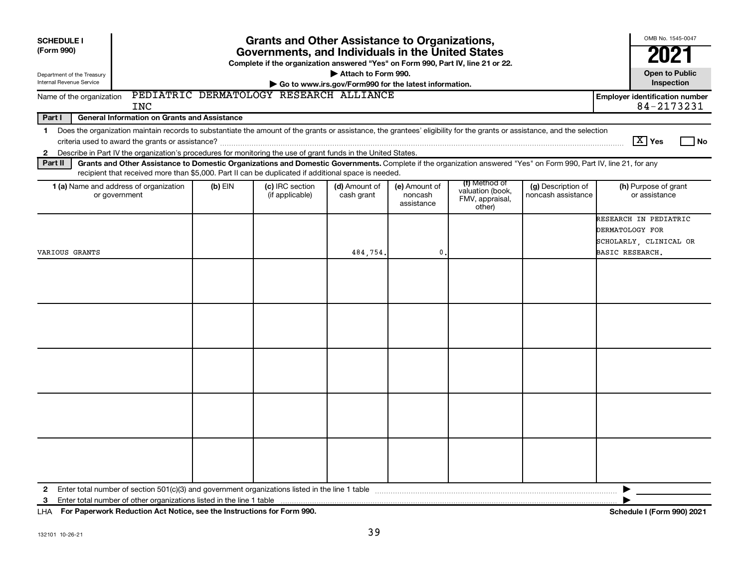| <b>SCHEDULE I</b><br>(Form 990)<br>Department of the Treasury<br>Internal Revenue Service                           | <b>Grants and Other Assistance to Organizations,</b><br>Governments, and Individuals in the United States<br>Complete if the organization answered "Yes" on Form 990, Part IV, line 21 or 22.<br>Attach to Form 990.<br>Go to www.irs.gov/Form990 for the latest information.             |           |                                    |                             |                                        |                                                                |                                          |                                                                                       |  |  |
|---------------------------------------------------------------------------------------------------------------------|-------------------------------------------------------------------------------------------------------------------------------------------------------------------------------------------------------------------------------------------------------------------------------------------|-----------|------------------------------------|-----------------------------|----------------------------------------|----------------------------------------------------------------|------------------------------------------|---------------------------------------------------------------------------------------|--|--|
| PEDIATRIC DERMATOLOGY RESEARCH ALLIANCE<br>Name of the organization<br><b>Employer identification number</b><br>INC |                                                                                                                                                                                                                                                                                           |           |                                    |                             |                                        |                                                                |                                          |                                                                                       |  |  |
| Part I                                                                                                              | 84-2173231<br>General Information on Grants and Assistance                                                                                                                                                                                                                                |           |                                    |                             |                                        |                                                                |                                          |                                                                                       |  |  |
| $\mathbf 1$<br>$\mathbf{2}$                                                                                         | Does the organization maintain records to substantiate the amount of the grants or assistance, the grantees' eligibility for the grants or assistance, and the selection<br>Describe in Part IV the organization's procedures for monitoring the use of grant funds in the United States. |           |                                    |                             |                                        |                                                                |                                          | $\boxed{\text{X}}$ Yes<br>l No                                                        |  |  |
| Part II                                                                                                             | Grants and Other Assistance to Domestic Organizations and Domestic Governments. Complete if the organization answered "Yes" on Form 990, Part IV, line 21, for any<br>recipient that received more than \$5,000. Part II can be duplicated if additional space is needed.                 |           |                                    |                             |                                        |                                                                |                                          |                                                                                       |  |  |
|                                                                                                                     | 1 (a) Name and address of organization<br>or government                                                                                                                                                                                                                                   | $(b)$ EIN | (c) IRC section<br>(if applicable) | (d) Amount of<br>cash grant | (e) Amount of<br>noncash<br>assistance | (f) Method of<br>valuation (book,<br>FMV, appraisal,<br>other) | (g) Description of<br>noncash assistance | (h) Purpose of grant<br>or assistance                                                 |  |  |
| VARIOUS GRANTS                                                                                                      |                                                                                                                                                                                                                                                                                           |           |                                    | 484,754.                    | $\mathbf{0}$                           |                                                                |                                          | RESEARCH IN PEDIATRIC<br>DERMATOLOGY FOR<br>SCHOLARLY, CLINICAL OR<br>BASIC RESEARCH. |  |  |
|                                                                                                                     |                                                                                                                                                                                                                                                                                           |           |                                    |                             |                                        |                                                                |                                          |                                                                                       |  |  |
|                                                                                                                     |                                                                                                                                                                                                                                                                                           |           |                                    |                             |                                        |                                                                |                                          |                                                                                       |  |  |
|                                                                                                                     |                                                                                                                                                                                                                                                                                           |           |                                    |                             |                                        |                                                                |                                          |                                                                                       |  |  |
|                                                                                                                     |                                                                                                                                                                                                                                                                                           |           |                                    |                             |                                        |                                                                |                                          |                                                                                       |  |  |
|                                                                                                                     |                                                                                                                                                                                                                                                                                           |           |                                    |                             |                                        |                                                                |                                          |                                                                                       |  |  |
| $\mathbf{2}$<br>3                                                                                                   | Enter total number of other organizations listed in the line 1 table                                                                                                                                                                                                                      |           |                                    |                             |                                        |                                                                |                                          |                                                                                       |  |  |

**For Paperwork Reduction Act Notice, see the Instructions for Form 990. Schedule I (Form 990) 2021** LHA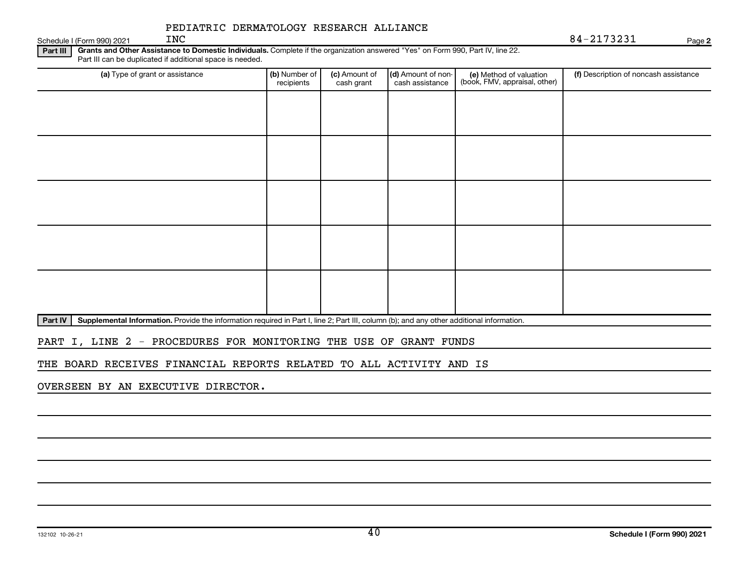#### Schedule I (Form 990) 2021  $N<sup>c</sup>$ PEDIATRIC DERMATOLOGY RESEARCH ALLIANCE

INC 84-2173231

**2**

**Part III | Grants and Other Assistance to Domestic Individuals.** Complete if the organization answered "Yes" on Form 990, Part IV, line 22. Part III can be duplicated if additional space is needed.

| (a) Type of grant or assistance | (b) Number of<br>recipients | (c) Amount of<br>cash grant | (d) Amount of non-<br>cash assistance | (e) Method of valuation<br>(book, FMV, appraisal, other) | (f) Description of noncash assistance |
|---------------------------------|-----------------------------|-----------------------------|---------------------------------------|----------------------------------------------------------|---------------------------------------|
|                                 |                             |                             |                                       |                                                          |                                       |
|                                 |                             |                             |                                       |                                                          |                                       |
|                                 |                             |                             |                                       |                                                          |                                       |
|                                 |                             |                             |                                       |                                                          |                                       |
|                                 |                             |                             |                                       |                                                          |                                       |
|                                 |                             |                             |                                       |                                                          |                                       |
|                                 |                             |                             |                                       |                                                          |                                       |
|                                 |                             |                             |                                       |                                                          |                                       |
|                                 |                             |                             |                                       |                                                          |                                       |
|                                 |                             |                             |                                       |                                                          |                                       |

Part IV | Supplemental Information. Provide the information required in Part I, line 2; Part III, column (b); and any other additional information.

PART I, LINE 2 - PROCEDURES FOR MONITORING THE USE OF GRANT FUNDS

THE BOARD RECEIVES FINANCIAL REPORTS RELATED TO ALL ACTIVITY AND IS

OVERSEEN BY AN EXECUTIVE DIRECTOR.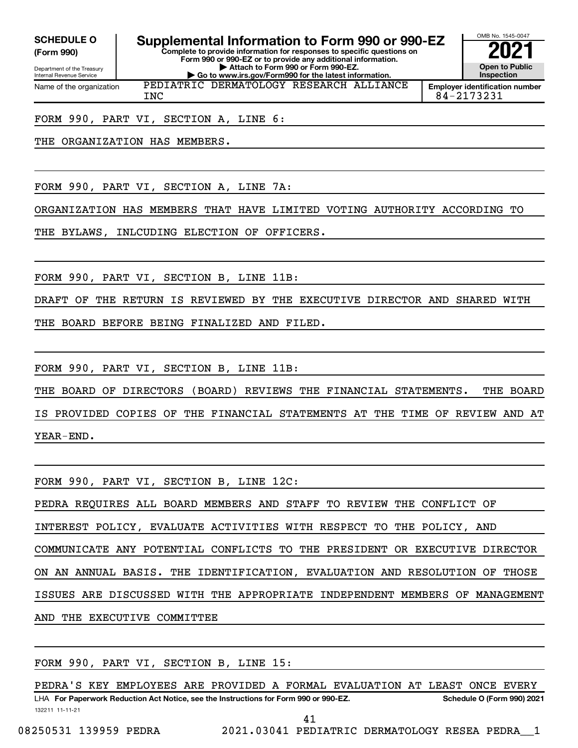**(Form 990)**

Department of the Treasury Internal Revenue Service Name of the organization

**Complete to provide information for responses to specific questions on Form 990 or 990-EZ or to provide any additional information. | Attach to Form 990 or Form 990-EZ. | Go to www.irs.gov/Form990 for the latest information.** SCHEDULE O **Supplemental Information to Form 990 or 990-EZ 2021**<br>(Form 990) Complete to provide information for responses to specific questions on PEDIATRIC DERMATOLOGY RESEARCH ALLIANCE

OMB No. 1545-0047 **Open to Public Inspection Employer identification number**

INC 84-2173231

FORM 990, PART VI, SECTION A, LINE 6:

THE ORGANIZATION HAS MEMBERS.

FORM 990, PART VI, SECTION A, LINE 7A:

ORGANIZATION HAS MEMBERS THAT HAVE LIMITED VOTING AUTHORITY ACCORDING TO

THE BYLAWS, INLCUDING ELECTION OF OFFICERS.

FORM 990, PART VI, SECTION B, LINE 11B:

DRAFT OF THE RETURN IS REVIEWED BY THE EXECUTIVE DIRECTOR AND SHARED WITH

THE BOARD BEFORE BEING FINALIZED AND FILED.

FORM 990, PART VI, SECTION B, LINE 11B:

THE BOARD OF DIRECTORS (BOARD) REVIEWS THE FINANCIAL STATEMENTS. THE BOARD IS PROVIDED COPIES OF THE FINANCIAL STATEMENTS AT THE TIME OF REVIEW AND AT YEAR-END.

FORM 990, PART VI, SECTION B, LINE 12C: PEDRA REQUIRES ALL BOARD MEMBERS AND STAFF TO REVIEW THE CONFLICT OF INTEREST POLICY, EVALUATE ACTIVITIES WITH RESPECT TO THE POLICY, AND COMMUNICATE ANY POTENTIAL CONFLICTS TO THE PRESIDENT OR EXECUTIVE DIRECTOR ON AN ANNUAL BASIS. THE IDENTIFICATION, EVALUATION AND RESOLUTION OF THOSE ISSUES ARE DISCUSSED WITH THE APPROPRIATE INDEPENDENT MEMBERS OF MANAGEMENT AND THE EXECUTIVE COMMITTEE

FORM 990, PART VI, SECTION B, LINE 15:

132211 11-11-21 LHA For Paperwork Reduction Act Notice, see the Instructions for Form 990 or 990-EZ. Schedule O (Form 990) 2021 PEDRA'S KEY EMPLOYEES ARE PROVIDED A FORMAL EVALUATION AT LEAST ONCE EVERY

41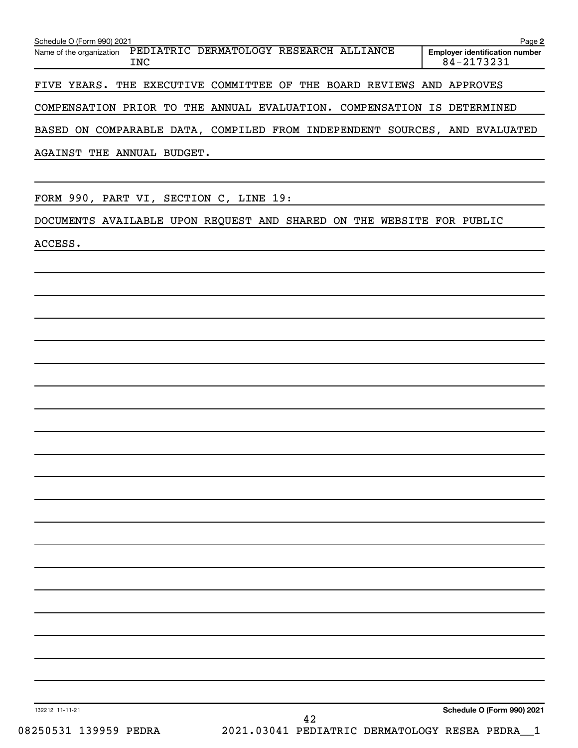| Schedule O (Form 990) 2021<br>Name of the organization PEDIATRIC DERMATOLOGY RESEARCH ALLIANCE<br><b>INC</b> | Page 2<br><b>Employer identification number</b><br>84-2173231 |
|--------------------------------------------------------------------------------------------------------------|---------------------------------------------------------------|
| FIVE YEARS. THE EXECUTIVE COMMITTEE OF THE BOARD REVIEWS AND APPROVES                                        |                                                               |
|                                                                                                              |                                                               |
| COMPENSATION PRIOR TO THE ANNUAL EVALUATION. COMPENSATION IS DETERMINED                                      |                                                               |
| BASED ON COMPARABLE DATA, COMPILED FROM INDEPENDENT SOURCES, AND EVALUATED                                   |                                                               |
| AGAINST THE ANNUAL BUDGET.                                                                                   |                                                               |
| FORM 990, PART VI, SECTION C, LINE 19:                                                                       |                                                               |
| DOCUMENTS AVAILABLE UPON REQUEST AND SHARED ON THE WEBSITE FOR PUBLIC                                        |                                                               |
| ACCESS.                                                                                                      |                                                               |
|                                                                                                              |                                                               |
|                                                                                                              |                                                               |
|                                                                                                              |                                                               |
|                                                                                                              |                                                               |
|                                                                                                              |                                                               |
|                                                                                                              |                                                               |
|                                                                                                              |                                                               |
|                                                                                                              |                                                               |
|                                                                                                              |                                                               |
|                                                                                                              |                                                               |
|                                                                                                              |                                                               |
|                                                                                                              |                                                               |
|                                                                                                              |                                                               |
|                                                                                                              |                                                               |
|                                                                                                              |                                                               |
|                                                                                                              |                                                               |
|                                                                                                              |                                                               |
|                                                                                                              |                                                               |
|                                                                                                              |                                                               |
|                                                                                                              |                                                               |
|                                                                                                              |                                                               |
| 132212 11-11-21                                                                                              | Schedule O (Form 990) 2021                                    |
| 42<br>08250531 139959 PEDRA<br>2021.03041 PEDIATRIC DERMATOLOGY RESEA PEDRA_1                                |                                                               |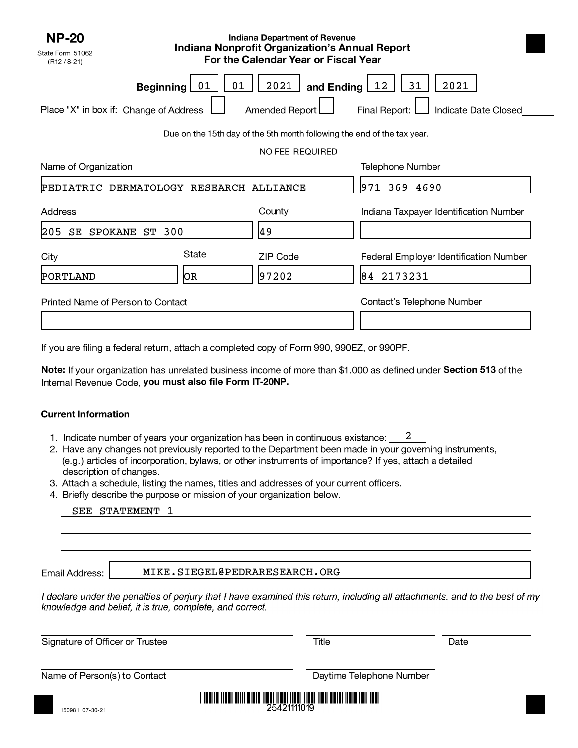| <b>NP-20</b><br>State Form 51062<br>(R12 / 8.21)           | <b>Indiana Department of Revenue</b><br><b>Indiana Nonprofit Organization's Annual Report</b><br>For the Calendar Year or Fiscal Year |                                                                         |                                                                   |  |  |
|------------------------------------------------------------|---------------------------------------------------------------------------------------------------------------------------------------|-------------------------------------------------------------------------|-------------------------------------------------------------------|--|--|
| <b>Beginning</b><br>Place "X" in box if: Change of Address | 01<br>01                                                                                                                              | 2021<br>and Ending [<br>Amended Report                                  | 31<br><u> 12</u><br>2021<br>Final Report:<br>Indicate Date Closed |  |  |
|                                                            |                                                                                                                                       | Due on the 15th day of the 5th month following the end of the tax year. |                                                                   |  |  |
|                                                            |                                                                                                                                       | NO FEE REQUIRED                                                         |                                                                   |  |  |
| Name of Organization                                       |                                                                                                                                       | <b>Telephone Number</b>                                                 |                                                                   |  |  |
| PEDIATRIC DERMATOLOGY RESEARCH ALLIANCE                    |                                                                                                                                       | 971 369 4690                                                            |                                                                   |  |  |
| Address                                                    |                                                                                                                                       | County                                                                  | Indiana Taxpayer Identification Number                            |  |  |
| $ 205\rangle$<br>ST 300<br>SE<br><b>SPOKANE</b>            |                                                                                                                                       | 49                                                                      |                                                                   |  |  |
| City                                                       | State                                                                                                                                 | <b>ZIP Code</b>                                                         | Federal Employer Identification Number                            |  |  |
| PORTLAND                                                   | þв                                                                                                                                    | 97202                                                                   | 84 2173231                                                        |  |  |
| Printed Name of Person to Contact                          |                                                                                                                                       |                                                                         | Contact's Telephone Number                                        |  |  |

If you are filing a federal return, attach a completed copy of Form 990, 990EZ, or 990PF.

Note: If your organization has unrelated business income of more than \$1,000 as defined under Section 513 of the Internal Revenue Code, you must also file Form IT-20NP.

#### **Current Information**

- 1. Indicate number of years your organization has been in continuous existance: 2
- 2. Have any changes not previously reported to the Department been made in your governing instruments, (e.g.) articles of incorporation, bylaws, or other instruments of importance? If yes, attach a detailed description of changes.
- 3. Attach a schedule, listing the names, titles and addresses of your current officers.
- 4. Briefly describe the purpose or mission of your organization below.

#### SEE STATEMENT 1

Email Address:

MIKE.SIEGEL@PEDRARESEARCH.ORG

I declare under the penalties of perjury that I have examined this return, including all attachments, and to the best of my knowledge and belief, it is true, complete, and correct.

Signature of Officer or Trustee Title Title Title Date

Name of Person(s) to Contact **Daytime Telephone Number** Daytime Telephone Number

150981 07-30-21

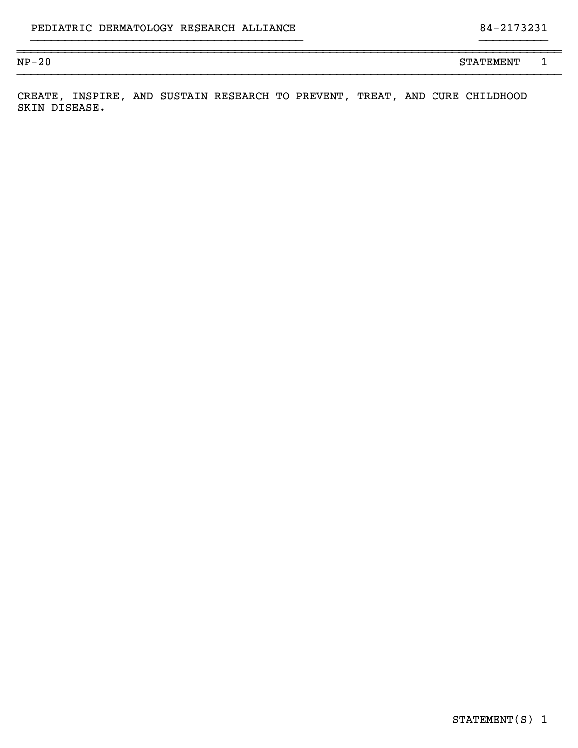#### }}}}}}}}}}}}}}}}}}}}}}}}}}}}}}}}}}}}}}}} }}}}}}}}}}

NP-20 STATEMENT 1

CREATE, INSPIRE, AND SUSTAIN RESEARCH TO PREVENT, TREAT, AND CURE CHILDHOOD SKIN DISEASE.

~~~~~~~~~~~~~~~~~~~~~~~~~~~~~~~~~~~~~~~~~~~~~~~~~~~~~~~~~~~~~~~~~~~~~~~~~~~~~~~~

}}}}}}}}}}}}}}}}}}}}}}}}}}}}}}}}}}}}}}}}}}}}}}}}}}}}}}}}}}}}}}}}}}}}}}}}}}}}}}}}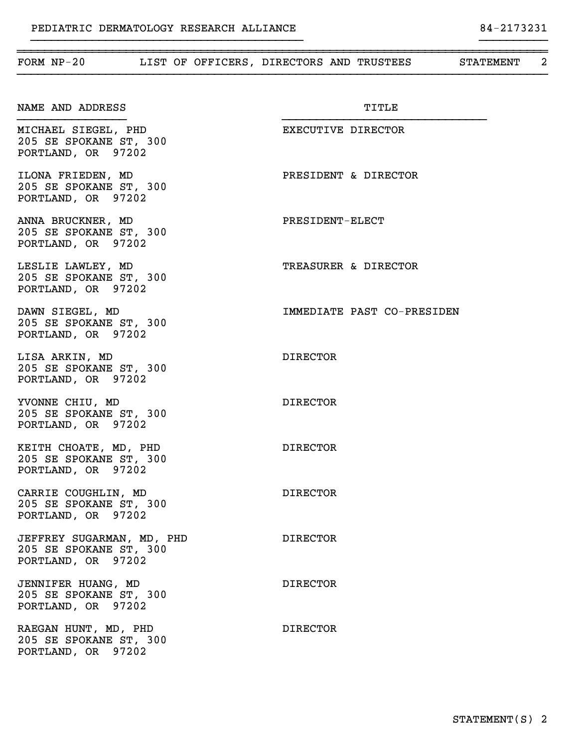| FORM $NP-20$                                                              | LIST OF OFFICERS, DIRECTORS AND TRUSTEES | STATEMENT | 2 |
|---------------------------------------------------------------------------|------------------------------------------|-----------|---|
| NAME AND ADDRESS                                                          | TITLE                                    |           |   |
| MICHAEL SIEGEL, PHD<br>205 SE SPOKANE ST, 300<br>PORTLAND, OR 97202       | EXECUTIVE DIRECTOR                       |           |   |
| ILONA FRIEDEN, MD<br>205 SE SPOKANE ST, 300<br>PORTLAND, OR 97202         | PRESIDENT & DIRECTOR                     |           |   |
| ANNA BRUCKNER, MD<br>205 SE SPOKANE ST, 300<br>PORTLAND, OR 97202         | PRESIDENT-ELECT                          |           |   |
| LESLIE LAWLEY, MD<br>205 SE SPOKANE ST, 300<br>PORTLAND, OR 97202         | TREASURER & DIRECTOR                     |           |   |
| DAWN SIEGEL, MD<br>205 SE SPOKANE ST, 300<br>PORTLAND, OR 97202           | IMMEDIATE PAST CO-PRESIDEN               |           |   |
| LISA ARKIN, MD<br>205 SE SPOKANE ST, 300<br>PORTLAND, OR 97202            | <b>DIRECTOR</b>                          |           |   |
| YVONNE CHIU, MD<br>205 SE SPOKANE ST, 300<br>PORTLAND, OR 97202           | <b>DIRECTOR</b>                          |           |   |
| KEITH CHOATE, MD, PHD<br>205 SE SPOKANE ST, 300<br>PORTLAND, OR 97202     | <b>DIRECTOR</b>                          |           |   |
| CARRIE COUGHLIN, MD<br>205 SE SPOKANE ST, 300<br>PORTLAND, OR 97202       | <b>DIRECTOR</b>                          |           |   |
| JEFFREY SUGARMAN, MD, PHD<br>205 SE SPOKANE ST, 300<br>PORTLAND, OR 97202 | <b>DIRECTOR</b>                          |           |   |
| JENNIFER HUANG, MD<br>205 SE SPOKANE ST, 300<br>PORTLAND, OR 97202        | <b>DIRECTOR</b>                          |           |   |
| RAEGAN HUNT, MD, PHD<br>205 SE SPOKANE ST, 300<br>PORTLAND, OR 97202      | <b>DIRECTOR</b>                          |           |   |

~~~~~~~~~~~~~~~~~~~~~~~~~~~~~~~~~~~~~~~~~~~~~~~~~~~~~~~~~~~~~~~~~~~~~~~~~~~~~~

}}}}}}}}}}}}}}}}}}}}}}}}}}}}}}}}}}}}}}}} }}}}}}}}}}